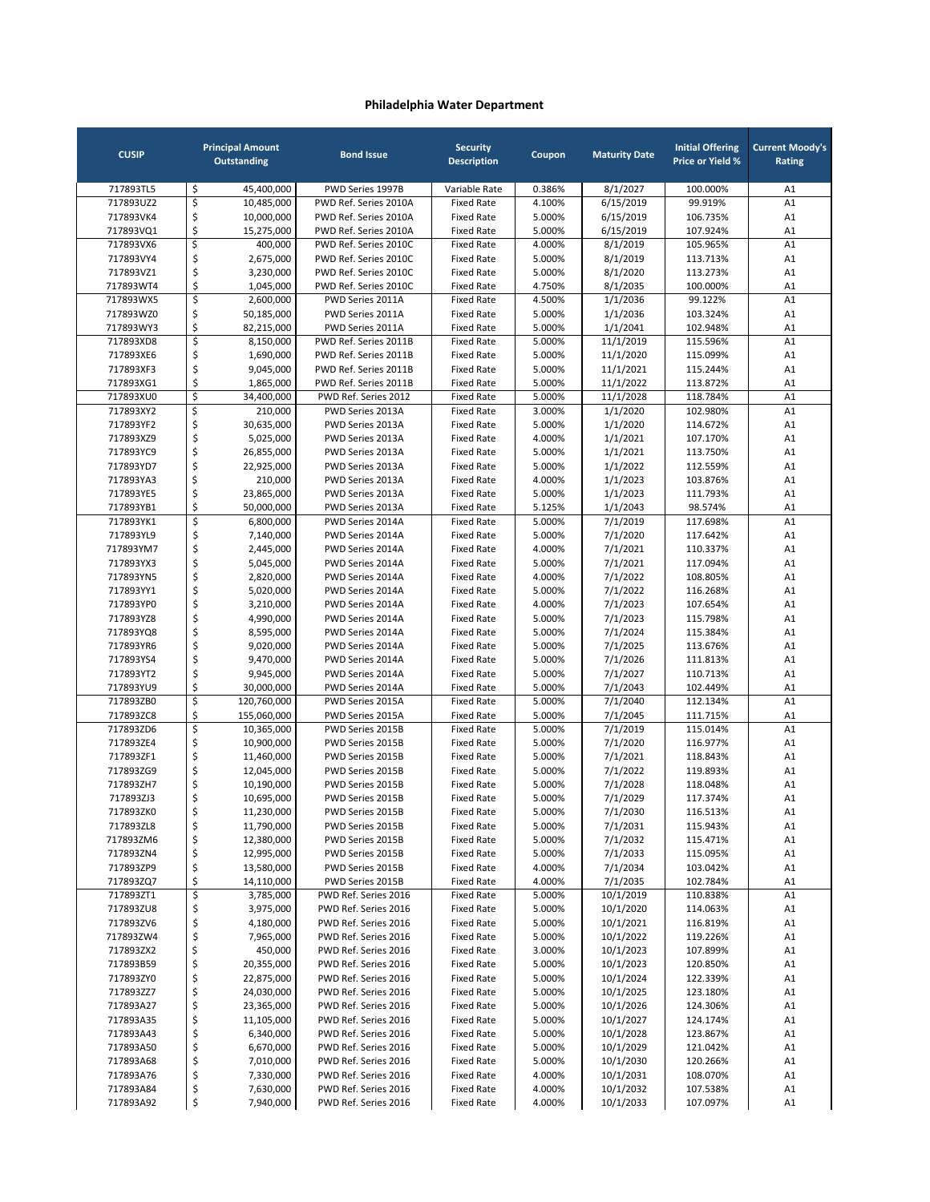| <b>CUSIP</b>           | <b>Principal Amount</b><br><b>Outstanding</b> | <b>Bond Issue</b>                              | <b>Security</b><br><b>Description</b>  | Coupon           | <b>Maturity Date</b>   | <b>Initial Offering</b><br><b>Price or Yield %</b> | <b>Current Moody's</b><br>Rating |
|------------------------|-----------------------------------------------|------------------------------------------------|----------------------------------------|------------------|------------------------|----------------------------------------------------|----------------------------------|
| 717893TL5              | \$<br>45,400,000                              | PWD Series 1997B                               | Variable Rate                          | 0.386%           | 8/1/2027               | 100.000%                                           | A1                               |
| 717893UZ2              | \$<br>10,485,000                              | PWD Ref. Series 2010A                          | <b>Fixed Rate</b>                      | 4.100%           | 6/15/2019              | 99.919%                                            | A1                               |
| 717893VK4              | \$<br>10,000,000                              | PWD Ref. Series 2010A                          | <b>Fixed Rate</b>                      | 5.000%           | 6/15/2019              | 106.735%                                           | A1                               |
| 717893VQ1              | \$<br>15,275,000                              | PWD Ref. Series 2010A                          | <b>Fixed Rate</b>                      | 5.000%           | 6/15/2019              | 107.924%                                           | A1                               |
| 717893VX6              | \$<br>400,000                                 | PWD Ref. Series 2010C                          | <b>Fixed Rate</b>                      | 4.000%           | 8/1/2019               | 105.965%                                           | A1                               |
| 717893VY4<br>717893VZ1 | \$<br>2,675,000                               | PWD Ref. Series 2010C                          | <b>Fixed Rate</b>                      | 5.000%           | 8/1/2019               | 113.713%                                           | A1<br>A1                         |
| 717893WT4              | \$<br>3,230,000<br>\$<br>1,045,000            | PWD Ref. Series 2010C<br>PWD Ref. Series 2010C | <b>Fixed Rate</b><br><b>Fixed Rate</b> | 5.000%<br>4.750% | 8/1/2020<br>8/1/2035   | 113.273%<br>100.000%                               | A1                               |
| 717893WX5              | \$<br>2,600,000                               | PWD Series 2011A                               | <b>Fixed Rate</b>                      | 4.500%           | 1/1/2036               | 99.122%                                            | A1                               |
| 717893WZ0              | \$<br>50,185,000                              | PWD Series 2011A                               | <b>Fixed Rate</b>                      | 5.000%           | 1/1/2036               | 103.324%                                           | A1                               |
| 717893WY3              | \$<br>82,215,000                              | PWD Series 2011A                               | <b>Fixed Rate</b>                      | 5.000%           | 1/1/2041               | 102.948%                                           | A1                               |
| 717893XD8              | \$<br>8,150,000                               | PWD Ref. Series 2011B                          | <b>Fixed Rate</b>                      | 5.000%           | 11/1/2019              | 115.596%                                           | A1                               |
| 717893XE6              | \$<br>1,690,000                               | PWD Ref. Series 2011B                          | <b>Fixed Rate</b>                      | 5.000%           | 11/1/2020              | 115.099%                                           | A1                               |
| 717893XF3              | \$<br>9,045,000                               | PWD Ref. Series 2011B                          | <b>Fixed Rate</b>                      | 5.000%           | 11/1/2021              | 115.244%                                           | A1                               |
| 717893XG1              | \$<br>1,865,000                               | PWD Ref. Series 2011B                          | <b>Fixed Rate</b>                      | 5.000%           | 11/1/2022              | 113.872%                                           | A1                               |
| 717893XU0              | $\mathsf{\hat{S}}$<br>34,400,000              | PWD Ref. Series 2012                           | <b>Fixed Rate</b>                      | 5.000%           | 11/1/2028              | 118.784%                                           | A1                               |
| 717893XY2              | \$<br>210,000                                 | PWD Series 2013A                               | <b>Fixed Rate</b>                      | 3.000%           | 1/1/2020               | 102.980%                                           | A1                               |
| 717893YF2              | \$<br>30,635,000                              | PWD Series 2013A                               | <b>Fixed Rate</b>                      | 5.000%           | 1/1/2020               | 114.672%                                           | A1                               |
| 717893XZ9<br>717893YC9 | \$<br>5,025,000<br>\$<br>26,855,000           | PWD Series 2013A<br>PWD Series 2013A           | <b>Fixed Rate</b><br><b>Fixed Rate</b> | 4.000%<br>5.000% | 1/1/2021               | 107.170%<br>113.750%                               | A1<br>A1                         |
| 717893YD7              | \$<br>22,925,000                              | PWD Series 2013A                               | <b>Fixed Rate</b>                      | 5.000%           | 1/1/2021<br>1/1/2022   | 112.559%                                           | A1                               |
| 717893YA3              | \$<br>210,000                                 | PWD Series 2013A                               | <b>Fixed Rate</b>                      | 4.000%           | 1/1/2023               | 103.876%                                           | A1                               |
| 717893YE5              | \$<br>23,865,000                              | PWD Series 2013A                               | <b>Fixed Rate</b>                      | 5.000%           | 1/1/2023               | 111.793%                                           | A1                               |
| 717893YB1              | \$<br>50,000,000                              | PWD Series 2013A                               | <b>Fixed Rate</b>                      | 5.125%           | 1/1/2043               | 98.574%                                            | A1                               |
| 717893YK1              | \$<br>6,800,000                               | PWD Series 2014A                               | <b>Fixed Rate</b>                      | 5.000%           | 7/1/2019               | 117.698%                                           | A1                               |
| 717893YL9              | \$<br>7,140,000                               | PWD Series 2014A                               | <b>Fixed Rate</b>                      | 5.000%           | 7/1/2020               | 117.642%                                           | A1                               |
| 717893YM7              | \$<br>2,445,000                               | PWD Series 2014A                               | <b>Fixed Rate</b>                      | 4.000%           | 7/1/2021               | 110.337%                                           | A1                               |
| 717893YX3              | \$<br>5,045,000                               | PWD Series 2014A                               | <b>Fixed Rate</b>                      | 5.000%           | 7/1/2021               | 117.094%                                           | A1                               |
| 717893YN5              | \$<br>2,820,000                               | PWD Series 2014A                               | <b>Fixed Rate</b>                      | 4.000%           | 7/1/2022               | 108.805%                                           | A1                               |
| 717893YY1              | \$<br>5,020,000                               | PWD Series 2014A                               | <b>Fixed Rate</b>                      | 5.000%           | 7/1/2022               | 116.268%                                           | A1                               |
| 717893YP0              | \$<br>3,210,000                               | PWD Series 2014A                               | <b>Fixed Rate</b>                      | 4.000%           | 7/1/2023               | 107.654%                                           | A1                               |
| 717893YZ8              | \$<br>4,990,000                               | PWD Series 2014A                               | <b>Fixed Rate</b>                      | 5.000%           | 7/1/2023               | 115.798%                                           | A1                               |
| 717893YQ8<br>717893YR6 | \$<br>8,595,000<br>\$<br>9,020,000            | PWD Series 2014A<br>PWD Series 2014A           | <b>Fixed Rate</b><br><b>Fixed Rate</b> | 5.000%<br>5.000% | 7/1/2024<br>7/1/2025   | 115.384%<br>113.676%                               | A1<br>A1                         |
| 717893YS4              | \$<br>9,470,000                               | PWD Series 2014A                               | <b>Fixed Rate</b>                      | 5.000%           | 7/1/2026               | 111.813%                                           | A1                               |
| 717893YT2              | \$<br>9,945,000                               | PWD Series 2014A                               | <b>Fixed Rate</b>                      | 5.000%           | 7/1/2027               | 110.713%                                           | A1                               |
| 717893YU9              | \$<br>30,000,000                              | PWD Series 2014A                               | <b>Fixed Rate</b>                      | 5.000%           | 7/1/2043               | 102.449%                                           | A1                               |
| 717893ZB0              | \$<br>120,760,000                             | PWD Series 2015A                               | <b>Fixed Rate</b>                      | 5.000%           | 7/1/2040               | 112.134%                                           | A1                               |
| 717893ZC8              | \$<br>155,060,000                             | PWD Series 2015A                               | <b>Fixed Rate</b>                      | 5.000%           | 7/1/2045               | 111.715%                                           | A1                               |
| 717893ZD6              | \$<br>10,365,000                              | PWD Series 2015B                               | <b>Fixed Rate</b>                      | 5.000%           | 7/1/2019               | 115.014%                                           | A1                               |
| 717893ZE4              | \$<br>10,900,000                              | PWD Series 2015B                               | <b>Fixed Rate</b>                      | 5.000%           | 7/1/2020               | 116.977%                                           | A1                               |
| 717893ZF1              | \$<br>11,460,000                              | PWD Series 2015B                               | <b>Fixed Rate</b>                      | 5.000%           | 7/1/2021               | 118.843%                                           | A1                               |
| 717893ZG9              | \$<br>12,045,000                              | PWD Series 2015B                               | <b>Fixed Rate</b>                      | 5.000%           | 7/1/2022               | 119.893%                                           | A1                               |
| 717893ZH7              | \$<br>10,190,000                              | PWD Series 2015B                               | <b>Fixed Rate</b>                      | 5.000%           | 7/1/2028               | 118.048%                                           | A1                               |
| 717893ZJ3              | \$<br>10,695,000                              | PWD Series 2015B                               | <b>Fixed Rate</b>                      | 5.000%           | 7/1/2029<br>7/1/2030   | 117.374%                                           | A1                               |
| 717893ZK0<br>717893ZL8 | \$<br>11,230,000<br>\$<br>11,790,000          | PWD Series 2015B                               | Fixed Rate<br><b>Fixed Rate</b>        | 5.000%<br>5.000% |                        | 116.513%<br>115.943%                               | A1<br>A1                         |
| 717893ZM6              | \$<br>12,380,000                              | PWD Series 2015B<br>PWD Series 2015B           | <b>Fixed Rate</b>                      | 5.000%           | 7/1/2031<br>7/1/2032   | 115.471%                                           | A1                               |
| 717893ZN4              | \$<br>12,995,000                              | PWD Series 2015B                               | <b>Fixed Rate</b>                      | 5.000%           | 7/1/2033               | 115.095%                                           | A1                               |
| 717893ZP9              | \$<br>13,580,000                              | PWD Series 2015B                               | <b>Fixed Rate</b>                      | 4.000%           | 7/1/2034               | 103.042%                                           | A1                               |
| 717893ZQ7              | \$<br>14,110,000                              | PWD Series 2015B                               | <b>Fixed Rate</b>                      | 4.000%           | 7/1/2035               | 102.784%                                           | A1                               |
| 717893ZT1              | \$<br>3,785,000                               | PWD Ref. Series 2016                           | <b>Fixed Rate</b>                      | 5.000%           | 10/1/2019              | 110.838%                                           | A1                               |
| 717893ZU8              | \$<br>3,975,000                               | PWD Ref. Series 2016                           | <b>Fixed Rate</b>                      | 5.000%           | 10/1/2020              | 114.063%                                           | A1                               |
| 717893ZV6              | \$<br>4,180,000                               | PWD Ref. Series 2016                           | <b>Fixed Rate</b>                      | 5.000%           | 10/1/2021              | 116.819%                                           | A1                               |
| 717893ZW4              | \$<br>7,965,000                               | PWD Ref. Series 2016                           | <b>Fixed Rate</b>                      | 5.000%           | 10/1/2022              | 119.226%                                           | A1                               |
| 717893ZX2              | \$<br>450,000                                 | PWD Ref. Series 2016                           | <b>Fixed Rate</b>                      | 3.000%           | 10/1/2023              | 107.899%                                           | A1                               |
| 717893B59              | \$<br>20,355,000<br>22,875,000                | PWD Ref. Series 2016                           | <b>Fixed Rate</b>                      | 5.000%           | 10/1/2023              | 120.850%                                           | A1                               |
| 717893ZY0<br>717893ZZ7 | \$<br>24,030,000                              | PWD Ref. Series 2016<br>PWD Ref. Series 2016   | <b>Fixed Rate</b><br><b>Fixed Rate</b> | 5.000%<br>5.000% | 10/1/2024<br>10/1/2025 | 122.339%<br>123.180%                               | A1<br>A1                         |
| 717893A27              | \$<br>\$<br>23,365,000                        | PWD Ref. Series 2016                           | <b>Fixed Rate</b>                      | 5.000%           | 10/1/2026              | 124.306%                                           | A1                               |
| 717893A35              | \$<br>11,105,000                              | PWD Ref. Series 2016                           | <b>Fixed Rate</b>                      | 5.000%           | 10/1/2027              | 124.174%                                           | A1                               |
| 717893A43              | \$<br>6,340,000                               | PWD Ref. Series 2016                           | <b>Fixed Rate</b>                      | 5.000%           | 10/1/2028              | 123.867%                                           | A1                               |
| 717893A50              | \$<br>6,670,000                               | PWD Ref. Series 2016                           | <b>Fixed Rate</b>                      | 5.000%           | 10/1/2029              | 121.042%                                           | A1                               |
| 717893A68              | \$<br>7,010,000                               | PWD Ref. Series 2016                           | <b>Fixed Rate</b>                      | 5.000%           | 10/1/2030              | 120.266%                                           | A1                               |
| 717893A76              | \$<br>7,330,000                               | PWD Ref. Series 2016                           | <b>Fixed Rate</b>                      | 4.000%           | 10/1/2031              | 108.070%                                           | A1                               |
| 717893A84              | \$<br>7,630,000                               | PWD Ref. Series 2016                           | <b>Fixed Rate</b>                      | 4.000%           | 10/1/2032              | 107.538%                                           | A1                               |
| 717893A92              | \$<br>7,940,000                               | PWD Ref. Series 2016                           | <b>Fixed Rate</b>                      | 4.000%           | 10/1/2033              | 107.097%                                           | A1                               |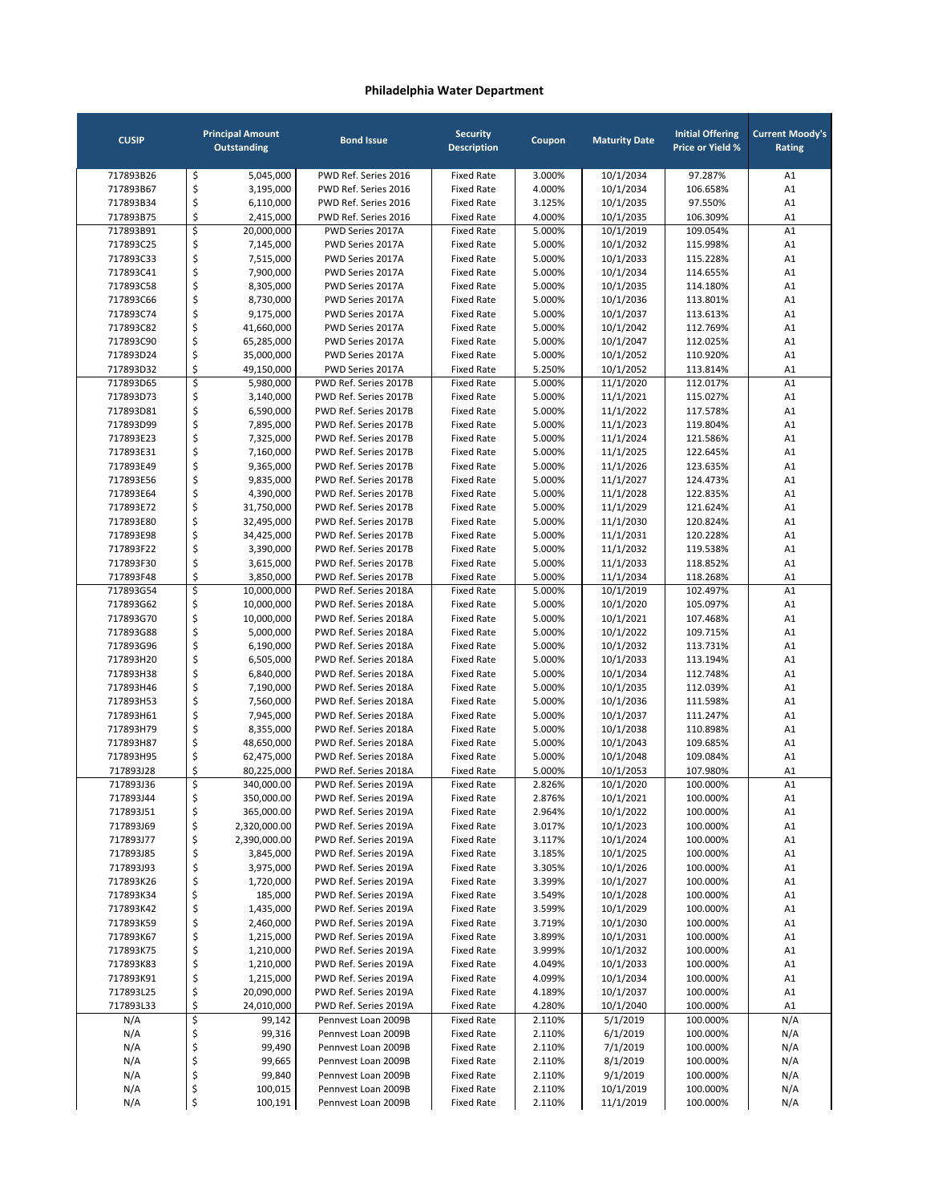| <b>CUSIP</b>           | <b>Principal Amount</b><br>Outstanding | <b>Bond Issue</b>                              | <b>Security</b><br><b>Description</b>  | Coupon           | <b>Maturity Date</b>   | <b>Initial Offering</b><br><b>Price or Yield %</b> | <b>Current Moody's</b><br>Rating |
|------------------------|----------------------------------------|------------------------------------------------|----------------------------------------|------------------|------------------------|----------------------------------------------------|----------------------------------|
| 717893B26              | \$<br>5,045,000                        | PWD Ref. Series 2016                           | <b>Fixed Rate</b>                      | 3.000%           | 10/1/2034              | 97.287%                                            | A1                               |
| 717893B67              | \$<br>3,195,000                        | PWD Ref. Series 2016                           | <b>Fixed Rate</b>                      | 4.000%           | 10/1/2034              | 106.658%                                           | A1                               |
| 717893B34              | \$<br>6,110,000                        | PWD Ref. Series 2016                           | <b>Fixed Rate</b>                      | 3.125%           | 10/1/2035              | 97.550%                                            | A1                               |
| 717893B75              | \$<br>2,415,000                        | PWD Ref. Series 2016                           | <b>Fixed Rate</b>                      | 4.000%           | 10/1/2035              | 106.309%                                           | A1                               |
| 717893B91              | \$<br>20,000,000                       | PWD Series 2017A                               | <b>Fixed Rate</b>                      | 5.000%           | 10/1/2019              | 109.054%                                           | A1                               |
| 717893C25              | \$<br>7,145,000                        | PWD Series 2017A                               | <b>Fixed Rate</b>                      | 5.000%           | 10/1/2032              | 115.998%                                           | A1                               |
| 717893C33              | \$<br>7,515,000                        | PWD Series 2017A                               | <b>Fixed Rate</b>                      | 5.000%           | 10/1/2033              | 115.228%                                           | A1                               |
| 717893C41              | \$<br>7,900,000                        | PWD Series 2017A                               | <b>Fixed Rate</b>                      | 5.000%           | 10/1/2034              | 114.655%                                           | A1                               |
| 717893C58              | \$<br>8,305,000                        | PWD Series 2017A                               | <b>Fixed Rate</b>                      | 5.000%           | 10/1/2035              | 114.180%                                           | A1                               |
| 717893C66              | \$<br>8,730,000                        | PWD Series 2017A                               | <b>Fixed Rate</b>                      | 5.000%           | 10/1/2036              | 113.801%                                           | A1                               |
| 717893C74              | \$<br>9,175,000                        | PWD Series 2017A                               | <b>Fixed Rate</b>                      | 5.000%           | 10/1/2037              | 113.613%                                           | A1                               |
| 717893C82              | \$<br>41,660,000                       | PWD Series 2017A                               | <b>Fixed Rate</b>                      | 5.000%           | 10/1/2042              | 112.769%                                           | A1                               |
| 717893C90              | \$<br>65,285,000                       | PWD Series 2017A                               | <b>Fixed Rate</b>                      | 5.000%           | 10/1/2047              | 112.025%                                           | A1                               |
| 717893D24<br>717893D32 | \$<br>35,000,000<br>\$<br>49,150,000   | PWD Series 2017A<br>PWD Series 2017A           | <b>Fixed Rate</b><br><b>Fixed Rate</b> | 5.000%<br>5.250% | 10/1/2052<br>10/1/2052 | 110.920%<br>113.814%                               | A1<br>A1                         |
| 717893D65              | \$<br>5,980,000                        | PWD Ref. Series 2017B                          | <b>Fixed Rate</b>                      | 5.000%           | 11/1/2020              | 112.017%                                           | A1                               |
| 717893D73              | \$<br>3,140,000                        | PWD Ref. Series 2017B                          | <b>Fixed Rate</b>                      | 5.000%           | 11/1/2021              | 115.027%                                           | A1                               |
| 717893D81              | \$<br>6,590,000                        | PWD Ref. Series 2017B                          | <b>Fixed Rate</b>                      | 5.000%           | 11/1/2022              | 117.578%                                           | A1                               |
| 717893D99              | \$<br>7,895,000                        | PWD Ref. Series 2017B                          | <b>Fixed Rate</b>                      | 5.000%           | 11/1/2023              | 119.804%                                           | A1                               |
| 717893E23              | \$<br>7,325,000                        | PWD Ref. Series 2017B                          | <b>Fixed Rate</b>                      | 5.000%           | 11/1/2024              | 121.586%                                           | A1                               |
| 717893E31              | \$<br>7,160,000                        | PWD Ref. Series 2017B                          | <b>Fixed Rate</b>                      | 5.000%           | 11/1/2025              | 122.645%                                           | A1                               |
| 717893E49              | \$<br>9,365,000                        | PWD Ref. Series 2017B                          | <b>Fixed Rate</b>                      | 5.000%           | 11/1/2026              | 123.635%                                           | A1                               |
| 717893E56              | \$<br>9,835,000                        | PWD Ref. Series 2017B                          | <b>Fixed Rate</b>                      | 5.000%           | 11/1/2027              | 124.473%                                           | A1                               |
| 717893E64              | \$<br>4,390,000                        | PWD Ref. Series 2017B                          | <b>Fixed Rate</b>                      | 5.000%           | 11/1/2028              | 122.835%                                           | A1                               |
| 717893E72              | \$<br>31,750,000                       | PWD Ref. Series 2017B                          | <b>Fixed Rate</b>                      | 5.000%           | 11/1/2029              | 121.624%                                           | A1                               |
| 717893E80              | \$<br>32,495,000                       | PWD Ref. Series 2017B                          | <b>Fixed Rate</b>                      | 5.000%           | 11/1/2030              | 120.824%                                           | A1                               |
| 717893E98              | \$<br>34,425,000                       | PWD Ref. Series 2017B                          | <b>Fixed Rate</b>                      | 5.000%           | 11/1/2031              | 120.228%                                           | A1                               |
| 717893F22              | \$<br>3,390,000                        | PWD Ref. Series 2017B                          | <b>Fixed Rate</b>                      | 5.000%           | 11/1/2032              | 119.538%                                           | A1                               |
| 717893F30              | \$<br>3,615,000                        | PWD Ref. Series 2017B                          | <b>Fixed Rate</b>                      | 5.000%           | 11/1/2033              | 118.852%                                           | A1                               |
| 717893F48              | \$<br>3,850,000<br>\$                  | PWD Ref. Series 2017B                          | <b>Fixed Rate</b>                      | 5.000%           | 11/1/2034              | 118.268%                                           | A1                               |
| 717893G54<br>717893G62 | 10,000,000<br>\$<br>10,000,000         | PWD Ref. Series 2018A<br>PWD Ref. Series 2018A | <b>Fixed Rate</b><br><b>Fixed Rate</b> | 5.000%<br>5.000% | 10/1/2019<br>10/1/2020 | 102.497%<br>105.097%                               | A1<br>A1                         |
| 717893G70              | \$<br>10,000,000                       | PWD Ref. Series 2018A                          | <b>Fixed Rate</b>                      | 5.000%           | 10/1/2021              | 107.468%                                           | A1                               |
| 717893G88              | \$<br>5,000,000                        | PWD Ref. Series 2018A                          | <b>Fixed Rate</b>                      | 5.000%           | 10/1/2022              | 109.715%                                           | A1                               |
| 717893G96              | \$<br>6,190,000                        | PWD Ref. Series 2018A                          | <b>Fixed Rate</b>                      | 5.000%           | 10/1/2032              | 113.731%                                           | A1                               |
| 717893H20              | \$<br>6,505,000                        | PWD Ref. Series 2018A                          | <b>Fixed Rate</b>                      | 5.000%           | 10/1/2033              | 113.194%                                           | A1                               |
| 717893H38              | \$<br>6,840,000                        | PWD Ref. Series 2018A                          | <b>Fixed Rate</b>                      | 5.000%           | 10/1/2034              | 112.748%                                           | A1                               |
| 717893H46              | \$<br>7,190,000                        | PWD Ref. Series 2018A                          | <b>Fixed Rate</b>                      | 5.000%           | 10/1/2035              | 112.039%                                           | A1                               |
| 717893H53              | \$<br>7,560,000                        | PWD Ref. Series 2018A                          | <b>Fixed Rate</b>                      | 5.000%           | 10/1/2036              | 111.598%                                           | A1                               |
| 717893H61              | \$<br>7,945,000                        | PWD Ref. Series 2018A                          | <b>Fixed Rate</b>                      | 5.000%           | 10/1/2037              | 111.247%                                           | A1                               |
| 717893H79              | \$<br>8,355,000                        | PWD Ref. Series 2018A                          | <b>Fixed Rate</b>                      | 5.000%           | 10/1/2038              | 110.898%                                           | A1                               |
| 717893H87              | \$<br>48,650,000                       | PWD Ref. Series 2018A                          | <b>Fixed Rate</b>                      | 5.000%           | 10/1/2043              | 109.685%                                           | A1                               |
| 717893H95              | \$<br>62,475,000                       | PWD Ref. Series 2018A                          | <b>Fixed Rate</b>                      | 5.000%           | 10/1/2048              | 109.084%                                           | A1                               |
| 717893J28              | \$<br>80,225,000                       | PWD Ref. Series 2018A                          | <b>Fixed Rate</b>                      | 5.000%           | 10/1/2053              | 107.980%                                           | A1                               |
| 717893J36              | \$<br>340,000.00                       | PWD Ref. Series 2019A                          | <b>Fixed Rate</b>                      | 2.826%           | 10/1/2020              | 100.000%                                           | A1                               |
| 717893J44              | \$<br>350,000.00                       | PWD Ref. Series 2019A                          | <b>Fixed Rate</b>                      | 2.876%           | 10/1/2021              | 100.000%                                           | A1                               |
| 717893J51              | \$<br>365,000.00                       | PWD Ref. Series 2019A                          | <b>Fixed Rate</b>                      | 2.964%           | 10/1/2022              | 100.000%                                           | A1                               |
| 717893J69              | \$<br>2,320,000.00                     | PWD Ref. Series 2019A                          | Fixed Rate                             | 3.017%           | 10/1/2023              | 100.000%                                           | A1                               |
| 717893J77<br>717893J85 | \$<br>2,390,000.00<br>\$               | PWD Ref. Series 2019A<br>PWD Ref. Series 2019A | Fixed Rate                             | 3.117%           | 10/1/2024<br>10/1/2025 | 100.000%<br>100.000%                               | A1                               |
| 717893J93              | 3,845,000<br>\$<br>3,975,000           | PWD Ref. Series 2019A                          | Fixed Rate<br><b>Fixed Rate</b>        | 3.185%<br>3.305% | 10/1/2026              | 100.000%                                           | A1<br>A1                         |
| 717893K26              | \$<br>1,720,000                        | PWD Ref. Series 2019A                          | <b>Fixed Rate</b>                      | 3.399%           | 10/1/2027              | 100.000%                                           | A1                               |
| 717893K34              | \$<br>185,000                          | PWD Ref. Series 2019A                          | Fixed Rate                             | 3.549%           | 10/1/2028              | 100.000%                                           | A1                               |
| 717893K42              | \$<br>1,435,000                        | PWD Ref. Series 2019A                          | <b>Fixed Rate</b>                      | 3.599%           | 10/1/2029              | 100.000%                                           | A1                               |
| 717893K59              | \$<br>2,460,000                        | PWD Ref. Series 2019A                          | <b>Fixed Rate</b>                      | 3.719%           | 10/1/2030              | 100.000%                                           | A1                               |
| 717893K67              | \$<br>1,215,000                        | PWD Ref. Series 2019A                          | <b>Fixed Rate</b>                      | 3.899%           | 10/1/2031              | 100.000%                                           | A1                               |
| 717893K75              | \$<br>1,210,000                        | PWD Ref. Series 2019A                          | Fixed Rate                             | 3.999%           | 10/1/2032              | 100.000%                                           | A1                               |
| 717893K83              | \$<br>1,210,000                        | PWD Ref. Series 2019A                          | <b>Fixed Rate</b>                      | 4.049%           | 10/1/2033              | 100.000%                                           | A1                               |
| 717893K91              | \$<br>1,215,000                        | PWD Ref. Series 2019A                          | <b>Fixed Rate</b>                      | 4.099%           | 10/1/2034              | 100.000%                                           | A1                               |
| 717893L25              | \$<br>20,090,000                       | PWD Ref. Series 2019A                          | <b>Fixed Rate</b>                      | 4.189%           | 10/1/2037              | 100.000%                                           | A1                               |
| 717893L33              | \$<br>24,010,000                       | PWD Ref. Series 2019A                          | Fixed Rate                             | 4.280%           | 10/1/2040              | 100.000%                                           | A1                               |
| N/A                    | \$<br>99,142                           | Pennvest Loan 2009B                            | Fixed Rate                             | 2.110%           | 5/1/2019               | 100.000%                                           | N/A                              |
| N/A                    | \$<br>99,316                           | Pennvest Loan 2009B                            | Fixed Rate                             | 2.110%           | 6/1/2019               | 100.000%                                           | N/A                              |
| N/A                    | \$<br>99,490                           | Pennvest Loan 2009B                            | <b>Fixed Rate</b>                      | 2.110%           | 7/1/2019               | 100.000%                                           | N/A                              |
| N/A                    | \$<br>99,665                           | Pennvest Loan 2009B                            | Fixed Rate                             | 2.110%           | 8/1/2019               | 100.000%                                           | N/A                              |
| N/A                    | \$<br>99,840                           | Pennvest Loan 2009B                            | Fixed Rate                             | 2.110%           | 9/1/2019               | 100.000%                                           | N/A                              |
| N/A                    | \$<br>100,015                          | Pennvest Loan 2009B                            | Fixed Rate                             | 2.110%           | 10/1/2019              | 100.000%                                           | N/A                              |
| N/A                    | \$<br>100,191                          | Pennvest Loan 2009B                            | Fixed Rate                             | 2.110%           | 11/1/2019              | 100.000%                                           | N/A                              |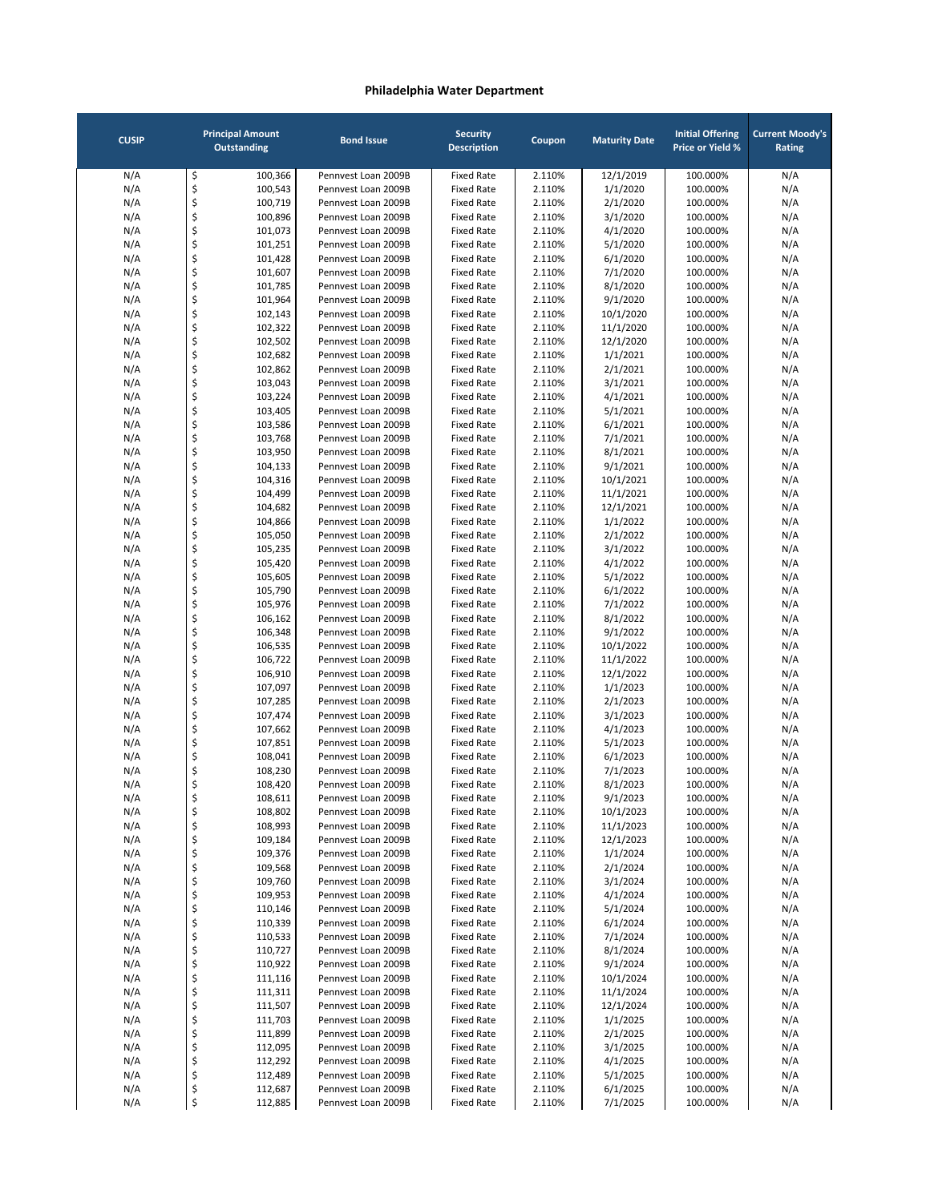| <b>CUSIP</b> |          | <b>Principal Amount</b><br><b>Outstanding</b> | <b>Bond Issue</b>                          | <b>Security</b><br><b>Description</b>  | Coupon           | <b>Maturity Date</b> | <b>Initial Offering</b><br><b>Price or Yield %</b> | <b>Current Moody's</b><br>Rating |
|--------------|----------|-----------------------------------------------|--------------------------------------------|----------------------------------------|------------------|----------------------|----------------------------------------------------|----------------------------------|
| N/A          | \$       | 100,366                                       | Pennvest Loan 2009B                        | <b>Fixed Rate</b>                      | 2.110%           | 12/1/2019            | 100.000%                                           | N/A                              |
| N/A          | \$       | 100,543                                       | Pennvest Loan 2009B                        | <b>Fixed Rate</b>                      | 2.110%           | 1/1/2020             | 100.000%                                           | N/A                              |
| N/A          | \$       | 100,719                                       | Pennvest Loan 2009B                        | <b>Fixed Rate</b>                      | 2.110%           | 2/1/2020             | 100.000%                                           | N/A                              |
| N/A          | \$       | 100,896                                       | Pennvest Loan 2009B                        | <b>Fixed Rate</b>                      | 2.110%           | 3/1/2020             | 100.000%                                           | N/A                              |
| N/A          | \$       | 101,073                                       | Pennvest Loan 2009B                        | <b>Fixed Rate</b>                      | 2.110%           | 4/1/2020             | 100.000%                                           | N/A                              |
| N/A          | \$       | 101,251                                       | Pennvest Loan 2009B                        | <b>Fixed Rate</b>                      | 2.110%           | 5/1/2020             | 100.000%                                           | N/A                              |
| N/A          | \$       | 101,428                                       | Pennvest Loan 2009B                        | <b>Fixed Rate</b>                      | 2.110%           | 6/1/2020             | 100.000%                                           | N/A                              |
| N/A          | \$       | 101,607                                       | Pennvest Loan 2009B                        | <b>Fixed Rate</b>                      | 2.110%           | 7/1/2020             | 100.000%                                           | N/A                              |
| N/A          | \$       | 101,785                                       | Pennvest Loan 2009B                        | <b>Fixed Rate</b>                      | 2.110%           | 8/1/2020             | 100.000%                                           | N/A                              |
| N/A          | \$       | 101,964                                       | Pennyest Loan 2009B                        | <b>Fixed Rate</b>                      | 2.110%           | 9/1/2020             | 100.000%                                           | N/A                              |
| N/A          | \$       | 102,143                                       | Pennvest Loan 2009B                        | <b>Fixed Rate</b>                      | 2.110%           | 10/1/2020            | 100.000%                                           | N/A                              |
| N/A          | \$<br>\$ | 102,322                                       | Pennyest Loan 2009B                        | <b>Fixed Rate</b>                      | 2.110%           | 11/1/2020            | 100.000%                                           | N/A                              |
| N/A          | \$       | 102,502                                       | Pennvest Loan 2009B<br>Pennvest Loan 2009B | <b>Fixed Rate</b><br><b>Fixed Rate</b> | 2.110%           | 12/1/2020            | 100.000%                                           | N/A                              |
| N/A<br>N/A   | \$       | 102,682<br>102,862                            | Pennvest Loan 2009B                        | <b>Fixed Rate</b>                      | 2.110%<br>2.110% | 1/1/2021<br>2/1/2021 | 100.000%<br>100.000%                               | N/A<br>N/A                       |
| N/A          | \$       | 103,043                                       | Pennvest Loan 2009B                        | <b>Fixed Rate</b>                      | 2.110%           | 3/1/2021             | 100.000%                                           | N/A                              |
| N/A          | \$       | 103,224                                       | Pennvest Loan 2009B                        | <b>Fixed Rate</b>                      | 2.110%           | 4/1/2021             | 100.000%                                           | N/A                              |
| N/A          | \$       | 103,405                                       | Pennvest Loan 2009B                        | <b>Fixed Rate</b>                      | 2.110%           | 5/1/2021             | 100.000%                                           | N/A                              |
| N/A          | \$       | 103,586                                       | Pennvest Loan 2009B                        | <b>Fixed Rate</b>                      | 2.110%           | 6/1/2021             | 100.000%                                           | N/A                              |
| N/A          | \$       | 103,768                                       | Pennvest Loan 2009B                        | <b>Fixed Rate</b>                      | 2.110%           | 7/1/2021             | 100.000%                                           | N/A                              |
| N/A          | \$       | 103,950                                       | Pennvest Loan 2009B                        | <b>Fixed Rate</b>                      | 2.110%           | 8/1/2021             | 100.000%                                           | N/A                              |
| N/A          | \$       | 104,133                                       | Pennvest Loan 2009B                        | <b>Fixed Rate</b>                      | 2.110%           | 9/1/2021             | 100.000%                                           | N/A                              |
| N/A          | \$       | 104,316                                       | Pennvest Loan 2009B                        | <b>Fixed Rate</b>                      | 2.110%           | 10/1/2021            | 100.000%                                           | N/A                              |
| N/A          | \$       | 104,499                                       | Pennyest Loan 2009B                        | <b>Fixed Rate</b>                      | 2.110%           | 11/1/2021            | 100.000%                                           | N/A                              |
| N/A          | \$       | 104,682                                       | Pennvest Loan 2009B                        | <b>Fixed Rate</b>                      | 2.110%           | 12/1/2021            | 100.000%                                           | N/A                              |
| N/A          | \$       | 104,866                                       | Pennyest Loan 2009B                        | <b>Fixed Rate</b>                      | 2.110%           | 1/1/2022             | 100.000%                                           | N/A                              |
| N/A          | \$       | 105,050                                       | Pennvest Loan 2009B                        | <b>Fixed Rate</b>                      | 2.110%           | 2/1/2022             | 100.000%                                           | N/A                              |
| N/A          | \$       | 105,235                                       | Pennvest Loan 2009B                        | <b>Fixed Rate</b>                      | 2.110%           | 3/1/2022             | 100.000%                                           | N/A                              |
| N/A          | \$       | 105,420                                       | Pennvest Loan 2009B                        | <b>Fixed Rate</b>                      | 2.110%           | 4/1/2022             | 100.000%                                           | N/A                              |
| N/A          | \$       | 105,605                                       | Pennvest Loan 2009B                        | <b>Fixed Rate</b>                      | 2.110%           | 5/1/2022             | 100.000%                                           | N/A                              |
| N/A          | \$       | 105,790                                       | Pennvest Loan 2009B                        | <b>Fixed Rate</b>                      | 2.110%           | 6/1/2022             | 100.000%                                           | N/A                              |
| N/A          | \$       | 105,976                                       | Pennvest Loan 2009B                        | <b>Fixed Rate</b>                      | 2.110%           | 7/1/2022             | 100.000%                                           | N/A                              |
| N/A          | \$       | 106,162                                       | Pennvest Loan 2009B                        | <b>Fixed Rate</b>                      | 2.110%           | 8/1/2022             | 100.000%                                           | N/A                              |
| N/A          | \$       | 106,348                                       | Pennvest Loan 2009B                        | <b>Fixed Rate</b>                      | 2.110%           | 9/1/2022             | 100.000%                                           | N/A                              |
| N/A          | \$       | 106,535                                       | Pennvest Loan 2009B                        | <b>Fixed Rate</b>                      | 2.110%           | 10/1/2022            | 100.000%                                           | N/A                              |
| N/A          | \$       | 106,722                                       | Pennvest Loan 2009B                        | <b>Fixed Rate</b>                      | 2.110%           | 11/1/2022            | 100.000%                                           | N/A                              |
| N/A          | \$       | 106,910                                       | Pennvest Loan 2009B                        | <b>Fixed Rate</b>                      | 2.110%           | 12/1/2022            | 100.000%                                           | N/A                              |
| N/A          | \$       | 107,097                                       | Pennvest Loan 2009B                        | <b>Fixed Rate</b>                      | 2.110%           | 1/1/2023             | 100.000%                                           | N/A                              |
| N/A          | \$       | 107,285                                       | Pennvest Loan 2009B                        | <b>Fixed Rate</b>                      | 2.110%           | 2/1/2023             | 100.000%                                           | N/A                              |
| N/A          | \$       | 107,474                                       | Pennvest Loan 2009B                        | <b>Fixed Rate</b>                      | 2.110%           | 3/1/2023             | 100.000%                                           | N/A                              |
| N/A          | \$       | 107,662                                       | Pennvest Loan 2009B                        | <b>Fixed Rate</b>                      | 2.110%           | 4/1/2023             | 100.000%                                           | N/A                              |
| N/A          | \$       | 107,851                                       | Pennvest Loan 2009B                        | <b>Fixed Rate</b>                      | 2.110%           | 5/1/2023             | 100.000%                                           | N/A                              |
| N/A          | \$       | 108,041                                       | Pennvest Loan 2009B                        | <b>Fixed Rate</b>                      | 2.110%           | 6/1/2023             | 100.000%                                           | N/A                              |
| N/A          | \$       | 108,230                                       | Pennvest Loan 2009B                        | <b>Fixed Rate</b>                      | 2.110%           | 7/1/2023             | 100.000%                                           | N/A                              |
| N/A          | \$       | 108,420                                       | Pennyest Loan 2009B                        | <b>Fixed Rate</b>                      | 2.110%           | 8/1/2023             | 100.000%                                           | N/A                              |
| N/A          | Ş        | 108,611                                       | Pennvest Loan 2009B                        | Fixed Rate                             | 2.110%           | 9/1/2023             | 100.000%                                           | N/A                              |
| N/A          | \$       | 108,802                                       | Pennvest Loan 2009B                        | <b>Fixed Rate</b>                      | 2.110%           | 10/1/2023            | 100.000%                                           | N/A                              |
| N/A          | \$       | 108,993                                       | Pennvest Loan 2009B                        | <b>Fixed Rate</b>                      | 2.110%           | 11/1/2023            | 100.000%                                           | N/A                              |
| N/A          | \$       | 109,184                                       | Pennvest Loan 2009B                        | <b>Fixed Rate</b>                      | 2.110%           | 12/1/2023            | 100.000%                                           | N/A                              |
| N/A          | \$       | 109,376                                       | Pennvest Loan 2009B                        | <b>Fixed Rate</b>                      | 2.110%           | 1/1/2024             | 100.000%                                           | N/A                              |
| N/A          | \$       | 109,568                                       | Pennvest Loan 2009B                        | <b>Fixed Rate</b>                      | 2.110%           | 2/1/2024             | 100.000%                                           | N/A                              |
| N/A          | \$       | 109,760                                       | Pennvest Loan 2009B                        | <b>Fixed Rate</b>                      | 2.110%           | 3/1/2024             | 100.000%                                           | N/A                              |
| N/A          | \$       | 109,953                                       | Pennvest Loan 2009B                        | <b>Fixed Rate</b>                      | 2.110%           | 4/1/2024             | 100.000%                                           | N/A                              |
| N/A          | \$       | 110,146                                       | Pennvest Loan 2009B                        | <b>Fixed Rate</b>                      | 2.110%           | 5/1/2024             | 100.000%                                           | N/A                              |
| N/A<br>N/A   | \$<br>\$ | 110,339                                       | Pennvest Loan 2009B                        | <b>Fixed Rate</b><br><b>Fixed Rate</b> | 2.110%           | 6/1/2024             | 100.000%                                           | N/A                              |
|              | \$       | 110,533                                       | Pennvest Loan 2009B                        |                                        | 2.110%           | 7/1/2024             | 100.000%                                           | N/A                              |
| N/A<br>N/A   | \$       | 110,727<br>110,922                            | Pennvest Loan 2009B<br>Pennvest Loan 2009B | <b>Fixed Rate</b><br><b>Fixed Rate</b> | 2.110%           | 8/1/2024<br>9/1/2024 | 100.000%<br>100.000%                               | N/A<br>N/A                       |
| N/A          | \$       | 111,116                                       | Pennvest Loan 2009B                        | <b>Fixed Rate</b>                      | 2.110%<br>2.110% | 10/1/2024            | 100.000%                                           | N/A                              |
| N/A          | \$       | 111,311                                       | Pennvest Loan 2009B                        | <b>Fixed Rate</b>                      | 2.110%           | 11/1/2024            | 100.000%                                           | N/A                              |
| N/A          | \$       | 111,507                                       | Pennvest Loan 2009B                        | <b>Fixed Rate</b>                      | 2.110%           | 12/1/2024            | 100.000%                                           | N/A                              |
| N/A          | \$       | 111,703                                       | Pennvest Loan 2009B                        | <b>Fixed Rate</b>                      | 2.110%           | 1/1/2025             | 100.000%                                           | N/A                              |
| N/A          | \$       | 111,899                                       | Pennvest Loan 2009B                        | <b>Fixed Rate</b>                      | 2.110%           | 2/1/2025             | 100.000%                                           | N/A                              |
| N/A          | \$       | 112,095                                       | Pennvest Loan 2009B                        | <b>Fixed Rate</b>                      | 2.110%           | 3/1/2025             | 100.000%                                           | N/A                              |
| N/A          | \$       | 112,292                                       | Pennvest Loan 2009B                        | <b>Fixed Rate</b>                      | 2.110%           | 4/1/2025             | 100.000%                                           | N/A                              |
| N/A          | \$       | 112,489                                       | Pennvest Loan 2009B                        | <b>Fixed Rate</b>                      | 2.110%           | 5/1/2025             | 100.000%                                           | N/A                              |
| N/A          | \$       | 112,687                                       | Pennvest Loan 2009B                        | <b>Fixed Rate</b>                      | 2.110%           | 6/1/2025             | 100.000%                                           | N/A                              |
| N/A          | \$       | 112,885                                       | Pennvest Loan 2009B                        | <b>Fixed Rate</b>                      | 2.110%           | 7/1/2025             | 100.000%                                           | N/A                              |
|              |          |                                               |                                            |                                        |                  |                      |                                                    |                                  |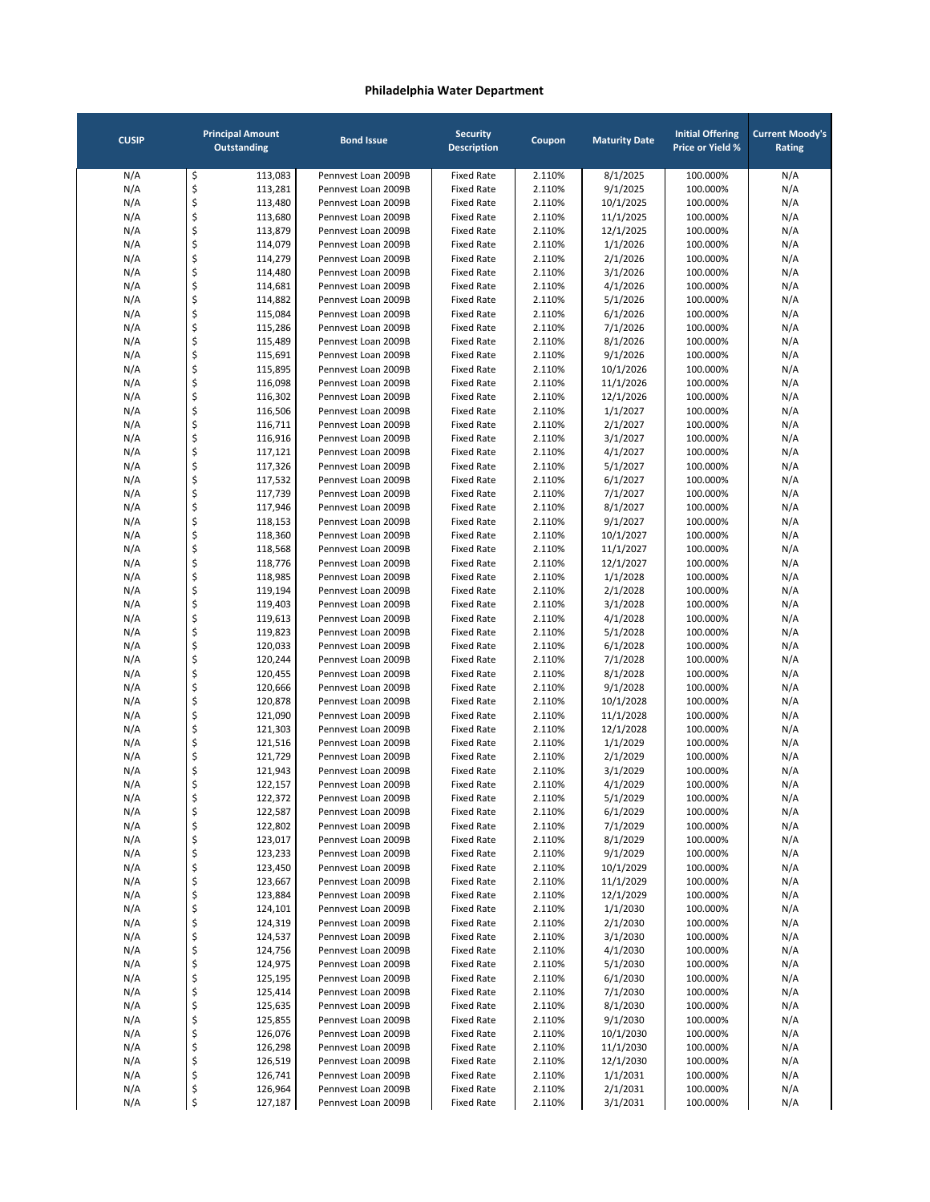| <b>CUSIP</b> |          | <b>Principal Amount</b><br><b>Outstanding</b> | <b>Bond Issue</b>                          | <b>Security</b><br><b>Description</b>  | Coupon           | <b>Maturity Date</b>   | <b>Initial Offering</b><br><b>Price or Yield %</b> | <b>Current Moody's</b><br>Rating |
|--------------|----------|-----------------------------------------------|--------------------------------------------|----------------------------------------|------------------|------------------------|----------------------------------------------------|----------------------------------|
| N/A          | \$       | 113,083                                       | Pennvest Loan 2009B                        | <b>Fixed Rate</b>                      | 2.110%           | 8/1/2025               | 100.000%                                           | N/A                              |
| N/A          | \$       | 113,281                                       | Pennvest Loan 2009B                        | <b>Fixed Rate</b>                      | 2.110%           | 9/1/2025               | 100.000%                                           | N/A                              |
| N/A          | \$       | 113,480                                       | Pennyest Loan 2009B                        | <b>Fixed Rate</b>                      | 2.110%           | 10/1/2025              | 100.000%                                           | N/A                              |
| N/A          | \$       | 113,680                                       | Pennvest Loan 2009B                        | <b>Fixed Rate</b>                      | 2.110%           | 11/1/2025              | 100.000%                                           | N/A                              |
| N/A          | \$       | 113,879                                       | Pennvest Loan 2009B                        | <b>Fixed Rate</b>                      | 2.110%           | 12/1/2025              | 100.000%                                           | N/A                              |
| N/A          | \$       | 114,079                                       | Pennvest Loan 2009B                        | <b>Fixed Rate</b>                      | 2.110%           | 1/1/2026               | 100.000%                                           | N/A                              |
| N/A          | \$       | 114,279                                       | Pennvest Loan 2009B                        | <b>Fixed Rate</b>                      | 2.110%           | 2/1/2026               | 100.000%                                           | N/A                              |
| N/A          | \$       | 114,480                                       | Pennvest Loan 2009B                        | <b>Fixed Rate</b>                      | 2.110%           | 3/1/2026               | 100.000%                                           | N/A                              |
| N/A          | \$       | 114,681                                       | Pennvest Loan 2009B                        | <b>Fixed Rate</b>                      | 2.110%           | 4/1/2026               | 100.000%                                           | N/A                              |
| N/A          | \$       | 114,882                                       | Pennvest Loan 2009B                        | <b>Fixed Rate</b>                      | 2.110%           | 5/1/2026               | 100.000%                                           | N/A                              |
| N/A          | \$       | 115,084                                       | Pennvest Loan 2009B                        | <b>Fixed Rate</b>                      | 2.110%           | 6/1/2026               | 100.000%                                           | N/A                              |
| N/A          | \$       | 115,286                                       | Pennvest Loan 2009B                        | <b>Fixed Rate</b>                      | 2.110%           | 7/1/2026               | 100.000%                                           | N/A                              |
| N/A          | \$       | 115,489                                       | Pennvest Loan 2009B                        | <b>Fixed Rate</b>                      | 2.110%           | 8/1/2026               | 100.000%                                           | N/A                              |
| N/A          | \$       | 115,691                                       | Pennvest Loan 2009B                        | <b>Fixed Rate</b>                      | 2.110%           | 9/1/2026               | 100.000%                                           | N/A                              |
| N/A<br>N/A   | \$<br>\$ | 115,895<br>116,098                            | Pennvest Loan 2009B<br>Pennvest Loan 2009B | <b>Fixed Rate</b><br><b>Fixed Rate</b> | 2.110%<br>2.110% | 10/1/2026<br>11/1/2026 | 100.000%<br>100.000%                               | N/A<br>N/A                       |
| N/A          | \$       | 116,302                                       | Pennvest Loan 2009B                        | <b>Fixed Rate</b>                      | 2.110%           | 12/1/2026              | 100.000%                                           | N/A                              |
| N/A          | \$       | 116,506                                       | Pennvest Loan 2009B                        | <b>Fixed Rate</b>                      | 2.110%           | 1/1/2027               | 100.000%                                           | N/A                              |
| N/A          | \$       | 116,711                                       | Pennvest Loan 2009B                        | <b>Fixed Rate</b>                      | 2.110%           | 2/1/2027               | 100.000%                                           | N/A                              |
| N/A          | \$       | 116,916                                       | Pennvest Loan 2009B                        | <b>Fixed Rate</b>                      | 2.110%           | 3/1/2027               | 100.000%                                           | N/A                              |
| N/A          | \$       | 117,121                                       | Pennvest Loan 2009B                        | <b>Fixed Rate</b>                      | 2.110%           | 4/1/2027               | 100.000%                                           | N/A                              |
| N/A          | \$       | 117,326                                       | Pennvest Loan 2009B                        | <b>Fixed Rate</b>                      | 2.110%           | 5/1/2027               | 100.000%                                           | N/A                              |
| N/A          | \$       | 117,532                                       | Pennvest Loan 2009B                        | <b>Fixed Rate</b>                      | 2.110%           | 6/1/2027               | 100.000%                                           | N/A                              |
| N/A          | \$       | 117,739                                       | Pennyest Loan 2009B                        | <b>Fixed Rate</b>                      | 2.110%           | 7/1/2027               | 100.000%                                           | N/A                              |
| N/A          | \$       | 117,946                                       | Pennvest Loan 2009B                        | <b>Fixed Rate</b>                      | 2.110%           | 8/1/2027               | 100.000%                                           | N/A                              |
| N/A          | \$       | 118,153                                       | Pennvest Loan 2009B                        | <b>Fixed Rate</b>                      | 2.110%           | 9/1/2027               | 100.000%                                           | N/A                              |
| N/A          | \$       | 118,360                                       | Pennvest Loan 2009B                        | <b>Fixed Rate</b>                      | 2.110%           | 10/1/2027              | 100.000%                                           | N/A                              |
| N/A          | \$       | 118,568                                       | Pennyest Loan 2009B                        | <b>Fixed Rate</b>                      | 2.110%           | 11/1/2027              | 100.000%                                           | N/A                              |
| N/A          | \$       | 118,776                                       | Pennvest Loan 2009B                        | <b>Fixed Rate</b>                      | 2.110%           | 12/1/2027              | 100.000%                                           | N/A                              |
| N/A          | \$       | 118,985                                       | Pennvest Loan 2009B                        | <b>Fixed Rate</b>                      | 2.110%           | 1/1/2028               | 100.000%                                           | N/A                              |
| N/A          | \$       | 119,194                                       | Pennvest Loan 2009B                        | <b>Fixed Rate</b>                      | 2.110%           | 2/1/2028               | 100.000%                                           | N/A                              |
| N/A          | \$       | 119,403                                       | Pennvest Loan 2009B                        | <b>Fixed Rate</b>                      | 2.110%           | 3/1/2028               | 100.000%                                           | N/A                              |
| N/A          | \$       | 119,613                                       | Pennvest Loan 2009B                        | <b>Fixed Rate</b>                      | 2.110%           | 4/1/2028               | 100.000%                                           | N/A                              |
| N/A          | \$       | 119,823                                       | Pennvest Loan 2009B                        | <b>Fixed Rate</b>                      | 2.110%           | 5/1/2028               | 100.000%                                           | N/A                              |
| N/A          | \$       | 120,033                                       | Pennvest Loan 2009B                        | <b>Fixed Rate</b>                      | 2.110%           | 6/1/2028               | 100.000%                                           | N/A                              |
| N/A          | \$       | 120,244                                       | Pennvest Loan 2009B                        | <b>Fixed Rate</b>                      | 2.110%           | 7/1/2028               | 100.000%                                           | N/A                              |
| N/A          | \$       | 120,455                                       | Pennvest Loan 2009B                        | <b>Fixed Rate</b>                      | 2.110%           | 8/1/2028               | 100.000%                                           | N/A                              |
| N/A          | \$       | 120,666                                       | Pennvest Loan 2009B                        | <b>Fixed Rate</b>                      | 2.110%           | 9/1/2028               | 100.000%                                           | N/A                              |
| N/A          | \$       | 120,878                                       | Pennvest Loan 2009B                        | <b>Fixed Rate</b>                      | 2.110%           | 10/1/2028              | 100.000%                                           | N/A                              |
| N/A<br>N/A   | \$<br>\$ | 121,090<br>121,303                            | Pennvest Loan 2009B<br>Pennvest Loan 2009B | <b>Fixed Rate</b><br><b>Fixed Rate</b> | 2.110%<br>2.110% | 11/1/2028<br>12/1/2028 | 100.000%<br>100.000%                               | N/A<br>N/A                       |
| N/A          | \$       | 121,516                                       | Pennvest Loan 2009B                        | <b>Fixed Rate</b>                      | 2.110%           | 1/1/2029               | 100.000%                                           | N/A                              |
| N/A          | \$       | 121,729                                       | Pennyest Loan 2009B                        | <b>Fixed Rate</b>                      | 2.110%           | 2/1/2029               | 100.000%                                           | N/A                              |
| N/A          | \$       | 121,943                                       | Pennyest Loan 2009B                        | <b>Fixed Rate</b>                      | 2.110%           | 3/1/2029               | 100.000%                                           | N/A                              |
| N/A          | \$       | 122,157                                       | Pennvest Loan 2009B                        | <b>Fixed Rate</b>                      | 2.110%           | 4/1/2029               | 100.000%                                           | N/A                              |
| N/A          | Ş        | 122,372                                       | Pennvest Loan 2009B                        | Fixed Rate                             | 2.110%           | 5/1/2029               | 100.000%                                           | N/A                              |
| N/A          | \$       | 122,587                                       | Pennvest Loan 2009B                        | <b>Fixed Rate</b>                      | 2.110%           | 6/1/2029               | 100.000%                                           | N/A                              |
| N/A          | \$       | 122,802                                       | Pennvest Loan 2009B                        | <b>Fixed Rate</b>                      | 2.110%           | 7/1/2029               | 100.000%                                           | N/A                              |
| N/A          | \$       | 123,017                                       | Pennvest Loan 2009B                        | <b>Fixed Rate</b>                      | 2.110%           | 8/1/2029               | 100.000%                                           | N/A                              |
| N/A          | \$       | 123,233                                       | Pennvest Loan 2009B                        | <b>Fixed Rate</b>                      | 2.110%           | 9/1/2029               | 100.000%                                           | N/A                              |
| N/A          | \$       | 123,450                                       | Pennvest Loan 2009B                        | <b>Fixed Rate</b>                      | 2.110%           | 10/1/2029              | 100.000%                                           | N/A                              |
| N/A          | \$       | 123,667                                       | Pennvest Loan 2009B                        | <b>Fixed Rate</b>                      | 2.110%           | 11/1/2029              | 100.000%                                           | N/A                              |
| N/A          | \$       | 123,884                                       | Pennvest Loan 2009B                        | <b>Fixed Rate</b>                      | 2.110%           | 12/1/2029              | 100.000%                                           | N/A                              |
| N/A          | \$       | 124,101                                       | Pennvest Loan 2009B                        | <b>Fixed Rate</b>                      | 2.110%           | 1/1/2030               | 100.000%                                           | N/A                              |
| N/A          | \$       | 124,319                                       | Pennvest Loan 2009B                        | <b>Fixed Rate</b>                      | 2.110%           | 2/1/2030               | 100.000%                                           | N/A                              |
| N/A          | \$       | 124,537                                       | Pennvest Loan 2009B                        | <b>Fixed Rate</b>                      | 2.110%           | 3/1/2030               | 100.000%                                           | N/A                              |
| N/A          | \$       | 124,756                                       | Pennvest Loan 2009B                        | <b>Fixed Rate</b>                      | 2.110%           | 4/1/2030               | 100.000%                                           | N/A                              |
| N/A          | \$       | 124,975                                       | Pennvest Loan 2009B                        | <b>Fixed Rate</b>                      | 2.110%           | 5/1/2030               | 100.000%                                           | N/A                              |
| N/A          | \$       | 125,195                                       | Pennvest Loan 2009B                        | <b>Fixed Rate</b>                      | 2.110%           | 6/1/2030               | 100.000%                                           | N/A                              |
| N/A          | \$       | 125,414                                       | Pennvest Loan 2009B                        | <b>Fixed Rate</b>                      | 2.110%           | 7/1/2030               | 100.000%                                           | N/A                              |
| N/A          | \$<br>\$ | 125,635<br>125,855                            | Pennvest Loan 2009B<br>Pennvest Loan 2009B | <b>Fixed Rate</b><br><b>Fixed Rate</b> | 2.110%           | 8/1/2030               | 100.000%<br>100.000%                               | N/A                              |
| N/A<br>N/A   |          | 126,076                                       | Pennvest Loan 2009B                        | <b>Fixed Rate</b>                      | 2.110%<br>2.110% | 9/1/2030<br>10/1/2030  | 100.000%                                           | N/A<br>N/A                       |
| N/A          |          |                                               |                                            |                                        |                  |                        |                                                    |                                  |
|              | \$       |                                               |                                            |                                        |                  |                        |                                                    |                                  |
|              | \$       | 126,298                                       | Pennvest Loan 2009B                        | <b>Fixed Rate</b>                      | 2.110%           | 11/1/2030              | 100.000%                                           | N/A                              |
| N/A          | \$       | 126,519                                       | Pennvest Loan 2009B                        | <b>Fixed Rate</b>                      | 2.110%           | 12/1/2030              | 100.000%                                           | N/A                              |
| N/A<br>N/A   | \$<br>\$ | 126,741<br>126,964                            | Pennvest Loan 2009B<br>Pennvest Loan 2009B | <b>Fixed Rate</b><br><b>Fixed Rate</b> | 2.110%<br>2.110% | 1/1/2031<br>2/1/2031   | 100.000%<br>100.000%                               | N/A<br>N/A                       |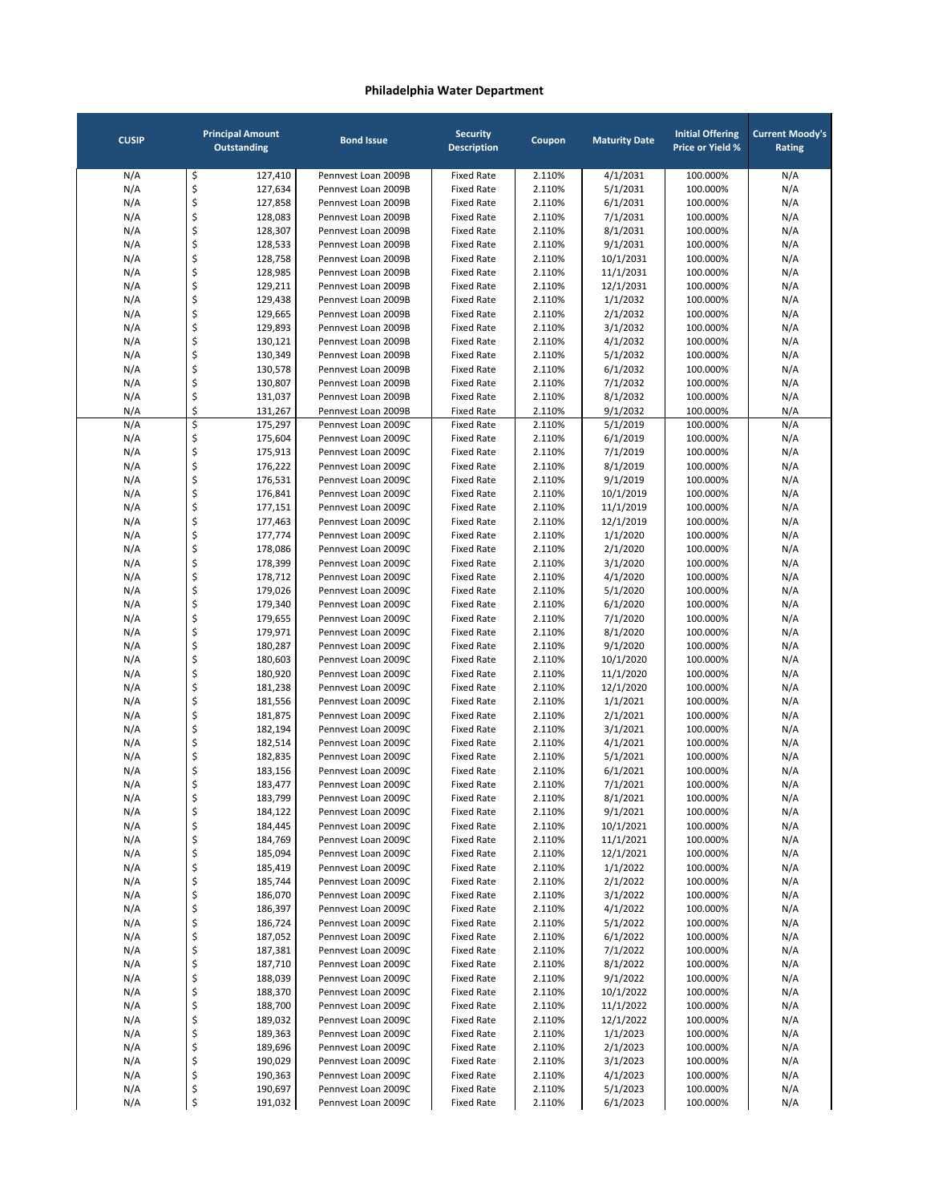| <b>CUSIP</b> |          | <b>Principal Amount</b><br><b>Outstanding</b> | <b>Bond Issue</b>                          | <b>Security</b><br><b>Description</b>  | Coupon           | <b>Maturity Date</b> | <b>Initial Offering</b><br><b>Price or Yield %</b> | <b>Current Moody's</b><br>Rating |
|--------------|----------|-----------------------------------------------|--------------------------------------------|----------------------------------------|------------------|----------------------|----------------------------------------------------|----------------------------------|
| N/A          | \$       | 127,410                                       | Pennvest Loan 2009B                        | <b>Fixed Rate</b>                      | 2.110%           | 4/1/2031             | 100.000%                                           | N/A                              |
| N/A          | \$       | 127,634                                       | Pennvest Loan 2009B                        | <b>Fixed Rate</b>                      | 2.110%           | 5/1/2031             | 100.000%                                           | N/A                              |
| N/A          | \$       | 127,858                                       | Pennvest Loan 2009B                        | <b>Fixed Rate</b>                      | 2.110%           | 6/1/2031             | 100.000%                                           | N/A                              |
| N/A          | \$       | 128,083                                       | Pennyest Loan 2009B                        | <b>Fixed Rate</b>                      | 2.110%           | 7/1/2031             | 100.000%                                           | N/A                              |
| N/A          | \$       | 128,307                                       | Pennvest Loan 2009B                        | <b>Fixed Rate</b>                      | 2.110%           | 8/1/2031             | 100.000%                                           | N/A                              |
| N/A          | \$       | 128,533                                       | Pennvest Loan 2009B                        | <b>Fixed Rate</b>                      | 2.110%           | 9/1/2031             | 100.000%                                           | N/A                              |
| N/A          | \$       | 128,758                                       | Pennvest Loan 2009B                        | <b>Fixed Rate</b>                      | 2.110%           | 10/1/2031            | 100.000%                                           | N/A                              |
| N/A          | \$       | 128,985                                       | Pennvest Loan 2009B                        | <b>Fixed Rate</b>                      | 2.110%           | 11/1/2031            | 100.000%                                           | N/A                              |
| N/A          | \$       | 129,211                                       | Pennvest Loan 2009B                        | <b>Fixed Rate</b>                      | 2.110%           | 12/1/2031            | 100.000%                                           | N/A                              |
| N/A          | \$       | 129,438                                       | Pennvest Loan 2009B                        | <b>Fixed Rate</b>                      | 2.110%           | 1/1/2032             | 100.000%                                           | N/A                              |
| N/A          | \$       | 129,665                                       | Pennvest Loan 2009B                        | <b>Fixed Rate</b>                      | 2.110%           | 2/1/2032             | 100.000%                                           | N/A                              |
| N/A          | \$       | 129,893                                       | Pennvest Loan 2009B<br>Pennvest Loan 2009B | <b>Fixed Rate</b><br><b>Fixed Rate</b> | 2.110%           | 3/1/2032             | 100.000%                                           | N/A                              |
| N/A          | \$<br>\$ | 130,121<br>130,349                            | Pennvest Loan 2009B                        | <b>Fixed Rate</b>                      | 2.110%<br>2.110% | 4/1/2032<br>5/1/2032 | 100.000%<br>100.000%                               | N/A                              |
| N/A<br>N/A   | \$       | 130,578                                       | Pennvest Loan 2009B                        | <b>Fixed Rate</b>                      | 2.110%           | 6/1/2032             | 100.000%                                           | N/A<br>N/A                       |
| N/A          | \$       | 130,807                                       | Pennvest Loan 2009B                        | <b>Fixed Rate</b>                      | 2.110%           | 7/1/2032             | 100.000%                                           | N/A                              |
| N/A          | \$       | 131,037                                       | Pennvest Loan 2009B                        | <b>Fixed Rate</b>                      | 2.110%           | 8/1/2032             | 100.000%                                           | N/A                              |
| N/A          | \$       | 131,267                                       | Pennvest Loan 2009B                        | <b>Fixed Rate</b>                      | 2.110%           | 9/1/2032             | 100.000%                                           | N/A                              |
| N/A          | \$       | 175,297                                       | Pennvest Loan 2009C                        | <b>Fixed Rate</b>                      | 2.110%           | 5/1/2019             | 100.000%                                           | N/A                              |
| N/A          | \$       | 175,604                                       | Pennyest Loan 2009C                        | <b>Fixed Rate</b>                      | 2.110%           | 6/1/2019             | 100.000%                                           | N/A                              |
| N/A          | \$       | 175,913                                       | Pennyest Loan 2009C                        | <b>Fixed Rate</b>                      | 2.110%           | 7/1/2019             | 100.000%                                           | N/A                              |
| N/A          | \$       | 176,222                                       | Pennvest Loan 2009C                        | <b>Fixed Rate</b>                      | 2.110%           | 8/1/2019             | 100.000%                                           | N/A                              |
| N/A          | \$       | 176,531                                       | Pennvest Loan 2009C                        | <b>Fixed Rate</b>                      | 2.110%           | 9/1/2019             | 100.000%                                           | N/A                              |
| N/A          | \$       | 176,841                                       | Pennvest Loan 2009C                        | <b>Fixed Rate</b>                      | 2.110%           | 10/1/2019            | 100.000%                                           | N/A                              |
| N/A          | \$       | 177,151                                       | Pennvest Loan 2009C                        | <b>Fixed Rate</b>                      | 2.110%           | 11/1/2019            | 100.000%                                           | N/A                              |
| N/A          | \$       | 177,463                                       | Pennvest Loan 2009C                        | <b>Fixed Rate</b>                      | 2.110%           | 12/1/2019            | 100.000%                                           | N/A                              |
| N/A          | \$       | 177,774                                       | Pennvest Loan 2009C                        | <b>Fixed Rate</b>                      | 2.110%           | 1/1/2020             | 100.000%                                           | N/A                              |
| N/A          | \$       | 178,086                                       | Pennvest Loan 2009C                        | <b>Fixed Rate</b>                      | 2.110%           | 2/1/2020             | 100.000%                                           | N/A                              |
| N/A          | \$       | 178,399                                       | Pennvest Loan 2009C                        | <b>Fixed Rate</b>                      | 2.110%           | 3/1/2020             | 100.000%                                           | N/A                              |
| N/A          | \$       | 178,712                                       | Pennvest Loan 2009C                        | <b>Fixed Rate</b>                      | 2.110%           | 4/1/2020             | 100.000%                                           | N/A                              |
| N/A          | \$       | 179,026                                       | Pennvest Loan 2009C                        | <b>Fixed Rate</b>                      | 2.110%           | 5/1/2020             | 100.000%                                           | N/A                              |
| N/A          | \$       | 179,340                                       | Pennvest Loan 2009C                        | <b>Fixed Rate</b>                      | 2.110%           | 6/1/2020             | 100.000%                                           | N/A                              |
| N/A          | \$       | 179,655                                       | Pennvest Loan 2009C                        | <b>Fixed Rate</b>                      | 2.110%           | 7/1/2020             | 100.000%                                           | N/A                              |
| N/A          | \$       | 179,971                                       | Pennvest Loan 2009C                        | <b>Fixed Rate</b>                      | 2.110%           | 8/1/2020             | 100.000%                                           | N/A                              |
| N/A          | \$       | 180,287                                       | Pennvest Loan 2009C                        | <b>Fixed Rate</b>                      | 2.110%           | 9/1/2020             | 100.000%                                           | N/A                              |
| N/A          | \$       | 180,603                                       | Pennvest Loan 2009C                        | <b>Fixed Rate</b>                      | 2.110%           | 10/1/2020            | 100.000%                                           | N/A                              |
| N/A          | \$       | 180,920                                       | Pennvest Loan 2009C                        | <b>Fixed Rate</b>                      | 2.110%           | 11/1/2020            | 100.000%                                           | N/A                              |
| N/A          | \$       | 181,238                                       | Pennvest Loan 2009C                        | <b>Fixed Rate</b>                      | 2.110%           | 12/1/2020            | 100.000%                                           | N/A                              |
| N/A          | \$       | 181,556                                       | Pennyest Loan 2009C                        | <b>Fixed Rate</b>                      | 2.110%           | 1/1/2021             | 100.000%                                           | N/A                              |
| N/A          | \$       | 181,875                                       | Pennvest Loan 2009C                        | <b>Fixed Rate</b>                      | 2.110%           | 2/1/2021             | 100.000%                                           | N/A                              |
| N/A          | \$       | 182,194                                       | Pennvest Loan 2009C                        | <b>Fixed Rate</b>                      | 2.110%           | 3/1/2021             | 100.000%                                           | N/A                              |
| N/A          | \$<br>\$ | 182,514<br>182,835                            | Pennvest Loan 2009C<br>Pennvest Loan 2009C | <b>Fixed Rate</b><br><b>Fixed Rate</b> | 2.110%           | 4/1/2021             | 100.000%                                           | N/A                              |
| N/A<br>N/A   | \$       | 183,156                                       | Pennyest Loan 2009C                        | <b>Fixed Rate</b>                      | 2.110%<br>2.110% | 5/1/2021<br>6/1/2021 | 100.000%<br>100.000%                               | N/A<br>N/A                       |
| N/A          | \$       | 183,477                                       | Pennvest Loan 2009C                        | <b>Fixed Rate</b>                      | 2.110%           | 7/1/2021             | 100.000%                                           | N/A                              |
| N/A          | Ş        | 183,799                                       | Pennvest Loan 2009C                        | Fixed Rate                             | 2.110%           | 8/1/2021             | 100.000%                                           | N/A                              |
| N/A          | \$       | 184,122                                       | Pennvest Loan 2009C                        | Fixed Rate                             | 2.110%           | 9/1/2021             | 100.000%                                           | N/A                              |
| N/A          | \$       | 184,445                                       | Pennvest Loan 2009C                        | <b>Fixed Rate</b>                      | 2.110%           | 10/1/2021            | 100.000%                                           | N/A                              |
| N/A          | \$       | 184,769                                       | Pennvest Loan 2009C                        | <b>Fixed Rate</b>                      | 2.110%           | 11/1/2021            | 100.000%                                           | N/A                              |
| N/A          | \$       | 185,094                                       | Pennvest Loan 2009C                        | <b>Fixed Rate</b>                      | 2.110%           | 12/1/2021            | 100.000%                                           | N/A                              |
| N/A          | \$       | 185,419                                       | Pennvest Loan 2009C                        | <b>Fixed Rate</b>                      | 2.110%           | 1/1/2022             | 100.000%                                           | N/A                              |
| N/A          | \$       | 185,744                                       | Pennvest Loan 2009C                        | <b>Fixed Rate</b>                      | 2.110%           | 2/1/2022             | 100.000%                                           | N/A                              |
| N/A          | \$       | 186,070                                       | Pennvest Loan 2009C                        | <b>Fixed Rate</b>                      | 2.110%           | 3/1/2022             | 100.000%                                           | N/A                              |
| N/A          | \$       | 186,397                                       | Pennvest Loan 2009C                        | <b>Fixed Rate</b>                      | 2.110%           | 4/1/2022             | 100.000%                                           | N/A                              |
| N/A          | \$       | 186,724                                       | Pennvest Loan 2009C                        | <b>Fixed Rate</b>                      | 2.110%           | 5/1/2022             | 100.000%                                           | N/A                              |
| N/A          | \$       | 187,052                                       | Pennvest Loan 2009C                        | <b>Fixed Rate</b>                      | 2.110%           | 6/1/2022             | 100.000%                                           | N/A                              |
| N/A          | \$       | 187,381                                       | Pennvest Loan 2009C                        | <b>Fixed Rate</b>                      | 2.110%           | 7/1/2022             | 100.000%                                           | N/A                              |
| N/A          | \$       | 187,710                                       | Pennvest Loan 2009C                        | <b>Fixed Rate</b>                      | 2.110%           | 8/1/2022             | 100.000%                                           | N/A                              |
| N/A          | \$       | 188,039                                       | Pennvest Loan 2009C                        | <b>Fixed Rate</b>                      | 2.110%           | 9/1/2022             | 100.000%                                           | N/A                              |
| N/A          | \$       | 188,370                                       | Pennvest Loan 2009C                        | <b>Fixed Rate</b>                      | 2.110%           | 10/1/2022            | 100.000%                                           | N/A                              |
| N/A          | \$       | 188,700                                       | Pennvest Loan 2009C                        | <b>Fixed Rate</b>                      | 2.110%           | 11/1/2022            | 100.000%                                           | N/A                              |
| N/A          | \$       | 189,032                                       | Pennvest Loan 2009C                        | <b>Fixed Rate</b>                      | 2.110%           | 12/1/2022            | 100.000%                                           | N/A                              |
| N/A          | \$       | 189,363                                       | Pennvest Loan 2009C                        | <b>Fixed Rate</b>                      | 2.110%           | 1/1/2023             | 100.000%                                           | N/A                              |
| N/A          | \$       | 189,696                                       | Pennvest Loan 2009C                        | <b>Fixed Rate</b>                      | 2.110%           | 2/1/2023             | 100.000%                                           | N/A                              |
| N/A          | \$       | 190,029                                       | Pennvest Loan 2009C                        | <b>Fixed Rate</b>                      | 2.110%           | 3/1/2023             | 100.000%                                           | N/A                              |
| N/A          | \$       | 190,363<br>190,697                            | Pennvest Loan 2009C<br>Pennvest Loan 2009C | <b>Fixed Rate</b><br><b>Fixed Rate</b> | 2.110%           | 4/1/2023             | 100.000%<br>100.000%                               | N/A                              |
| N/A<br>N/A   | \$       | 191,032                                       | Pennvest Loan 2009C                        | <b>Fixed Rate</b>                      | 2.110%<br>2.110% | 5/1/2023<br>6/1/2023 | 100.000%                                           | N/A<br>N/A                       |
|              | \$       |                                               |                                            |                                        |                  |                      |                                                    |                                  |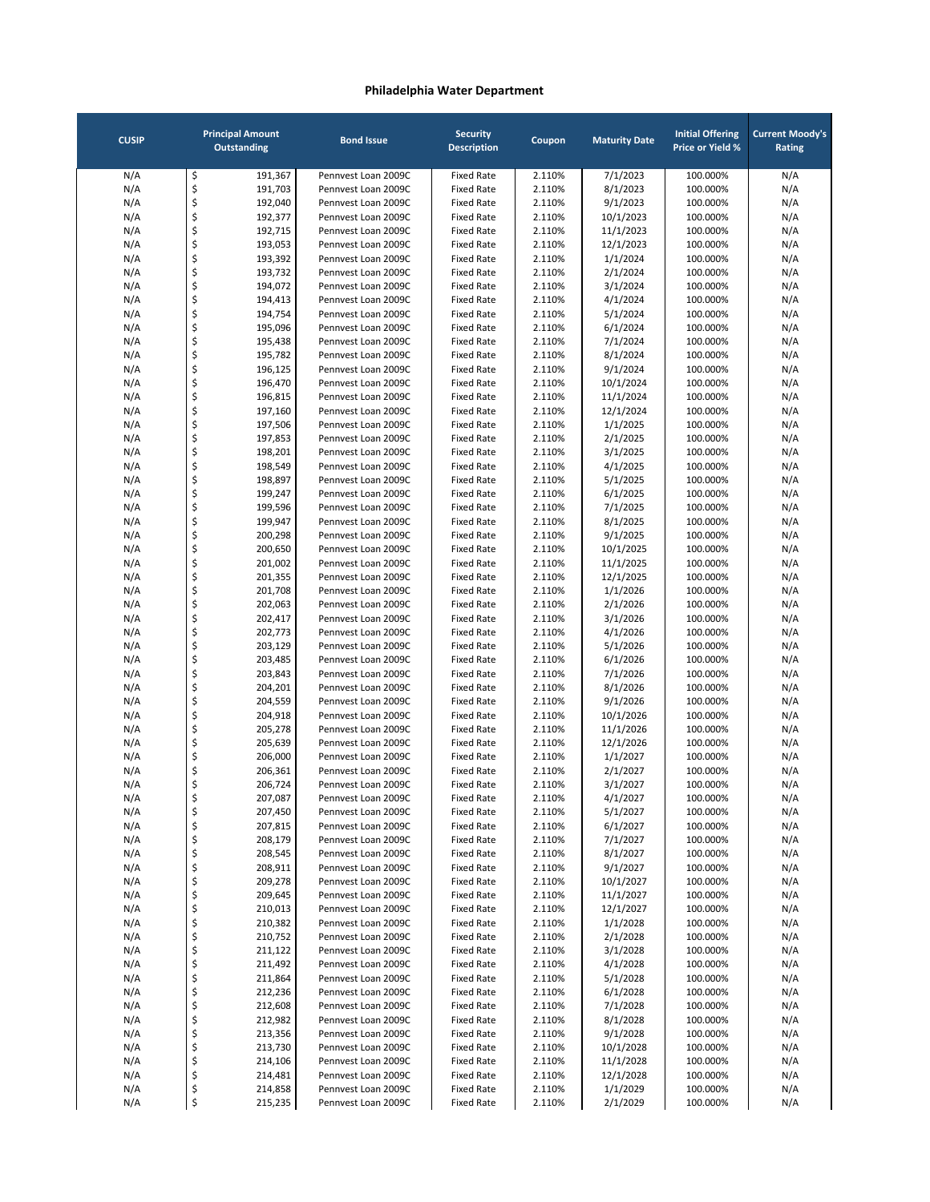| <b>CUSIP</b> |          | <b>Principal Amount</b><br><b>Outstanding</b> | <b>Bond Issue</b>                          | <b>Security</b><br><b>Description</b>  | Coupon           | <b>Maturity Date</b>   | <b>Initial Offering</b><br><b>Price or Yield %</b> | <b>Current Moody's</b><br>Rating |
|--------------|----------|-----------------------------------------------|--------------------------------------------|----------------------------------------|------------------|------------------------|----------------------------------------------------|----------------------------------|
| N/A          | \$       | 191,367                                       | Pennvest Loan 2009C                        | <b>Fixed Rate</b>                      | 2.110%           | 7/1/2023               | 100.000%                                           | N/A                              |
| N/A          | \$       | 191,703                                       | Pennvest Loan 2009C                        | <b>Fixed Rate</b>                      | 2.110%           | 8/1/2023               | 100.000%                                           | N/A                              |
| N/A          | \$       | 192,040                                       | Pennyest Loan 2009C                        | <b>Fixed Rate</b>                      | 2.110%           | 9/1/2023               | 100.000%                                           | N/A                              |
| N/A          | \$       | 192,377                                       | Pennyest Loan 2009C                        | <b>Fixed Rate</b>                      | 2.110%           | 10/1/2023              | 100.000%                                           | N/A                              |
| N/A          | \$       | 192,715                                       | Pennvest Loan 2009C                        | <b>Fixed Rate</b>                      | 2.110%           | 11/1/2023              | 100.000%                                           | N/A                              |
| N/A<br>N/A   | \$<br>\$ | 193,053<br>193,392                            | Pennvest Loan 2009C<br>Pennvest Loan 2009C | <b>Fixed Rate</b><br><b>Fixed Rate</b> | 2.110%<br>2.110% | 12/1/2023<br>1/1/2024  | 100.000%<br>100.000%                               | N/A<br>N/A                       |
| N/A          | \$       | 193,732                                       | Pennyest Loan 2009C                        | <b>Fixed Rate</b>                      | 2.110%           | 2/1/2024               | 100.000%                                           | N/A                              |
| N/A          | \$       | 194,072                                       | Pennvest Loan 2009C                        | <b>Fixed Rate</b>                      | 2.110%           | 3/1/2024               | 100.000%                                           | N/A                              |
| N/A          | \$       | 194,413                                       | Pennvest Loan 2009C                        | <b>Fixed Rate</b>                      | 2.110%           | 4/1/2024               | 100.000%                                           | N/A                              |
| N/A          | \$       | 194,754                                       | Pennyest Loan 2009C                        | <b>Fixed Rate</b>                      | 2.110%           | 5/1/2024               | 100.000%                                           | N/A                              |
| N/A          | \$       | 195,096                                       | Pennvest Loan 2009C                        | <b>Fixed Rate</b>                      | 2.110%           | 6/1/2024               | 100.000%                                           | N/A                              |
| N/A          | \$       | 195,438                                       | Pennvest Loan 2009C                        | <b>Fixed Rate</b>                      | 2.110%           | 7/1/2024               | 100.000%                                           | N/A                              |
| N/A          | \$<br>\$ | 195,782                                       | Pennvest Loan 2009C<br>Pennvest Loan 2009C | <b>Fixed Rate</b>                      | 2.110%<br>2.110% | 8/1/2024               | 100.000%                                           | N/A                              |
| N/A<br>N/A   | \$       | 196,125<br>196,470                            | Pennvest Loan 2009C                        | <b>Fixed Rate</b><br><b>Fixed Rate</b> | 2.110%           | 9/1/2024<br>10/1/2024  | 100.000%<br>100.000%                               | N/A<br>N/A                       |
| N/A          | \$       | 196,815                                       | Pennvest Loan 2009C                        | <b>Fixed Rate</b>                      | 2.110%           | 11/1/2024              | 100.000%                                           | N/A                              |
| N/A          | \$       | 197,160                                       | Pennvest Loan 2009C                        | <b>Fixed Rate</b>                      | 2.110%           | 12/1/2024              | 100.000%                                           | N/A                              |
| N/A          | \$       | 197,506                                       | Pennvest Loan 2009C                        | <b>Fixed Rate</b>                      | 2.110%           | 1/1/2025               | 100.000%                                           | N/A                              |
| N/A          | \$       | 197,853                                       | Pennvest Loan 2009C                        | <b>Fixed Rate</b>                      | 2.110%           | 2/1/2025               | 100.000%                                           | N/A                              |
| N/A          | \$       | 198,201                                       | Pennyest Loan 2009C                        | <b>Fixed Rate</b>                      | 2.110%           | 3/1/2025               | 100.000%                                           | N/A                              |
| N/A          | \$       | 198,549                                       | Pennyest Loan 2009C                        | <b>Fixed Rate</b>                      | 2.110%           | 4/1/2025               | 100.000%                                           | N/A                              |
| N/A          | \$       | 198,897                                       | Pennvest Loan 2009C                        | <b>Fixed Rate</b>                      | 2.110%           | 5/1/2025               | 100.000%                                           | N/A                              |
| N/A          | \$       | 199,247                                       | Pennvest Loan 2009C                        | <b>Fixed Rate</b>                      | 2.110%           | 6/1/2025               | 100.000%                                           | N/A                              |
| N/A<br>N/A   | \$<br>\$ | 199,596<br>199,947                            | Pennvest Loan 2009C<br>Pennvest Loan 2009C | <b>Fixed Rate</b><br><b>Fixed Rate</b> | 2.110%<br>2.110% | 7/1/2025<br>8/1/2025   | 100.000%<br>100.000%                               | N/A<br>N/A                       |
| N/A          | \$       | 200,298                                       | Pennyest Loan 2009C                        | <b>Fixed Rate</b>                      | 2.110%           | 9/1/2025               | 100.000%                                           | N/A                              |
| N/A          | \$       | 200,650                                       | Pennvest Loan 2009C                        | <b>Fixed Rate</b>                      | 2.110%           | 10/1/2025              | 100.000%                                           | N/A                              |
| N/A          | \$       | 201,002                                       | Pennvest Loan 2009C                        | <b>Fixed Rate</b>                      | 2.110%           | 11/1/2025              | 100.000%                                           | N/A                              |
| N/A          | \$       | 201,355                                       | Pennvest Loan 2009C                        | <b>Fixed Rate</b>                      | 2.110%           | 12/1/2025              | 100.000%                                           | N/A                              |
| N/A          | \$       | 201,708                                       | Pennvest Loan 2009C                        | <b>Fixed Rate</b>                      | 2.110%           | 1/1/2026               | 100.000%                                           | N/A                              |
| N/A          | \$       | 202,063                                       | Pennvest Loan 2009C                        | <b>Fixed Rate</b>                      | 2.110%           | 2/1/2026               | 100.000%                                           | N/A                              |
| N/A          | \$       | 202,417                                       | Pennvest Loan 2009C                        | <b>Fixed Rate</b>                      | 2.110%           | 3/1/2026               | 100.000%                                           | N/A                              |
| N/A          | \$       | 202,773                                       | Pennvest Loan 2009C                        | <b>Fixed Rate</b>                      | 2.110%           | 4/1/2026               | 100.000%                                           | N/A                              |
| N/A<br>N/A   | \$<br>\$ | 203,129<br>203,485                            | Pennvest Loan 2009C<br>Pennvest Loan 2009C | <b>Fixed Rate</b><br><b>Fixed Rate</b> | 2.110%<br>2.110% | 5/1/2026<br>6/1/2026   | 100.000%<br>100.000%                               | N/A                              |
| N/A          | \$       | 203,843                                       | Pennvest Loan 2009C                        | <b>Fixed Rate</b>                      | 2.110%           | 7/1/2026               | 100.000%                                           | N/A<br>N/A                       |
| N/A          | \$       | 204,201                                       | Pennvest Loan 2009C                        | <b>Fixed Rate</b>                      | 2.110%           | 8/1/2026               | 100.000%                                           | N/A                              |
| N/A          | \$       | 204,559                                       | Pennyest Loan 2009C                        | <b>Fixed Rate</b>                      | 2.110%           | 9/1/2026               | 100.000%                                           | N/A                              |
| N/A          | \$       | 204,918                                       | Pennvest Loan 2009C                        | <b>Fixed Rate</b>                      | 2.110%           | 10/1/2026              | 100.000%                                           | N/A                              |
| N/A          | \$       | 205,278                                       | Pennvest Loan 2009C                        | <b>Fixed Rate</b>                      | 2.110%           | 11/1/2026              | 100.000%                                           | N/A                              |
| N/A          | \$       | 205,639                                       | Pennvest Loan 2009C                        | <b>Fixed Rate</b>                      | 2.110%           | 12/1/2026              | 100.000%                                           | N/A                              |
| N/A          | \$       | 206,000                                       | Pennyest Loan 2009C                        | <b>Fixed Rate</b>                      | 2.110%           | 1/1/2027               | 100.000%                                           | N/A                              |
| N/A          | \$<br>\$ | 206,361<br>206,724                            | Pennvest Loan 2009C                        | <b>Fixed Rate</b>                      | 2.110%           | 2/1/2027               | 100.000%                                           | N/A                              |
| N/A<br>N/A   | Ş        | 207,087                                       | Pennvest Loan 2009C<br>Pennvest Loan 2009C | <b>Fixed Rate</b><br>Fixed Rate        | 2.110%<br>2.110% | 3/1/2027<br>4/1/2027   | 100.000%<br>100.000%                               | N/A<br>N/A                       |
| N/A          | \$       | 207,450                                       | Pennvest Loan 2009C                        | <b>Fixed Rate</b>                      | 2.110%           | 5/1/2027               | 100.000%                                           | N/A                              |
| N/A          | \$       | 207,815                                       | Pennvest Loan 2009C                        | <b>Fixed Rate</b>                      | 2.110%           | 6/1/2027               | 100.000%                                           | N/A                              |
| N/A          | \$       | 208,179                                       | Pennvest Loan 2009C                        | <b>Fixed Rate</b>                      | 2.110%           | 7/1/2027               | 100.000%                                           | N/A                              |
| N/A          | \$       | 208,545                                       | Pennvest Loan 2009C                        | <b>Fixed Rate</b>                      | 2.110%           | 8/1/2027               | 100.000%                                           | N/A                              |
| N/A          | \$       | 208,911                                       | Pennvest Loan 2009C                        | <b>Fixed Rate</b>                      | 2.110%           | 9/1/2027               | 100.000%                                           | N/A                              |
| N/A          | \$       | 209,278                                       | Pennvest Loan 2009C                        | <b>Fixed Rate</b>                      | 2.110%           | 10/1/2027              | 100.000%                                           | N/A                              |
| N/A          | \$       | 209,645                                       | Pennvest Loan 2009C                        | <b>Fixed Rate</b>                      | 2.110%           | 11/1/2027              | 100.000%                                           | N/A                              |
| N/A<br>N/A   | \$<br>\$ | 210,013<br>210,382                            | Pennvest Loan 2009C<br>Pennvest Loan 2009C | <b>Fixed Rate</b><br><b>Fixed Rate</b> | 2.110%<br>2.110% | 12/1/2027<br>1/1/2028  | 100.000%<br>100.000%                               | N/A<br>N/A                       |
| N/A          | \$       | 210,752                                       | Pennvest Loan 2009C                        | <b>Fixed Rate</b>                      | 2.110%           | 2/1/2028               | 100.000%                                           | N/A                              |
| N/A          | \$       | 211,122                                       | Pennvest Loan 2009C                        | <b>Fixed Rate</b>                      | 2.110%           | 3/1/2028               | 100.000%                                           | N/A                              |
| N/A          | \$       | 211,492                                       | Pennvest Loan 2009C                        | <b>Fixed Rate</b>                      | 2.110%           | 4/1/2028               | 100.000%                                           | N/A                              |
| N/A          | \$       | 211,864                                       | Pennvest Loan 2009C                        | <b>Fixed Rate</b>                      | 2.110%           | 5/1/2028               | 100.000%                                           | N/A                              |
| N/A          | \$       | 212,236                                       | Pennvest Loan 2009C                        | <b>Fixed Rate</b>                      | 2.110%           | 6/1/2028               | 100.000%                                           | N/A                              |
| N/A          | \$       | 212,608                                       | Pennvest Loan 2009C                        | <b>Fixed Rate</b>                      | 2.110%           | 7/1/2028               | 100.000%                                           | N/A                              |
| N/A          | \$       | 212,982                                       | Pennvest Loan 2009C                        | <b>Fixed Rate</b>                      | 2.110%           | 8/1/2028               | 100.000%                                           | N/A                              |
| N/A          | \$       | 213,356                                       | Pennvest Loan 2009C                        | <b>Fixed Rate</b>                      | 2.110%           | 9/1/2028               | 100.000%                                           | N/A                              |
| N/A<br>N/A   | \$<br>\$ | 213,730<br>214,106                            | Pennvest Loan 2009C<br>Pennvest Loan 2009C | <b>Fixed Rate</b><br><b>Fixed Rate</b> | 2.110%<br>2.110% | 10/1/2028<br>11/1/2028 | 100.000%<br>100.000%                               | N/A<br>N/A                       |
| N/A          | \$       | 214,481                                       | Pennvest Loan 2009C                        | <b>Fixed Rate</b>                      | 2.110%           | 12/1/2028              | 100.000%                                           | N/A                              |
| N/A          | \$       | 214,858                                       | Pennvest Loan 2009C                        | <b>Fixed Rate</b>                      | 2.110%           | 1/1/2029               | 100.000%                                           | N/A                              |
| N/A          | \$       | 215,235                                       | Pennvest Loan 2009C                        | <b>Fixed Rate</b>                      | 2.110%           | 2/1/2029               | 100.000%                                           | N/A                              |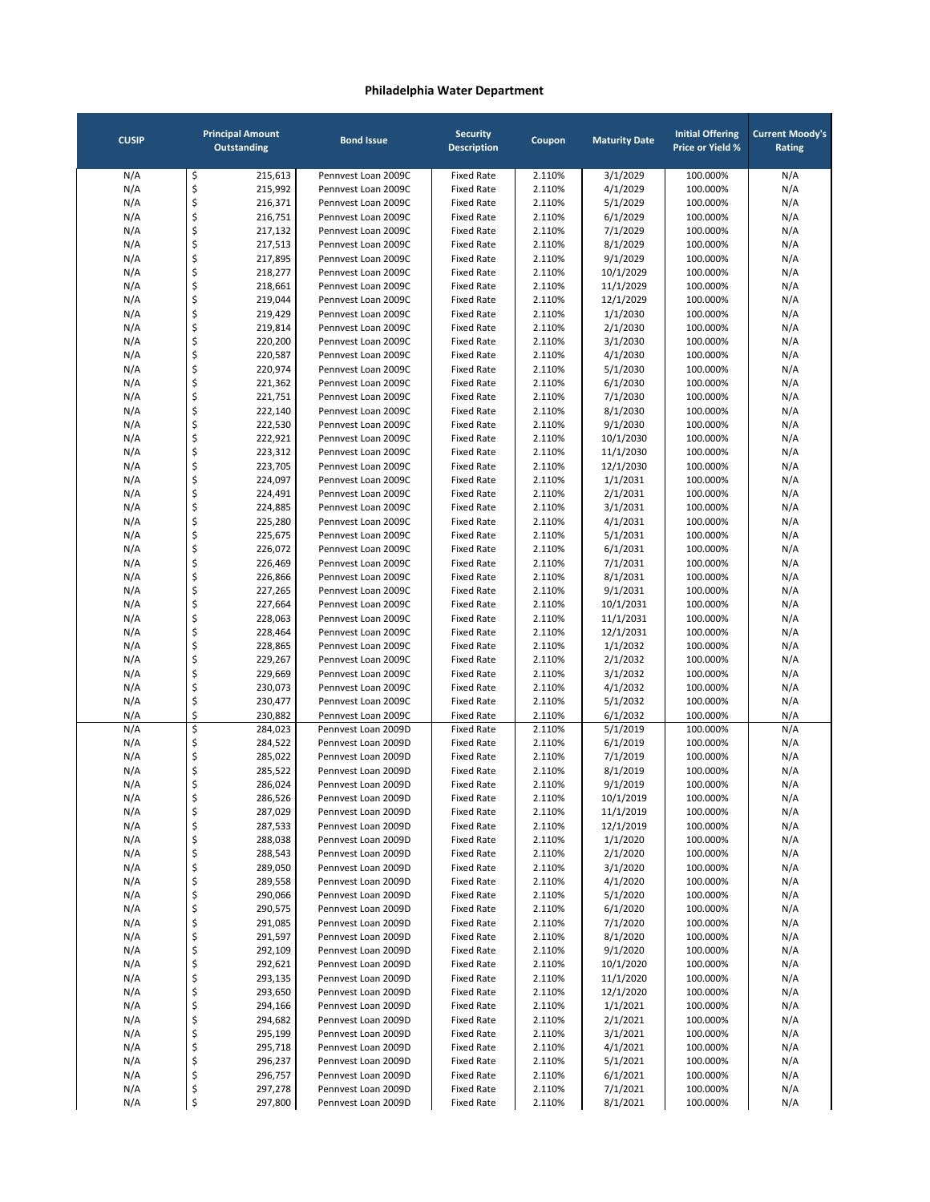| <b>CUSIP</b> |          | <b>Principal Amount</b><br>Outstanding | <b>Bond Issue</b>                          | <b>Security</b><br><b>Description</b>  | Coupon           | <b>Maturity Date</b>  | <b>Initial Offering</b><br><b>Price or Yield %</b> | <b>Current Moody's</b><br>Rating |
|--------------|----------|----------------------------------------|--------------------------------------------|----------------------------------------|------------------|-----------------------|----------------------------------------------------|----------------------------------|
| N/A          | \$       | 215,613                                | Pennvest Loan 2009C                        | <b>Fixed Rate</b>                      | 2.110%           | 3/1/2029              | 100.000%                                           | N/A                              |
| N/A          | \$       | 215,992                                | Pennvest Loan 2009C                        | <b>Fixed Rate</b>                      | 2.110%           | 4/1/2029              | 100.000%                                           | N/A                              |
| N/A          | \$       | 216,371                                | Pennvest Loan 2009C                        | <b>Fixed Rate</b>                      | 2.110%           | 5/1/2029              | 100.000%                                           | N/A                              |
| N/A          | \$       | 216,751                                | Pennyest Loan 2009C                        | <b>Fixed Rate</b>                      | 2.110%           | 6/1/2029              | 100.000%                                           | N/A                              |
| N/A          | \$       | 217,132                                | Pennvest Loan 2009C                        | <b>Fixed Rate</b>                      | 2.110%           | 7/1/2029              | 100.000%                                           | N/A                              |
| N/A          | \$       | 217,513                                | Pennvest Loan 2009C                        | <b>Fixed Rate</b>                      | 2.110%           | 8/1/2029              | 100.000%                                           | N/A                              |
| N/A          | \$       | 217,895                                | Pennvest Loan 2009C                        | <b>Fixed Rate</b>                      | 2.110%           | 9/1/2029              | 100.000%                                           | N/A                              |
| N/A          | \$       | 218,277                                | Pennvest Loan 2009C<br>Pennyest Loan 2009C | <b>Fixed Rate</b>                      | 2.110%           | 10/1/2029             | 100.000%                                           | N/A                              |
| N/A<br>N/A   | \$<br>\$ | 218,661<br>219,044                     | Pennvest Loan 2009C                        | <b>Fixed Rate</b><br><b>Fixed Rate</b> | 2.110%<br>2.110% | 11/1/2029             | 100.000%<br>100.000%                               | N/A<br>N/A                       |
| N/A          | \$       | 219,429                                | Pennvest Loan 2009C                        | <b>Fixed Rate</b>                      | 2.110%           | 12/1/2029<br>1/1/2030 | 100.000%                                           | N/A                              |
| N/A          | \$       | 219,814                                | Pennvest Loan 2009C                        | <b>Fixed Rate</b>                      | 2.110%           | 2/1/2030              | 100.000%                                           | N/A                              |
| N/A          | \$       | 220,200                                | Pennvest Loan 2009C                        | <b>Fixed Rate</b>                      | 2.110%           | 3/1/2030              | 100.000%                                           | N/A                              |
| N/A          | \$       | 220,587                                | Pennvest Loan 2009C                        | <b>Fixed Rate</b>                      | 2.110%           | 4/1/2030              | 100.000%                                           | N/A                              |
| N/A          | \$       | 220,974                                | Pennvest Loan 2009C                        | <b>Fixed Rate</b>                      | 2.110%           | 5/1/2030              | 100.000%                                           | N/A                              |
| N/A          | \$       | 221,362                                | Pennvest Loan 2009C                        | <b>Fixed Rate</b>                      | 2.110%           | 6/1/2030              | 100.000%                                           | N/A                              |
| N/A          | \$       | 221,751                                | Pennvest Loan 2009C                        | <b>Fixed Rate</b>                      | 2.110%           | 7/1/2030              | 100.000%                                           | N/A                              |
| N/A          | \$       | 222,140                                | Pennvest Loan 2009C                        | <b>Fixed Rate</b>                      | 2.110%           | 8/1/2030              | 100.000%                                           | N/A                              |
| N/A          | \$       | 222,530                                | Pennyest Loan 2009C                        | <b>Fixed Rate</b>                      | 2.110%           | 9/1/2030              | 100.000%                                           | N/A                              |
| N/A          | \$       | 222,921                                | Pennvest Loan 2009C                        | <b>Fixed Rate</b>                      | 2.110%           | 10/1/2030             | 100.000%                                           | N/A                              |
| N/A          | \$       | 223,312                                | Pennyest Loan 2009C                        | <b>Fixed Rate</b>                      | 2.110%           | 11/1/2030             | 100.000%                                           | N/A                              |
| N/A          | \$       | 223,705                                | Pennyest Loan 2009C                        | <b>Fixed Rate</b>                      | 2.110%           | 12/1/2030             | 100.000%                                           | N/A                              |
| N/A          | \$       | 224,097                                | Pennvest Loan 2009C                        | <b>Fixed Rate</b>                      | 2.110%           | 1/1/2031              | 100.000%                                           | N/A                              |
| N/A          | \$       | 224,491                                | Pennyest Loan 2009C                        | <b>Fixed Rate</b>                      | 2.110%           | 2/1/2031              | 100.000%                                           | N/A                              |
| N/A          | \$       | 224,885                                | Pennvest Loan 2009C                        | <b>Fixed Rate</b>                      | 2.110%           | 3/1/2031              | 100.000%                                           | N/A                              |
| N/A          | \$       | 225,280                                | Pennvest Loan 2009C                        | <b>Fixed Rate</b>                      | 2.110%           | 4/1/2031              | 100.000%                                           | N/A                              |
| N/A          | \$       | 225,675                                | Pennvest Loan 2009C                        | <b>Fixed Rate</b>                      | 2.110%           | 5/1/2031              | 100.000%                                           | N/A                              |
| N/A          | \$       | 226,072                                | Pennyest Loan 2009C                        | <b>Fixed Rate</b>                      | 2.110%           | 6/1/2031              | 100.000%                                           | N/A                              |
| N/A          | \$       | 226,469                                | Pennvest Loan 2009C                        | <b>Fixed Rate</b>                      | 2.110%           | 7/1/2031              | 100.000%                                           | N/A                              |
| N/A          | \$       | 226,866                                | Pennvest Loan 2009C                        | <b>Fixed Rate</b>                      | 2.110%           | 8/1/2031              | 100.000%                                           | N/A                              |
| N/A          | \$       | 227,265                                | Pennvest Loan 2009C                        | <b>Fixed Rate</b>                      | 2.110%           | 9/1/2031              | 100.000%                                           | N/A                              |
| N/A          | \$       | 227,664                                | Pennvest Loan 2009C                        | <b>Fixed Rate</b>                      | 2.110%           | 10/1/2031             | 100.000%                                           | N/A                              |
| N/A          | \$       | 228,063                                | Pennvest Loan 2009C                        | <b>Fixed Rate</b>                      | 2.110%           | 11/1/2031             | 100.000%                                           | N/A                              |
| N/A          | \$       | 228,464                                | Pennvest Loan 2009C                        | <b>Fixed Rate</b>                      | 2.110%           | 12/1/2031             | 100.000%                                           | N/A                              |
| N/A          | \$       | 228,865                                | Pennvest Loan 2009C                        | <b>Fixed Rate</b>                      | 2.110%           | 1/1/2032              | 100.000%                                           | N/A                              |
| N/A          | \$       | 229,267                                | Pennvest Loan 2009C                        | <b>Fixed Rate</b>                      | 2.110%           | 2/1/2032              | 100.000%                                           | N/A                              |
| N/A          | \$<br>\$ | 229,669<br>230,073                     | Pennvest Loan 2009C<br>Pennvest Loan 2009C | <b>Fixed Rate</b><br><b>Fixed Rate</b> | 2.110%<br>2.110% | 3/1/2032              | 100.000%<br>100.000%                               | N/A<br>N/A                       |
| N/A          | \$       | 230,477                                | Pennvest Loan 2009C                        | <b>Fixed Rate</b>                      | 2.110%           | 4/1/2032<br>5/1/2032  | 100.000%                                           |                                  |
| N/A<br>N/A   | \$       | 230,882                                | Pennvest Loan 2009C                        | <b>Fixed Rate</b>                      | 2.110%           | 6/1/2032              | 100.000%                                           | N/A<br>N/A                       |
| N/A          | \$       | 284,023                                | Pennvest Loan 2009D                        | <b>Fixed Rate</b>                      | 2.110%           | 5/1/2019              | 100.000%                                           | N/A                              |
| N/A          | \$       | 284,522                                | Pennvest Loan 2009D                        | <b>Fixed Rate</b>                      | 2.110%           | 6/1/2019              | 100.000%                                           | N/A                              |
| N/A          | \$       | 285,022                                | Pennvest Loan 2009D                        | <b>Fixed Rate</b>                      | 2.110%           | 7/1/2019              | 100.000%                                           | N/A                              |
| N/A          | \$       | 285,522                                | Pennvest Loan 2009D                        | <b>Fixed Rate</b>                      | 2.110%           | 8/1/2019              | 100.000%                                           | N/A                              |
| N/A          | \$       | 286,024                                | Pennvest Loan 2009D                        | <b>Fixed Rate</b>                      | 2.110%           | 9/1/2019              | 100.000%                                           | N/A                              |
| N/A          | Ş        | 286,526                                | Pennvest Loan 2009D                        | Fixed Rate                             | 2.110%           | 10/1/2019             | 100.000%                                           | N/A                              |
| N/A          | \$       | 287,029                                | Pennvest Loan 2009D                        | <b>Fixed Rate</b>                      | 2.110%           | 11/1/2019             | 100.000%                                           | N/A                              |
| N/A          | \$       | 287,533                                | Pennvest Loan 2009D                        | <b>Fixed Rate</b>                      | 2.110%           | 12/1/2019             | 100.000%                                           | N/A                              |
| N/A          | \$       | 288,038                                | Pennvest Loan 2009D                        | <b>Fixed Rate</b>                      | 2.110%           | 1/1/2020              | 100.000%                                           | N/A                              |
| N/A          | \$       | 288,543                                | Pennvest Loan 2009D                        | <b>Fixed Rate</b>                      | 2.110%           | 2/1/2020              | 100.000%                                           | N/A                              |
| N/A          | \$       | 289,050                                | Pennvest Loan 2009D                        | <b>Fixed Rate</b>                      | 2.110%           | 3/1/2020              | 100.000%                                           | N/A                              |
| N/A          | \$       | 289,558                                | Pennvest Loan 2009D                        | <b>Fixed Rate</b>                      | 2.110%           | 4/1/2020              | 100.000%                                           | N/A                              |
| N/A          | \$       | 290,066                                | Pennvest Loan 2009D                        | <b>Fixed Rate</b>                      | 2.110%           | 5/1/2020              | 100.000%                                           | N/A                              |
| N/A          | \$       | 290,575                                | Pennvest Loan 2009D                        | <b>Fixed Rate</b>                      | 2.110%           | 6/1/2020              | 100.000%                                           | N/A                              |
| N/A          | \$       | 291,085                                | Pennvest Loan 2009D                        | <b>Fixed Rate</b>                      | 2.110%           | 7/1/2020              | 100.000%                                           | N/A                              |
| N/A          | \$       | 291,597                                | Pennvest Loan 2009D                        | <b>Fixed Rate</b>                      | 2.110%           | 8/1/2020              | 100.000%                                           | N/A                              |
| N/A          | \$       | 292,109                                | Pennvest Loan 2009D                        | <b>Fixed Rate</b>                      | 2.110%           | 9/1/2020              | 100.000%                                           | N/A                              |
| N/A          | \$       | 292,621                                | Pennvest Loan 2009D                        | <b>Fixed Rate</b>                      | 2.110%           | 10/1/2020             | 100.000%                                           | N/A                              |
| N/A          | \$       | 293,135                                | Pennvest Loan 2009D                        | <b>Fixed Rate</b>                      | 2.110%           | 11/1/2020             | 100.000%                                           | N/A                              |
| N/A          | \$       | 293,650                                | Pennvest Loan 2009D                        | <b>Fixed Rate</b>                      | 2.110%           | 12/1/2020             | 100.000%                                           | N/A                              |
| N/A          | \$       | 294,166                                | Pennvest Loan 2009D                        | <b>Fixed Rate</b>                      | 2.110%           | 1/1/2021              | 100.000%                                           | N/A                              |
| N/A          | \$       | 294,682                                | Pennvest Loan 2009D                        | <b>Fixed Rate</b>                      | 2.110%           | 2/1/2021              | 100.000%                                           | N/A                              |
| N/A          | \$       | 295,199                                | Pennvest Loan 2009D                        | <b>Fixed Rate</b>                      | 2.110%           | 3/1/2021              | 100.000%                                           | N/A                              |
| N/A          | \$       | 295,718                                | Pennvest Loan 2009D                        | <b>Fixed Rate</b>                      | 2.110%           | 4/1/2021              | 100.000%                                           | N/A                              |
| N/A          | \$       | 296,237                                | Pennvest Loan 2009D                        | <b>Fixed Rate</b>                      | 2.110%           | 5/1/2021              | 100.000%                                           | N/A                              |
| N/A          | \$       | 296,757                                | Pennvest Loan 2009D                        | <b>Fixed Rate</b>                      | 2.110%           | 6/1/2021              | 100.000%                                           | N/A                              |
| N/A          | \$<br>\$ | 297,278                                | Pennvest Loan 2009D<br>Pennvest Loan 2009D | <b>Fixed Rate</b><br><b>Fixed Rate</b> | 2.110%           | 7/1/2021              | 100.000%                                           | N/A                              |
| N/A          |          | 297,800                                |                                            |                                        | 2.110%           | 8/1/2021              | 100.000%                                           | N/A                              |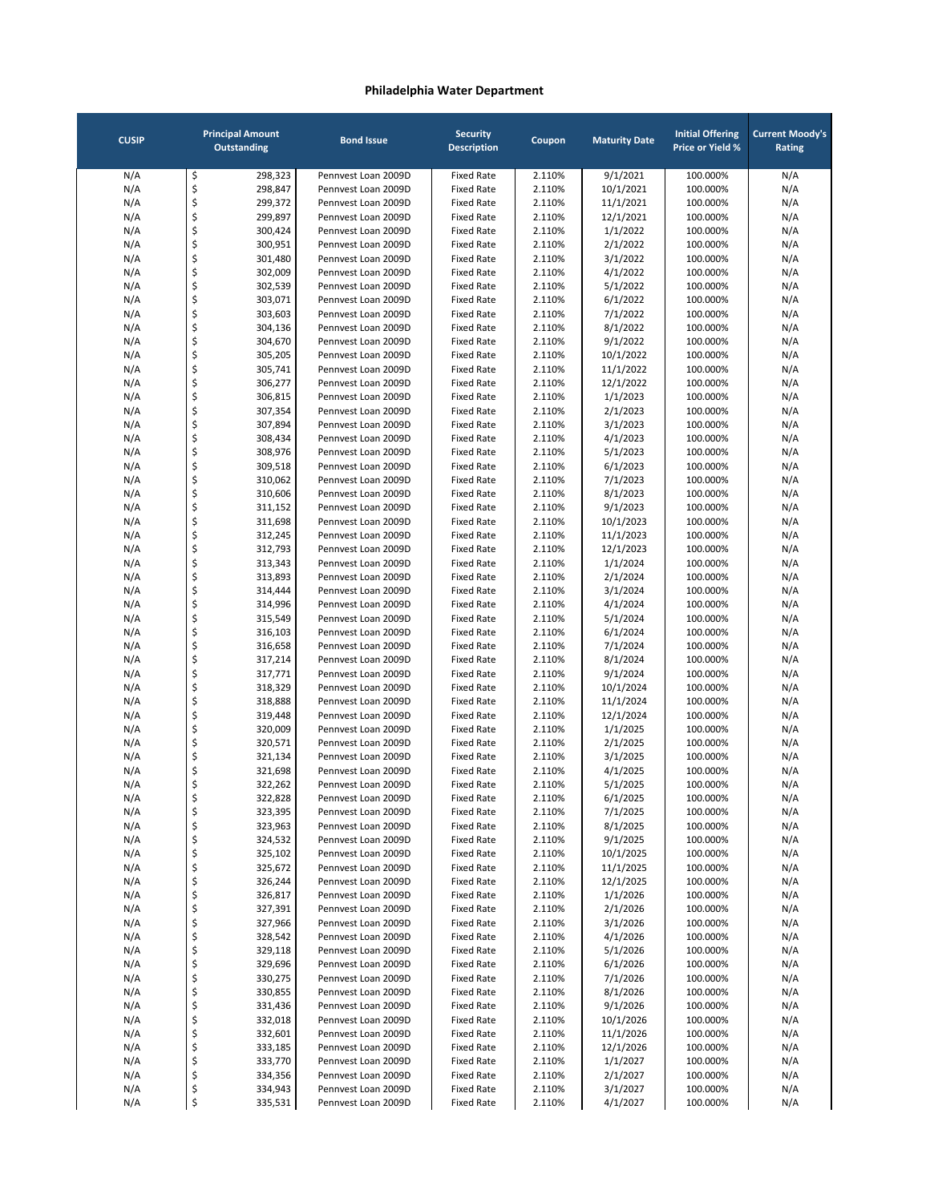| <b>CUSIP</b> |          | <b>Principal Amount</b><br><b>Outstanding</b> | <b>Bond Issue</b>                          | <b>Security</b><br><b>Description</b>  | Coupon           | <b>Maturity Date</b> | <b>Initial Offering</b><br><b>Price or Yield %</b> | <b>Current Moody's</b><br>Rating |
|--------------|----------|-----------------------------------------------|--------------------------------------------|----------------------------------------|------------------|----------------------|----------------------------------------------------|----------------------------------|
| N/A          | \$       | 298,323                                       | Pennvest Loan 2009D                        | <b>Fixed Rate</b>                      | 2.110%           | 9/1/2021             | 100.000%                                           | N/A                              |
| N/A          | \$       | 298,847                                       | Pennvest Loan 2009D                        | <b>Fixed Rate</b>                      | 2.110%           | 10/1/2021            | 100.000%                                           | N/A                              |
| N/A          | \$       | 299,372                                       | Pennvest Loan 2009D                        | <b>Fixed Rate</b>                      | 2.110%           | 11/1/2021            | 100.000%                                           | N/A                              |
| N/A          | \$       | 299,897                                       | Pennyest Loan 2009D                        | <b>Fixed Rate</b>                      | 2.110%           | 12/1/2021            | 100.000%                                           | N/A                              |
| N/A          | \$       | 300,424                                       | Pennvest Loan 2009D                        | <b>Fixed Rate</b>                      | 2.110%           | 1/1/2022             | 100.000%                                           | N/A                              |
| N/A          | \$       | 300,951                                       | Pennvest Loan 2009D                        | <b>Fixed Rate</b>                      | 2.110%           | 2/1/2022             | 100.000%                                           | N/A                              |
| N/A          | \$       | 301,480                                       | Pennvest Loan 2009D                        | <b>Fixed Rate</b>                      | 2.110%           | 3/1/2022             | 100.000%                                           | N/A                              |
| N/A          | \$       | 302,009                                       | Pennvest Loan 2009D                        | <b>Fixed Rate</b>                      | 2.110%           | 4/1/2022             | 100.000%                                           | N/A                              |
| N/A<br>N/A   | \$<br>\$ | 302,539<br>303,071                            | Pennvest Loan 2009D<br>Pennvest Loan 2009D | <b>Fixed Rate</b><br><b>Fixed Rate</b> | 2.110%<br>2.110% | 5/1/2022<br>6/1/2022 | 100.000%<br>100.000%                               | N/A<br>N/A                       |
| N/A          | \$       | 303,603                                       | Pennvest Loan 2009D                        | <b>Fixed Rate</b>                      | 2.110%           | 7/1/2022             | 100.000%                                           | N/A                              |
| N/A          | \$       | 304,136                                       | Pennvest Loan 2009D                        | <b>Fixed Rate</b>                      | 2.110%           | 8/1/2022             | 100.000%                                           | N/A                              |
| N/A          | \$       | 304,670                                       | Pennvest Loan 2009D                        | <b>Fixed Rate</b>                      | 2.110%           | 9/1/2022             | 100.000%                                           | N/A                              |
| N/A          | \$       | 305,205                                       | Pennvest Loan 2009D                        | <b>Fixed Rate</b>                      | 2.110%           | 10/1/2022            | 100.000%                                           | N/A                              |
| N/A          | \$       | 305,741                                       | Pennvest Loan 2009D                        | <b>Fixed Rate</b>                      | 2.110%           | 11/1/2022            | 100.000%                                           | N/A                              |
| N/A          | \$       | 306,277                                       | Pennvest Loan 2009D                        | <b>Fixed Rate</b>                      | 2.110%           | 12/1/2022            | 100.000%                                           | N/A                              |
| N/A          | \$       | 306,815                                       | Pennvest Loan 2009D                        | <b>Fixed Rate</b>                      | 2.110%           | 1/1/2023             | 100.000%                                           | N/A                              |
| N/A          | \$       | 307,354                                       | Pennvest Loan 2009D                        | <b>Fixed Rate</b>                      | 2.110%           | 2/1/2023             | 100.000%                                           | N/A                              |
| N/A          | \$       | 307,894                                       | Pennvest Loan 2009D                        | <b>Fixed Rate</b>                      | 2.110%           | 3/1/2023             | 100.000%                                           | N/A                              |
| N/A          | \$       | 308,434                                       | Pennyest Loan 2009D                        | <b>Fixed Rate</b>                      | 2.110%           | 4/1/2023             | 100.000%                                           | N/A                              |
| N/A          | \$       | 308,976                                       | Pennvest Loan 2009D                        | <b>Fixed Rate</b>                      | 2.110%           | 5/1/2023             | 100.000%                                           | N/A                              |
| N/A          | \$       | 309,518                                       | Pennvest Loan 2009D                        | <b>Fixed Rate</b>                      | 2.110%           | 6/1/2023             | 100.000%                                           | N/A                              |
| N/A          | \$       | 310,062                                       | Pennvest Loan 2009D                        | <b>Fixed Rate</b>                      | 2.110%           | 7/1/2023             | 100.000%                                           | N/A                              |
| N/A          | \$       | 310,606                                       | Pennvest Loan 2009D                        | <b>Fixed Rate</b>                      | 2.110%           | 8/1/2023             | 100.000%                                           | N/A                              |
| N/A          | \$       | 311,152                                       | Pennvest Loan 2009D                        | <b>Fixed Rate</b>                      | 2.110%           | 9/1/2023             | 100.000%                                           | N/A                              |
| N/A          | \$       | 311,698                                       | Pennyest Loan 2009D                        | <b>Fixed Rate</b>                      | 2.110%           | 10/1/2023            | 100.000%                                           | N/A                              |
| N/A          | \$       | 312,245                                       | Pennvest Loan 2009D                        | <b>Fixed Rate</b>                      | 2.110%           | 11/1/2023            | 100.000%                                           | N/A                              |
| N/A          | \$<br>\$ | 312,793<br>313,343                            | Pennvest Loan 2009D<br>Pennvest Loan 2009D | <b>Fixed Rate</b><br><b>Fixed Rate</b> | 2.110%           | 12/1/2023            | 100.000%                                           | N/A                              |
| N/A<br>N/A   | \$       | 313,893                                       | Pennvest Loan 2009D                        | <b>Fixed Rate</b>                      | 2.110%<br>2.110% | 1/1/2024<br>2/1/2024 | 100.000%<br>100.000%                               | N/A<br>N/A                       |
| N/A          | \$       | 314,444                                       | Pennvest Loan 2009D                        | <b>Fixed Rate</b>                      | 2.110%           | 3/1/2024             | 100.000%                                           | N/A                              |
| N/A          | \$       | 314,996                                       | Pennvest Loan 2009D                        | <b>Fixed Rate</b>                      | 2.110%           | 4/1/2024             | 100.000%                                           | N/A                              |
| N/A          | \$       | 315,549                                       | Pennvest Loan 2009D                        | <b>Fixed Rate</b>                      | 2.110%           | 5/1/2024             | 100.000%                                           | N/A                              |
| N/A          | \$       | 316,103                                       | Pennvest Loan 2009D                        | <b>Fixed Rate</b>                      | 2.110%           | 6/1/2024             | 100.000%                                           | N/A                              |
| N/A          | \$       | 316,658                                       | Pennvest Loan 2009D                        | <b>Fixed Rate</b>                      | 2.110%           | 7/1/2024             | 100.000%                                           | N/A                              |
| N/A          | \$       | 317,214                                       | Pennvest Loan 2009D                        | <b>Fixed Rate</b>                      | 2.110%           | 8/1/2024             | 100.000%                                           | N/A                              |
| N/A          | \$       | 317,771                                       | Pennvest Loan 2009D                        | <b>Fixed Rate</b>                      | 2.110%           | 9/1/2024             | 100.000%                                           | N/A                              |
| N/A          | \$       | 318,329                                       | Pennvest Loan 2009D                        | <b>Fixed Rate</b>                      | 2.110%           | 10/1/2024            | 100.000%                                           | N/A                              |
| N/A          | \$       | 318,888                                       | Pennyest Loan 2009D                        | <b>Fixed Rate</b>                      | 2.110%           | 11/1/2024            | 100.000%                                           | N/A                              |
| N/A          | \$       | 319,448                                       | Pennvest Loan 2009D                        | <b>Fixed Rate</b>                      | 2.110%           | 12/1/2024            | 100.000%                                           | N/A                              |
| N/A          | \$       | 320,009                                       | Pennvest Loan 2009D                        | <b>Fixed Rate</b>                      | 2.110%           | 1/1/2025             | 100.000%                                           | N/A                              |
| N/A          | \$       | 320,571                                       | Pennvest Loan 2009D                        | <b>Fixed Rate</b>                      | 2.110%           | 2/1/2025             | 100.000%                                           | N/A                              |
| N/A          | \$       | 321,134                                       | Pennvest Loan 2009D                        | <b>Fixed Rate</b>                      | 2.110%           | 3/1/2025             | 100.000%                                           | N/A                              |
| N/A          | \$       | 321,698                                       | Pennvest Loan 2009D                        | <b>Fixed Rate</b>                      | 2.110%           | 4/1/2025             | 100.000%                                           | N/A                              |
| N/A          | \$       | 322,262                                       | Pennvest Loan 2009D                        | <b>Fixed Rate</b>                      | 2.110%           | 5/1/2025             | 100.000%                                           | N/A                              |
| N/A          | Ş        | 322,828                                       | Pennvest Loan 2009D                        | Fixed Rate                             | 2.110%           | 6/1/2025             | 100.000%                                           | N/A                              |
| N/A<br>N/A   | \$<br>\$ | 323,395<br>323,963                            | Pennvest Loan 2009D<br>Pennvest Loan 2009D | Fixed Rate<br><b>Fixed Rate</b>        | 2.110%<br>2.110% | 7/1/2025<br>8/1/2025 | 100.000%<br>100.000%                               | N/A<br>N/A                       |
| N/A          | \$       | 324,532                                       | Pennvest Loan 2009D                        | <b>Fixed Rate</b>                      | 2.110%           | 9/1/2025             | 100.000%                                           | N/A                              |
| N/A          | \$       | 325,102                                       | Pennvest Loan 2009D                        | <b>Fixed Rate</b>                      | 2.110%           | 10/1/2025            | 100.000%                                           | N/A                              |
| N/A          | \$       | 325,672                                       | Pennvest Loan 2009D                        | <b>Fixed Rate</b>                      | 2.110%           | 11/1/2025            | 100.000%                                           | N/A                              |
| N/A          | \$       | 326,244                                       | Pennvest Loan 2009D                        | <b>Fixed Rate</b>                      | 2.110%           | 12/1/2025            | 100.000%                                           | N/A                              |
| N/A          | \$       | 326,817                                       | Pennvest Loan 2009D                        | <b>Fixed Rate</b>                      | 2.110%           | 1/1/2026             | 100.000%                                           | N/A                              |
| N/A          | \$       | 327,391                                       | Pennvest Loan 2009D                        | <b>Fixed Rate</b>                      | 2.110%           | 2/1/2026             | 100.000%                                           | N/A                              |
| N/A          | \$       | 327,966                                       | Pennvest Loan 2009D                        | <b>Fixed Rate</b>                      | 2.110%           | 3/1/2026             | 100.000%                                           | N/A                              |
| N/A          | \$       | 328,542                                       | Pennvest Loan 2009D                        | <b>Fixed Rate</b>                      | 2.110%           | 4/1/2026             | 100.000%                                           | N/A                              |
| N/A          | \$       | 329,118                                       | Pennvest Loan 2009D                        | <b>Fixed Rate</b>                      | 2.110%           | 5/1/2026             | 100.000%                                           | N/A                              |
| N/A          | \$       | 329,696                                       | Pennvest Loan 2009D                        | <b>Fixed Rate</b>                      | 2.110%           | 6/1/2026             | 100.000%                                           | N/A                              |
| N/A          | \$       | 330,275                                       | Pennvest Loan 2009D                        | <b>Fixed Rate</b>                      | 2.110%           | 7/1/2026             | 100.000%                                           | N/A                              |
| N/A          | \$       | 330,855                                       | Pennvest Loan 2009D                        | <b>Fixed Rate</b>                      | 2.110%           | 8/1/2026             | 100.000%                                           | N/A                              |
| N/A          | \$       | 331,436                                       | Pennvest Loan 2009D                        | <b>Fixed Rate</b>                      | 2.110%           | 9/1/2026             | 100.000%                                           | N/A                              |
| N/A          | \$       | 332,018                                       | Pennvest Loan 2009D                        | <b>Fixed Rate</b>                      | 2.110%           | 10/1/2026            | 100.000%                                           | N/A                              |
| N/A          | \$       | 332,601                                       | Pennvest Loan 2009D                        | <b>Fixed Rate</b>                      | 2.110%           | 11/1/2026            | 100.000%                                           | N/A                              |
| N/A          | \$       | 333,185                                       | Pennvest Loan 2009D                        | <b>Fixed Rate</b>                      | 2.110%           | 12/1/2026            | 100.000%                                           | N/A                              |
| N/A          | \$       | 333,770                                       | Pennvest Loan 2009D                        | <b>Fixed Rate</b>                      | 2.110%           | 1/1/2027             | 100.000%                                           | N/A                              |
| N/A          | \$       | 334,356                                       | Pennvest Loan 2009D                        | <b>Fixed Rate</b>                      | 2.110%           | 2/1/2027             | 100.000%                                           | N/A                              |
| N/A          | \$       | 334,943                                       | Pennvest Loan 2009D                        | <b>Fixed Rate</b>                      | 2.110%           | 3/1/2027             | 100.000%                                           | N/A                              |
| N/A          | \$       | 335,531                                       | Pennvest Loan 2009D                        | <b>Fixed Rate</b>                      | 2.110%           | 4/1/2027             | 100.000%                                           | N/A                              |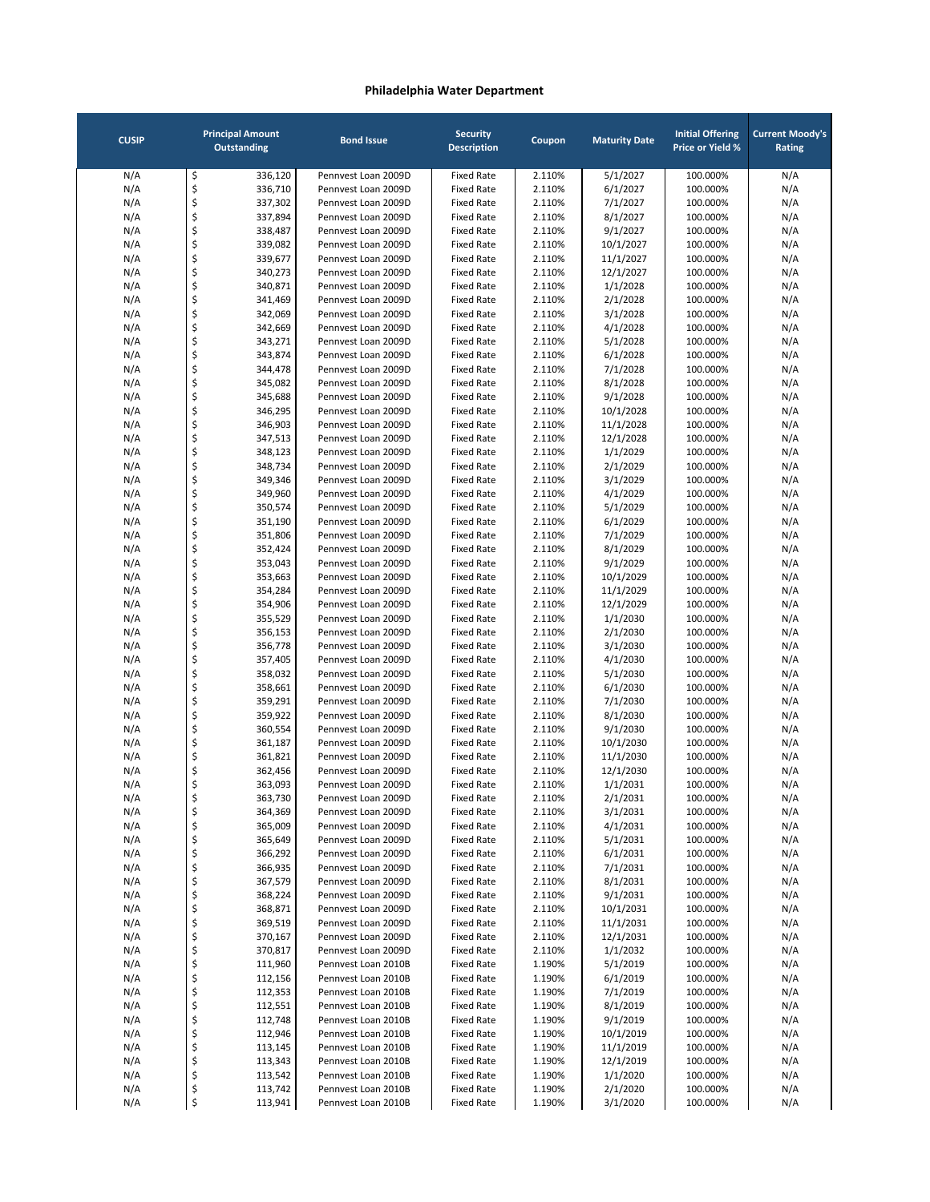| <b>CUSIP</b> | <b>Principal Amount</b><br><b>Outstanding</b> |                    | <b>Bond Issue</b>                          | <b>Security</b><br><b>Description</b>  | Coupon           | <b>Maturity Date</b>  | <b>Initial Offering</b><br><b>Price or Yield %</b> | <b>Current Moody's</b><br>Rating |
|--------------|-----------------------------------------------|--------------------|--------------------------------------------|----------------------------------------|------------------|-----------------------|----------------------------------------------------|----------------------------------|
| N/A          | \$                                            | 336,120            | Pennvest Loan 2009D                        | <b>Fixed Rate</b>                      | 2.110%           | 5/1/2027              | 100.000%                                           | N/A                              |
| N/A          | \$                                            | 336,710            | Pennvest Loan 2009D                        | <b>Fixed Rate</b>                      | 2.110%           | 6/1/2027              | 100.000%                                           | N/A                              |
| N/A          | \$                                            | 337,302            | Pennvest Loan 2009D                        | <b>Fixed Rate</b>                      | 2.110%           | 7/1/2027              | 100.000%                                           | N/A                              |
| N/A          | \$                                            | 337,894            | Pennvest Loan 2009D                        | <b>Fixed Rate</b>                      | 2.110%           | 8/1/2027              | 100.000%                                           | N/A                              |
| N/A          | \$                                            | 338,487            | Pennvest Loan 2009D                        | <b>Fixed Rate</b>                      | 2.110%           | 9/1/2027              | 100.000%                                           | N/A                              |
| N/A          | \$                                            | 339,082            | Pennvest Loan 2009D                        | <b>Fixed Rate</b>                      | 2.110%           | 10/1/2027             | 100.000%                                           | N/A                              |
| N/A          | \$                                            | 339,677            | Pennvest Loan 2009D                        | <b>Fixed Rate</b>                      | 2.110%           | 11/1/2027             | 100.000%                                           | N/A                              |
| N/A          | \$                                            | 340,273            | Pennvest Loan 2009D                        | <b>Fixed Rate</b>                      | 2.110%           | 12/1/2027             | 100.000%                                           | N/A                              |
| N/A          | \$                                            | 340,871            | Pennvest Loan 2009D                        | <b>Fixed Rate</b>                      | 2.110%           | 1/1/2028              | 100.000%                                           | N/A                              |
| N/A          | \$                                            | 341,469            | Pennvest Loan 2009D                        | <b>Fixed Rate</b>                      | 2.110%           | 2/1/2028              | 100.000%                                           | N/A                              |
| N/A          | \$                                            | 342,069            | Pennvest Loan 2009D                        | <b>Fixed Rate</b>                      | 2.110%           | 3/1/2028              | 100.000%                                           | N/A                              |
| N/A          | \$                                            | 342,669            | Pennyest Loan 2009D                        | <b>Fixed Rate</b>                      | 2.110%           | 4/1/2028              | 100.000%                                           | N/A                              |
| N/A          | \$                                            | 343,271            | Pennvest Loan 2009D                        | <b>Fixed Rate</b>                      | 2.110%           | 5/1/2028              | 100.000%                                           | N/A                              |
| N/A          | \$                                            | 343,874            | Pennvest Loan 2009D                        | <b>Fixed Rate</b>                      | 2.110%           | 6/1/2028              | 100.000%                                           | N/A                              |
| N/A          | \$                                            | 344,478            | Pennvest Loan 2009D<br>Pennvest Loan 2009D | <b>Fixed Rate</b><br><b>Fixed Rate</b> | 2.110%           | 7/1/2028              | 100.000%                                           | N/A                              |
| N/A          | \$<br>\$                                      | 345,082            | Pennvest Loan 2009D                        | <b>Fixed Rate</b>                      | 2.110%           | 8/1/2028              | 100.000%                                           | N/A                              |
| N/A<br>N/A   | \$                                            | 345,688<br>346,295 | Pennvest Loan 2009D                        | <b>Fixed Rate</b>                      | 2.110%<br>2.110% | 9/1/2028<br>10/1/2028 | 100.000%<br>100.000%                               | N/A<br>N/A                       |
| N/A          | \$                                            | 346,903            | Pennvest Loan 2009D                        | <b>Fixed Rate</b>                      | 2.110%           | 11/1/2028             | 100.000%                                           | N/A                              |
| N/A          | \$                                            | 347,513            | Pennvest Loan 2009D                        | <b>Fixed Rate</b>                      | 2.110%           | 12/1/2028             | 100.000%                                           | N/A                              |
| N/A          | \$                                            | 348,123            | Pennvest Loan 2009D                        | <b>Fixed Rate</b>                      | 2.110%           | 1/1/2029              | 100.000%                                           | N/A                              |
| N/A          | \$                                            | 348,734            | Pennyest Loan 2009D                        | <b>Fixed Rate</b>                      | 2.110%           | 2/1/2029              | 100.000%                                           | N/A                              |
| N/A          | \$                                            | 349,346            | Pennvest Loan 2009D                        | <b>Fixed Rate</b>                      | 2.110%           | 3/1/2029              | 100.000%                                           | N/A                              |
| N/A          | \$                                            | 349,960            | Pennvest Loan 2009D                        | <b>Fixed Rate</b>                      | 2.110%           | 4/1/2029              | 100.000%                                           | N/A                              |
| N/A          | \$                                            | 350,574            | Pennvest Loan 2009D                        | <b>Fixed Rate</b>                      | 2.110%           | 5/1/2029              | 100.000%                                           | N/A                              |
| N/A          | \$                                            | 351,190            | Pennyest Loan 2009D                        | <b>Fixed Rate</b>                      | 2.110%           | 6/1/2029              | 100.000%                                           | N/A                              |
| N/A          | \$                                            | 351,806            | Pennyest Loan 2009D                        | <b>Fixed Rate</b>                      | 2.110%           | 7/1/2029              | 100.000%                                           | N/A                              |
| N/A          | \$                                            | 352,424            | Pennyest Loan 2009D                        | <b>Fixed Rate</b>                      | 2.110%           | 8/1/2029              | 100.000%                                           | N/A                              |
| N/A          | \$                                            | 353,043            | Pennvest Loan 2009D                        | <b>Fixed Rate</b>                      | 2.110%           | 9/1/2029              | 100.000%                                           | N/A                              |
| N/A          | \$                                            | 353,663            | Pennvest Loan 2009D                        | <b>Fixed Rate</b>                      | 2.110%           | 10/1/2029             | 100.000%                                           | N/A                              |
| N/A          | \$                                            | 354,284            | Pennvest Loan 2009D                        | <b>Fixed Rate</b>                      | 2.110%           | 11/1/2029             | 100.000%                                           | N/A                              |
| N/A          | \$                                            | 354,906            | Pennvest Loan 2009D                        | <b>Fixed Rate</b>                      | 2.110%           | 12/1/2029             | 100.000%                                           | N/A                              |
| N/A          | \$                                            | 355,529            | Pennvest Loan 2009D                        | <b>Fixed Rate</b>                      | 2.110%           | 1/1/2030              | 100.000%                                           | N/A                              |
| N/A          | \$                                            | 356,153            | Pennvest Loan 2009D                        | <b>Fixed Rate</b>                      | 2.110%           | 2/1/2030              | 100.000%                                           | N/A                              |
| N/A          | \$                                            | 356,778            | Pennvest Loan 2009D                        | <b>Fixed Rate</b>                      | 2.110%           | 3/1/2030              | 100.000%                                           | N/A                              |
| N/A          | \$                                            | 357,405            | Pennvest Loan 2009D                        | <b>Fixed Rate</b>                      | 2.110%           | 4/1/2030              | 100.000%                                           | N/A                              |
| N/A          | \$                                            | 358,032            | Pennvest Loan 2009D                        | <b>Fixed Rate</b>                      | 2.110%           | 5/1/2030              | 100.000%                                           | N/A                              |
| N/A          | \$                                            | 358,661            | Pennvest Loan 2009D                        | <b>Fixed Rate</b>                      | 2.110%           | 6/1/2030              | 100.000%                                           | N/A                              |
| N/A          | \$                                            | 359,291            | Pennvest Loan 2009D<br>Pennyest Loan 2009D | <b>Fixed Rate</b><br><b>Fixed Rate</b> | 2.110%           | 7/1/2030              | 100.000%                                           | N/A                              |
| N/A<br>N/A   | \$<br>\$                                      | 359,922<br>360,554 | Pennvest Loan 2009D                        | <b>Fixed Rate</b>                      | 2.110%<br>2.110% | 8/1/2030<br>9/1/2030  | 100.000%<br>100.000%                               | N/A<br>N/A                       |
| N/A          | \$                                            | 361,187            | Pennvest Loan 2009D                        | <b>Fixed Rate</b>                      | 2.110%           | 10/1/2030             | 100.000%                                           | N/A                              |
| N/A          | \$                                            | 361,821            | Pennyest Loan 2009D                        | <b>Fixed Rate</b>                      | 2.110%           | 11/1/2030             | 100.000%                                           | N/A                              |
| N/A          | \$                                            | 362,456            | Pennvest Loan 2009D                        | <b>Fixed Rate</b>                      | 2.110%           | 12/1/2030             | 100.000%                                           | N/A                              |
| N/A          | \$                                            | 363,093            | Pennvest Loan 2009D                        | <b>Fixed Rate</b>                      | 2.110%           | 1/1/2031              | 100.000%                                           | N/A                              |
| N/A          | Ş                                             | 363,730            | Pennvest Loan 2009D                        | Fixed Rate                             | 2.110%           | 2/1/2031              | 100.000%                                           | N/A                              |
| N/A          | \$                                            | 364,369            | Pennvest Loan 2009D                        | <b>Fixed Rate</b>                      | 2.110%           | 3/1/2031              | 100.000%                                           | N/A                              |
| N/A          | \$                                            | 365,009            | Pennvest Loan 2009D                        | <b>Fixed Rate</b>                      | 2.110%           | 4/1/2031              | 100.000%                                           | N/A                              |
| N/A          | \$                                            | 365,649            | Pennvest Loan 2009D                        | <b>Fixed Rate</b>                      | 2.110%           | 5/1/2031              | 100.000%                                           | N/A                              |
| N/A          | \$                                            | 366,292            | Pennvest Loan 2009D                        | <b>Fixed Rate</b>                      | 2.110%           | 6/1/2031              | 100.000%                                           | N/A                              |
| N/A          | \$                                            | 366,935            | Pennvest Loan 2009D                        | <b>Fixed Rate</b>                      | 2.110%           | 7/1/2031              | 100.000%                                           | N/A                              |
| N/A          | \$                                            | 367,579            | Pennvest Loan 2009D                        | <b>Fixed Rate</b>                      | 2.110%           | 8/1/2031              | 100.000%                                           | N/A                              |
| N/A          | \$                                            | 368,224            | Pennvest Loan 2009D                        | <b>Fixed Rate</b>                      | 2.110%           | 9/1/2031              | 100.000%                                           | N/A                              |
| N/A          | \$                                            | 368,871            | Pennvest Loan 2009D                        | <b>Fixed Rate</b>                      | 2.110%           | 10/1/2031             | 100.000%                                           | N/A                              |
| N/A          | \$                                            | 369,519            | Pennvest Loan 2009D                        | <b>Fixed Rate</b>                      | 2.110%           | 11/1/2031             | 100.000%                                           | N/A                              |
| N/A          | \$                                            | 370,167            | Pennvest Loan 2009D                        | <b>Fixed Rate</b>                      | 2.110%           | 12/1/2031             | 100.000%                                           | N/A                              |
| N/A          | \$                                            | 370,817            | Pennvest Loan 2009D                        | <b>Fixed Rate</b>                      | 2.110%           | 1/1/2032              | 100.000%                                           | N/A                              |
| N/A          | \$                                            | 111,960            | Pennvest Loan 2010B                        | <b>Fixed Rate</b>                      | 1.190%           | 5/1/2019              | 100.000%                                           | N/A                              |
| N/A          | \$                                            | 112,156            | Pennvest Loan 2010B                        | <b>Fixed Rate</b>                      | 1.190%           | 6/1/2019              | 100.000%                                           | N/A                              |
| N/A          | \$                                            | 112,353            | Pennvest Loan 2010B                        | <b>Fixed Rate</b>                      | 1.190%           | 7/1/2019              | 100.000%                                           | N/A                              |
| N/A          | \$<br>\$                                      | 112,551<br>112,748 | Pennvest Loan 2010B<br>Pennvest Loan 2010B | <b>Fixed Rate</b><br><b>Fixed Rate</b> | 1.190%           | 8/1/2019              | 100.000%<br>100.000%                               | N/A                              |
| N/A<br>N/A   | \$                                            | 112,946            | Pennvest Loan 2010B                        | <b>Fixed Rate</b>                      | 1.190%<br>1.190% | 9/1/2019<br>10/1/2019 | 100.000%                                           | N/A<br>N/A                       |
| N/A          | \$                                            | 113,145            | Pennvest Loan 2010B                        | <b>Fixed Rate</b>                      | 1.190%           | 11/1/2019             | 100.000%                                           | N/A                              |
| N/A          | \$                                            | 113,343            | Pennvest Loan 2010B                        | <b>Fixed Rate</b>                      | 1.190%           | 12/1/2019             | 100.000%                                           | N/A                              |
| N/A          | \$                                            | 113,542            | Pennvest Loan 2010B                        | <b>Fixed Rate</b>                      | 1.190%           | 1/1/2020              | 100.000%                                           | N/A                              |
| N/A          | \$                                            | 113,742            | Pennvest Loan 2010B                        | <b>Fixed Rate</b>                      | 1.190%           | 2/1/2020              | 100.000%                                           | N/A                              |
| N/A          | \$                                            | 113,941            | Pennvest Loan 2010B                        | <b>Fixed Rate</b>                      | 1.190%           | 3/1/2020              | 100.000%                                           | N/A                              |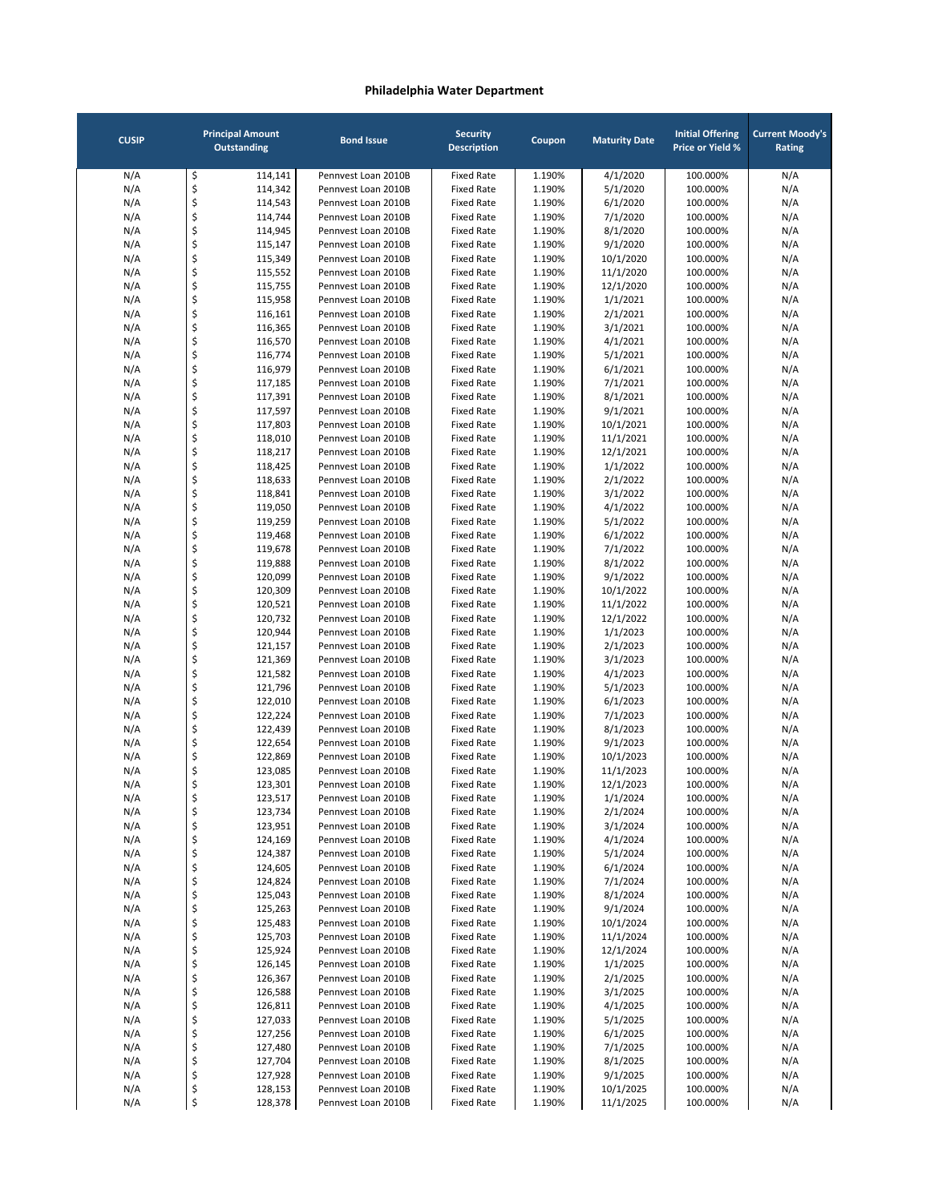| <b>CUSIP</b> |          | <b>Principal Amount</b><br><b>Outstanding</b> | <b>Bond Issue</b>                          | <b>Security</b><br><b>Description</b>  | Coupon           | <b>Maturity Date</b>  | <b>Initial Offering</b><br><b>Price or Yield %</b> | <b>Current Moody's</b><br>Rating |
|--------------|----------|-----------------------------------------------|--------------------------------------------|----------------------------------------|------------------|-----------------------|----------------------------------------------------|----------------------------------|
| N/A          | \$       | 114,141                                       | Pennvest Loan 2010B                        | <b>Fixed Rate</b>                      | 1.190%           | 4/1/2020              | 100.000%                                           | N/A                              |
| N/A          | \$       | 114,342                                       | Pennvest Loan 2010B                        | <b>Fixed Rate</b>                      | 1.190%           | 5/1/2020              | 100.000%                                           | N/A                              |
| N/A          | \$       | 114,543                                       | Pennvest Loan 2010B                        | <b>Fixed Rate</b>                      | 1.190%           | 6/1/2020              | 100.000%                                           | N/A                              |
| N/A          | \$       | 114,744                                       | Pennvest Loan 2010B                        | <b>Fixed Rate</b>                      | 1.190%           | 7/1/2020              | 100.000%                                           | N/A                              |
| N/A          | \$       | 114,945                                       | Pennvest Loan 2010B                        | <b>Fixed Rate</b>                      | 1.190%           | 8/1/2020              | 100.000%                                           | N/A                              |
| N/A<br>N/A   | \$<br>\$ | 115,147<br>115,349                            | Pennvest Loan 2010B<br>Pennvest Loan 2010B | <b>Fixed Rate</b><br><b>Fixed Rate</b> | 1.190%<br>1.190% | 9/1/2020<br>10/1/2020 | 100.000%<br>100.000%                               | N/A<br>N/A                       |
| N/A          | \$       | 115,552                                       | Pennvest Loan 2010B                        | <b>Fixed Rate</b>                      | 1.190%           | 11/1/2020             | 100.000%                                           | N/A                              |
| N/A          | \$       | 115,755                                       | Pennvest Loan 2010B                        | <b>Fixed Rate</b>                      | 1.190%           | 12/1/2020             | 100.000%                                           | N/A                              |
| N/A          | \$       | 115,958                                       | Pennyest Loan 2010B                        | <b>Fixed Rate</b>                      | 1.190%           | 1/1/2021              | 100.000%                                           | N/A                              |
| N/A          | \$       | 116,161                                       | Pennyest Loan 2010B                        | <b>Fixed Rate</b>                      | 1.190%           | 2/1/2021              | 100.000%                                           | N/A                              |
| N/A          | \$       | 116,365                                       | Pennyest Loan 2010B                        | <b>Fixed Rate</b>                      | 1.190%           | 3/1/2021              | 100.000%                                           | N/A                              |
| N/A          | \$       | 116,570                                       | Pennvest Loan 2010B                        | <b>Fixed Rate</b>                      | 1.190%           | 4/1/2021              | 100.000%                                           | N/A                              |
| N/A          | \$       | 116,774                                       | Pennvest Loan 2010B                        | <b>Fixed Rate</b>                      | 1.190%           | 5/1/2021              | 100.000%                                           | N/A                              |
| N/A          | \$       | 116,979                                       | Pennvest Loan 2010B                        | <b>Fixed Rate</b>                      | 1.190%           | 6/1/2021              | 100.000%                                           | N/A                              |
| N/A          | \$       | 117,185                                       | Pennvest Loan 2010B                        | <b>Fixed Rate</b>                      | 1.190%           | 7/1/2021              | 100.000%                                           | N/A                              |
| N/A          | \$<br>\$ | 117,391                                       | Pennvest Loan 2010B                        | <b>Fixed Rate</b><br><b>Fixed Rate</b> | 1.190%           | 8/1/2021              | 100.000%                                           | N/A                              |
| N/A<br>N/A   | \$       | 117,597<br>117,803                            | Pennvest Loan 2010B<br>Pennvest Loan 2010B | <b>Fixed Rate</b>                      | 1.190%<br>1.190% | 9/1/2021<br>10/1/2021 | 100.000%<br>100.000%                               | N/A<br>N/A                       |
| N/A          | \$       | 118,010                                       | Pennvest Loan 2010B                        | <b>Fixed Rate</b>                      | 1.190%           | 11/1/2021             | 100.000%                                           | N/A                              |
| N/A          | \$       | 118,217                                       | Pennyest Loan 2010B                        | <b>Fixed Rate</b>                      | 1.190%           | 12/1/2021             | 100.000%                                           | N/A                              |
| N/A          | \$       | 118,425                                       | Pennyest Loan 2010B                        | <b>Fixed Rate</b>                      | 1.190%           | 1/1/2022              | 100.000%                                           | N/A                              |
| N/A          | \$       | 118,633                                       | Pennvest Loan 2010B                        | <b>Fixed Rate</b>                      | 1.190%           | 2/1/2022              | 100.000%                                           | N/A                              |
| N/A          | \$       | 118,841                                       | Pennvest Loan 2010B                        | <b>Fixed Rate</b>                      | 1.190%           | 3/1/2022              | 100.000%                                           | N/A                              |
| N/A          | \$       | 119,050                                       | Pennvest Loan 2010B                        | <b>Fixed Rate</b>                      | 1.190%           | 4/1/2022              | 100.000%                                           | N/A                              |
| N/A          | \$       | 119,259                                       | Pennvest Loan 2010B                        | <b>Fixed Rate</b>                      | 1.190%           | 5/1/2022              | 100.000%                                           | N/A                              |
| N/A          | \$       | 119,468                                       | Pennvest Loan 2010B                        | <b>Fixed Rate</b>                      | 1.190%           | 6/1/2022              | 100.000%                                           | N/A                              |
| N/A          | \$       | 119,678                                       | Pennvest Loan 2010B                        | <b>Fixed Rate</b>                      | 1.190%           | 7/1/2022              | 100.000%                                           | N/A                              |
| N/A          | \$       | 119,888                                       | Pennvest Loan 2010B                        | <b>Fixed Rate</b>                      | 1.190%           | 8/1/2022              | 100.000%                                           | N/A                              |
| N/A<br>N/A   | \$<br>\$ | 120,099<br>120,309                            | Pennvest Loan 2010B<br>Pennvest Loan 2010B | <b>Fixed Rate</b><br><b>Fixed Rate</b> | 1.190%<br>1.190% | 9/1/2022<br>10/1/2022 | 100.000%<br>100.000%                               | N/A<br>N/A                       |
| N/A          | \$       | 120,521                                       | Pennvest Loan 2010B                        | <b>Fixed Rate</b>                      | 1.190%           | 11/1/2022             | 100.000%                                           | N/A                              |
| N/A          | \$       | 120,732                                       | Pennvest Loan 2010B                        | <b>Fixed Rate</b>                      | 1.190%           | 12/1/2022             | 100.000%                                           | N/A                              |
| N/A          | \$       | 120,944                                       | Pennvest Loan 2010B                        | <b>Fixed Rate</b>                      | 1.190%           | 1/1/2023              | 100.000%                                           | N/A                              |
| N/A          | \$       | 121,157                                       | Pennvest Loan 2010B                        | <b>Fixed Rate</b>                      | 1.190%           | 2/1/2023              | 100.000%                                           | N/A                              |
| N/A          | \$       | 121,369                                       | Pennvest Loan 2010B                        | <b>Fixed Rate</b>                      | 1.190%           | 3/1/2023              | 100.000%                                           | N/A                              |
| N/A          | \$       | 121,582                                       | Pennvest Loan 2010B                        | <b>Fixed Rate</b>                      | 1.190%           | 4/1/2023              | 100.000%                                           | N/A                              |
| N/A          | \$       | 121,796                                       | Pennvest Loan 2010B                        | <b>Fixed Rate</b>                      | 1.190%           | 5/1/2023              | 100.000%                                           | N/A                              |
| N/A          | \$       | 122,010                                       | Pennvest Loan 2010B                        | <b>Fixed Rate</b>                      | 1.190%           | 6/1/2023              | 100.000%                                           | N/A                              |
| N/A          | \$       | 122,224                                       | Pennvest Loan 2010B                        | <b>Fixed Rate</b>                      | 1.190%           | 7/1/2023              | 100.000%                                           | N/A                              |
| N/A<br>N/A   | \$<br>\$ | 122,439<br>122,654                            | Pennvest Loan 2010B<br>Pennyest Loan 2010B | <b>Fixed Rate</b><br><b>Fixed Rate</b> | 1.190%<br>1.190% | 8/1/2023<br>9/1/2023  | 100.000%<br>100.000%                               | N/A<br>N/A                       |
| N/A          | \$       | 122,869                                       | Pennyest Loan 2010B                        | <b>Fixed Rate</b>                      | 1.190%           | 10/1/2023             | 100.000%                                           | N/A                              |
| N/A          | \$       | 123,085                                       | Pennvest Loan 2010B                        | <b>Fixed Rate</b>                      | 1.190%           | 11/1/2023             | 100.000%                                           | N/A                              |
| N/A          | \$       | 123,301                                       | Pennvest Loan 2010B                        | <b>Fixed Rate</b>                      | 1.190%           | 12/1/2023             | 100.000%                                           | N/A                              |
| N/A          | Ş        | 123,517                                       | Pennvest Loan 2010B                        | <b>Fixed Rate</b>                      | 1.190%           | 1/1/2024              | 100.000%                                           | N/A                              |
| N/A          | \$       | 123,734                                       | Pennvest Loan 2010B                        | <b>Fixed Rate</b>                      | 1.190%           | 2/1/2024              | 100.000%                                           | N/A                              |
| N/A          | \$       | 123,951                                       | Pennvest Loan 2010B                        | <b>Fixed Rate</b>                      | 1.190%           | 3/1/2024              | 100.000%                                           | N/A                              |
| N/A          | \$       | 124,169                                       | Pennvest Loan 2010B                        | <b>Fixed Rate</b>                      | 1.190%           | 4/1/2024              | 100.000%                                           | N/A                              |
| N/A          | \$       | 124,387                                       | Pennvest Loan 2010B                        | <b>Fixed Rate</b>                      | 1.190%           | 5/1/2024              | 100.000%                                           | N/A                              |
| N/A          | \$       | 124,605                                       | Pennvest Loan 2010B                        | <b>Fixed Rate</b>                      | 1.190%           | 6/1/2024              | 100.000%                                           | N/A                              |
| N/A<br>N/A   | \$<br>\$ | 124,824<br>125,043                            | Pennvest Loan 2010B<br>Pennvest Loan 2010B | <b>Fixed Rate</b><br><b>Fixed Rate</b> | 1.190%<br>1.190% | 7/1/2024<br>8/1/2024  | 100.000%<br>100.000%                               | N/A<br>N/A                       |
| N/A          | \$       | 125,263                                       | Pennvest Loan 2010B                        | <b>Fixed Rate</b>                      | 1.190%           | 9/1/2024              | 100.000%                                           | N/A                              |
| N/A          | \$       | 125,483                                       | Pennvest Loan 2010B                        | <b>Fixed Rate</b>                      | 1.190%           | 10/1/2024             | 100.000%                                           | N/A                              |
| N/A          | \$       | 125,703                                       | Pennvest Loan 2010B                        | <b>Fixed Rate</b>                      | 1.190%           | 11/1/2024             | 100.000%                                           | N/A                              |
| N/A          | \$       | 125,924                                       | Pennvest Loan 2010B                        | <b>Fixed Rate</b>                      | 1.190%           | 12/1/2024             | 100.000%                                           | N/A                              |
| N/A          | \$       | 126,145                                       | Pennvest Loan 2010B                        | <b>Fixed Rate</b>                      | 1.190%           | 1/1/2025              | 100.000%                                           | N/A                              |
| N/A          | \$       | 126,367                                       | Pennvest Loan 2010B                        | <b>Fixed Rate</b>                      | 1.190%           | 2/1/2025              | 100.000%                                           | N/A                              |
| N/A          | \$       | 126,588                                       | Pennvest Loan 2010B                        | <b>Fixed Rate</b>                      | 1.190%           | 3/1/2025              | 100.000%                                           | N/A                              |
| N/A          | \$       | 126,811                                       | Pennvest Loan 2010B                        | <b>Fixed Rate</b>                      | 1.190%           | 4/1/2025              | 100.000%                                           | N/A                              |
| N/A          | \$       | 127,033                                       | Pennvest Loan 2010B                        | <b>Fixed Rate</b>                      | 1.190%           | 5/1/2025              | 100.000%                                           | N/A                              |
| N/A<br>N/A   | \$<br>\$ | 127,256<br>127,480                            | Pennvest Loan 2010B<br>Pennvest Loan 2010B | <b>Fixed Rate</b><br><b>Fixed Rate</b> | 1.190%<br>1.190% | 6/1/2025<br>7/1/2025  | 100.000%<br>100.000%                               | N/A<br>N/A                       |
| N/A          | \$       | 127,704                                       | Pennvest Loan 2010B                        | <b>Fixed Rate</b>                      | 1.190%           | 8/1/2025              | 100.000%                                           | N/A                              |
| N/A          | \$       | 127,928                                       | Pennvest Loan 2010B                        | <b>Fixed Rate</b>                      | 1.190%           | 9/1/2025              | 100.000%                                           | N/A                              |
| N/A          | \$       | 128,153                                       | Pennvest Loan 2010B                        | <b>Fixed Rate</b>                      | 1.190%           | 10/1/2025             | 100.000%                                           | N/A                              |
| N/A          | \$       | 128,378                                       | Pennvest Loan 2010B                        | <b>Fixed Rate</b>                      | 1.190%           | 11/1/2025             | 100.000%                                           | N/A                              |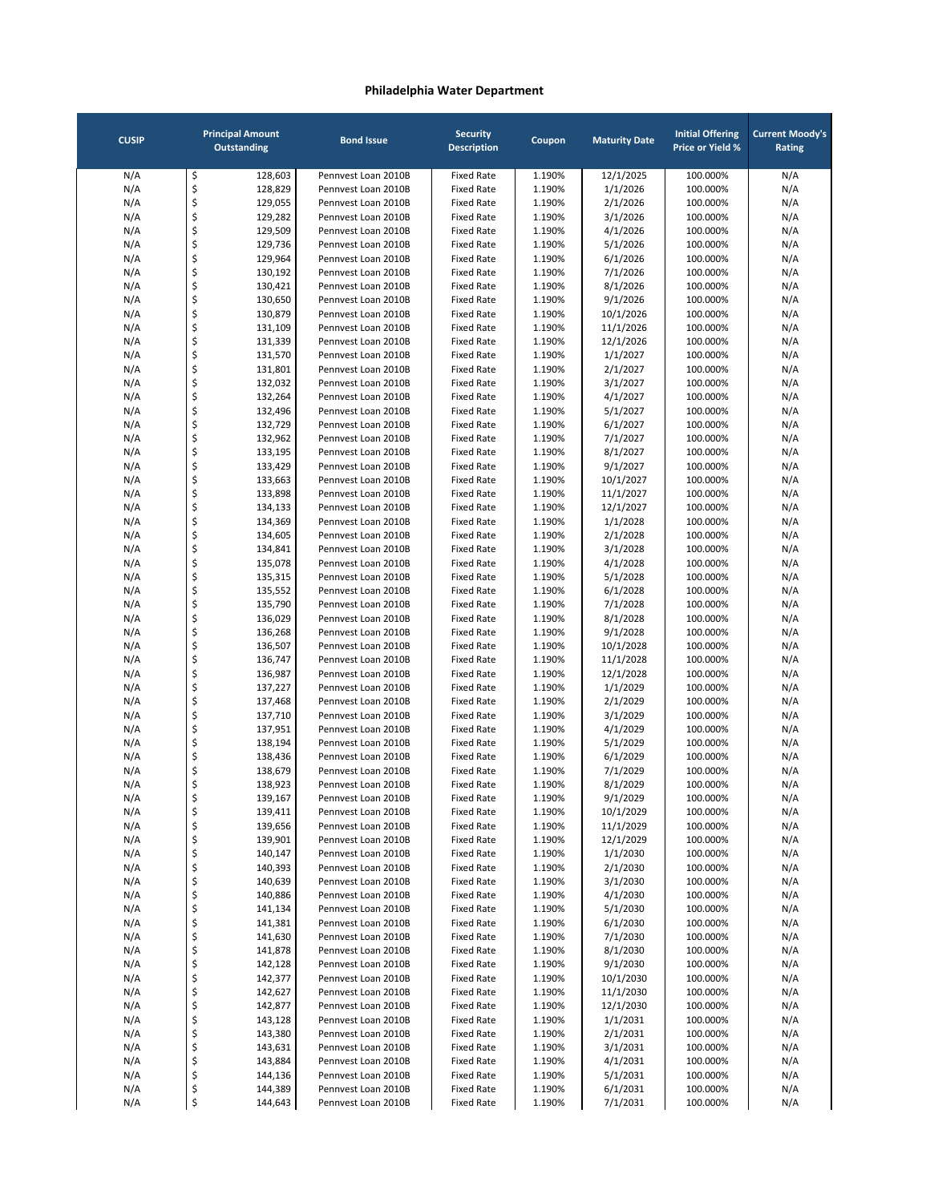| <b>CUSIP</b> |          | <b>Principal Amount</b><br><b>Outstanding</b> | <b>Bond Issue</b>                          | <b>Security</b><br><b>Description</b>  | Coupon           | <b>Maturity Date</b>   | <b>Initial Offering</b><br><b>Price or Yield %</b> | <b>Current Moody's</b><br>Rating |
|--------------|----------|-----------------------------------------------|--------------------------------------------|----------------------------------------|------------------|------------------------|----------------------------------------------------|----------------------------------|
| N/A          | \$       | 128,603                                       | Pennvest Loan 2010B                        | <b>Fixed Rate</b>                      | 1.190%           | 12/1/2025              | 100.000%                                           | N/A                              |
| N/A          | \$       | 128,829                                       | Pennvest Loan 2010B                        | <b>Fixed Rate</b>                      | 1.190%           | 1/1/2026               | 100.000%                                           | N/A                              |
| N/A          | \$       | 129,055                                       | Pennvest Loan 2010B                        | <b>Fixed Rate</b>                      | 1.190%           | 2/1/2026               | 100.000%                                           | N/A                              |
| N/A          | \$       | 129,282                                       | Pennyest Loan 2010B                        | <b>Fixed Rate</b>                      | 1.190%           | 3/1/2026               | 100.000%                                           | N/A                              |
| N/A          | \$       | 129,509                                       | Pennvest Loan 2010B                        | <b>Fixed Rate</b>                      | 1.190%           | 4/1/2026               | 100.000%                                           | N/A                              |
| N/A<br>N/A   | \$<br>\$ | 129,736<br>129,964                            | Pennvest Loan 2010B<br>Pennvest Loan 2010B | <b>Fixed Rate</b><br><b>Fixed Rate</b> | 1.190%<br>1.190% | 5/1/2026<br>6/1/2026   | 100.000%<br>100.000%                               | N/A<br>N/A                       |
| N/A          | \$       | 130,192                                       | Pennvest Loan 2010B                        | <b>Fixed Rate</b>                      | 1.190%           | 7/1/2026               | 100.000%                                           | N/A                              |
| N/A          | \$       | 130,421                                       | Pennyest Loan 2010B                        | <b>Fixed Rate</b>                      | 1.190%           | 8/1/2026               | 100.000%                                           | N/A                              |
| N/A          | \$       | 130,650                                       | Pennyest Loan 2010B                        | <b>Fixed Rate</b>                      | 1.190%           | 9/1/2026               | 100.000%                                           | N/A                              |
| N/A          | \$       | 130,879                                       | Pennyest Loan 2010B                        | <b>Fixed Rate</b>                      | 1.190%           | 10/1/2026              | 100.000%                                           | N/A                              |
| N/A          | \$       | 131,109                                       | Pennvest Loan 2010B                        | <b>Fixed Rate</b>                      | 1.190%           | 11/1/2026              | 100.000%                                           | N/A                              |
| N/A          | \$       | 131,339                                       | Pennvest Loan 2010B                        | <b>Fixed Rate</b>                      | 1.190%           | 12/1/2026              | 100.000%                                           | N/A                              |
| N/A          | \$<br>\$ | 131,570                                       | Pennvest Loan 2010B                        | <b>Fixed Rate</b>                      | 1.190%           | 1/1/2027               | 100.000%                                           | N/A                              |
| N/A<br>N/A   | \$       | 131,801<br>132,032                            | Pennvest Loan 2010B<br>Pennvest Loan 2010B | <b>Fixed Rate</b><br><b>Fixed Rate</b> | 1.190%<br>1.190% | 2/1/2027<br>3/1/2027   | 100.000%<br>100.000%                               | N/A<br>N/A                       |
| N/A          | \$       | 132,264                                       | Pennvest Loan 2010B                        | <b>Fixed Rate</b>                      | 1.190%           | 4/1/2027               | 100.000%                                           | N/A                              |
| N/A          | \$       | 132,496                                       | Pennyest Loan 2010B                        | <b>Fixed Rate</b>                      | 1.190%           | 5/1/2027               | 100.000%                                           | N/A                              |
| N/A          | \$       | 132,729                                       | Pennvest Loan 2010B                        | <b>Fixed Rate</b>                      | 1.190%           | 6/1/2027               | 100.000%                                           | N/A                              |
| N/A          | \$       | 132,962                                       | Pennyest Loan 2010B                        | <b>Fixed Rate</b>                      | 1.190%           | 7/1/2027               | 100.000%                                           | N/A                              |
| N/A          | \$       | 133,195                                       | Pennvest Loan 2010B                        | <b>Fixed Rate</b>                      | 1.190%           | 8/1/2027               | 100.000%                                           | N/A                              |
| N/A          | \$       | 133,429                                       | Pennvest Loan 2010B                        | <b>Fixed Rate</b>                      | 1.190%           | 9/1/2027               | 100.000%                                           | N/A                              |
| N/A          | \$<br>\$ | 133,663                                       | Pennyest Loan 2010B                        | <b>Fixed Rate</b>                      | 1.190%           | 10/1/2027<br>11/1/2027 | 100.000%                                           | N/A                              |
| N/A<br>N/A   | \$       | 133,898<br>134,133                            | Pennvest Loan 2010B<br>Pennvest Loan 2010B | <b>Fixed Rate</b><br><b>Fixed Rate</b> | 1.190%<br>1.190% | 12/1/2027              | 100.000%<br>100.000%                               | N/A<br>N/A                       |
| N/A          | \$       | 134,369                                       | Pennvest Loan 2010B                        | <b>Fixed Rate</b>                      | 1.190%           | 1/1/2028               | 100.000%                                           | N/A                              |
| N/A          | \$       | 134,605                                       | Pennvest Loan 2010B                        | <b>Fixed Rate</b>                      | 1.190%           | 2/1/2028               | 100.000%                                           | N/A                              |
| N/A          | \$       | 134,841                                       | Pennvest Loan 2010B                        | <b>Fixed Rate</b>                      | 1.190%           | 3/1/2028               | 100.000%                                           | N/A                              |
| N/A          | \$       | 135,078                                       | Pennvest Loan 2010B                        | <b>Fixed Rate</b>                      | 1.190%           | 4/1/2028               | 100.000%                                           | N/A                              |
| N/A          | \$       | 135,315                                       | Pennvest Loan 2010B                        | <b>Fixed Rate</b>                      | 1.190%           | 5/1/2028               | 100.000%                                           | N/A                              |
| N/A          | \$       | 135,552                                       | Pennvest Loan 2010B                        | <b>Fixed Rate</b>                      | 1.190%           | 6/1/2028               | 100.000%                                           | N/A                              |
| N/A<br>N/A   | \$<br>\$ | 135,790<br>136,029                            | Pennvest Loan 2010B<br>Pennvest Loan 2010B | <b>Fixed Rate</b><br><b>Fixed Rate</b> | 1.190%<br>1.190% | 7/1/2028<br>8/1/2028   | 100.000%<br>100.000%                               | N/A<br>N/A                       |
| N/A          | \$       | 136,268                                       | Pennvest Loan 2010B                        | <b>Fixed Rate</b>                      | 1.190%           | 9/1/2028               | 100.000%                                           | N/A                              |
| N/A          | \$       | 136,507                                       | Pennvest Loan 2010B                        | <b>Fixed Rate</b>                      | 1.190%           | 10/1/2028              | 100.000%                                           | N/A                              |
| N/A          | \$       | 136,747                                       | Pennvest Loan 2010B                        | <b>Fixed Rate</b>                      | 1.190%           | 11/1/2028              | 100.000%                                           | N/A                              |
| N/A          | \$       | 136,987                                       | Pennvest Loan 2010B                        | <b>Fixed Rate</b>                      | 1.190%           | 12/1/2028              | 100.000%                                           | N/A                              |
| N/A          | \$       | 137,227                                       | Pennvest Loan 2010B                        | <b>Fixed Rate</b>                      | 1.190%           | 1/1/2029               | 100.000%                                           | N/A                              |
| N/A          | \$       | 137,468                                       | Pennvest Loan 2010B                        | <b>Fixed Rate</b>                      | 1.190%           | 2/1/2029               | 100.000%                                           | N/A                              |
| N/A          | \$       | 137,710                                       | Pennvest Loan 2010B                        | <b>Fixed Rate</b>                      | 1.190%           | 3/1/2029               | 100.000%                                           | N/A                              |
| N/A<br>N/A   | \$<br>\$ | 137,951<br>138,194                            | Pennvest Loan 2010B<br>Pennvest Loan 2010B | <b>Fixed Rate</b><br><b>Fixed Rate</b> | 1.190%<br>1.190% | 4/1/2029<br>5/1/2029   | 100.000%<br>100.000%                               | N/A<br>N/A                       |
| N/A          | \$       | 138,436                                       | Pennvest Loan 2010B                        | <b>Fixed Rate</b>                      | 1.190%           | 6/1/2029               | 100.000%                                           | N/A                              |
| N/A          | \$       | 138,679                                       | Pennvest Loan 2010B                        | <b>Fixed Rate</b>                      | 1.190%           | 7/1/2029               | 100.000%                                           | N/A                              |
| N/A          | \$       | 138,923                                       | Pennyest Loan 2010B                        | <b>Fixed Rate</b>                      | 1.190%           | 8/1/2029               | 100.000%                                           | N/A                              |
| N/A          | Ş        | 139,167                                       | Pennvest Loan 2010B                        | Fixed Rate                             | 1.190%           | 9/1/2029               | 100.000%                                           | N/A                              |
| N/A          | \$       | 139,411                                       | Pennvest Loan 2010B                        | <b>Fixed Rate</b>                      | 1.190%           | 10/1/2029              | 100.000%                                           | N/A                              |
| N/A          | \$       | 139,656                                       | Pennvest Loan 2010B                        | <b>Fixed Rate</b>                      | 1.190%           | 11/1/2029              | 100.000%                                           | N/A                              |
| N/A          | \$       | 139,901                                       | Pennvest Loan 2010B                        | <b>Fixed Rate</b>                      | 1.190%           | 12/1/2029              | 100.000%                                           | N/A                              |
| N/A<br>N/A   | \$<br>\$ | 140,147<br>140,393                            | Pennvest Loan 2010B<br>Pennvest Loan 2010B | <b>Fixed Rate</b><br><b>Fixed Rate</b> | 1.190%<br>1.190% | 1/1/2030<br>2/1/2030   | 100.000%<br>100.000%                               | N/A<br>N/A                       |
| N/A          | \$       | 140,639                                       | Pennvest Loan 2010B                        | <b>Fixed Rate</b>                      | 1.190%           | 3/1/2030               | 100.000%                                           | N/A                              |
| N/A          | \$       | 140,886                                       | Pennvest Loan 2010B                        | <b>Fixed Rate</b>                      | 1.190%           | 4/1/2030               | 100.000%                                           | N/A                              |
| N/A          | \$       | 141,134                                       | Pennvest Loan 2010B                        | <b>Fixed Rate</b>                      | 1.190%           | 5/1/2030               | 100.000%                                           | N/A                              |
| N/A          | \$       | 141,381                                       | Pennvest Loan 2010B                        | <b>Fixed Rate</b>                      | 1.190%           | 6/1/2030               | 100.000%                                           | N/A                              |
| N/A          | \$       | 141,630                                       | Pennvest Loan 2010B                        | <b>Fixed Rate</b>                      | 1.190%           | 7/1/2030               | 100.000%                                           | N/A                              |
| N/A          | \$       | 141,878                                       | Pennvest Loan 2010B                        | <b>Fixed Rate</b>                      | 1.190%           | 8/1/2030               | 100.000%                                           | N/A                              |
| N/A<br>N/A   | \$<br>\$ | 142,128<br>142,377                            | Pennvest Loan 2010B<br>Pennvest Loan 2010B | <b>Fixed Rate</b><br><b>Fixed Rate</b> | 1.190%<br>1.190% | 9/1/2030<br>10/1/2030  | 100.000%<br>100.000%                               | N/A                              |
| N/A          | \$       | 142,627                                       | Pennvest Loan 2010B                        | <b>Fixed Rate</b>                      | 1.190%           | 11/1/2030              | 100.000%                                           | N/A<br>N/A                       |
| N/A          | \$       | 142,877                                       | Pennvest Loan 2010B                        | <b>Fixed Rate</b>                      | 1.190%           | 12/1/2030              | 100.000%                                           | N/A                              |
| N/A          | \$       | 143,128                                       | Pennvest Loan 2010B                        | <b>Fixed Rate</b>                      | 1.190%           | 1/1/2031               | 100.000%                                           | N/A                              |
| N/A          | \$       | 143,380                                       | Pennvest Loan 2010B                        | <b>Fixed Rate</b>                      | 1.190%           | 2/1/2031               | 100.000%                                           | N/A                              |
| N/A          | \$       | 143,631                                       | Pennvest Loan 2010B                        | <b>Fixed Rate</b>                      | 1.190%           | 3/1/2031               | 100.000%                                           | N/A                              |
| N/A          | \$       | 143,884                                       | Pennvest Loan 2010B                        | <b>Fixed Rate</b>                      | 1.190%           | 4/1/2031               | 100.000%                                           | N/A                              |
| N/A          | \$       | 144,136                                       | Pennvest Loan 2010B                        | <b>Fixed Rate</b>                      | 1.190%           | 5/1/2031               | 100.000%                                           | N/A                              |
| N/A<br>N/A   | \$<br>\$ | 144,389<br>144,643                            | Pennvest Loan 2010B<br>Pennvest Loan 2010B | <b>Fixed Rate</b><br><b>Fixed Rate</b> | 1.190%<br>1.190% | 6/1/2031<br>7/1/2031   | 100.000%<br>100.000%                               | N/A<br>N/A                       |
|              |          |                                               |                                            |                                        |                  |                        |                                                    |                                  |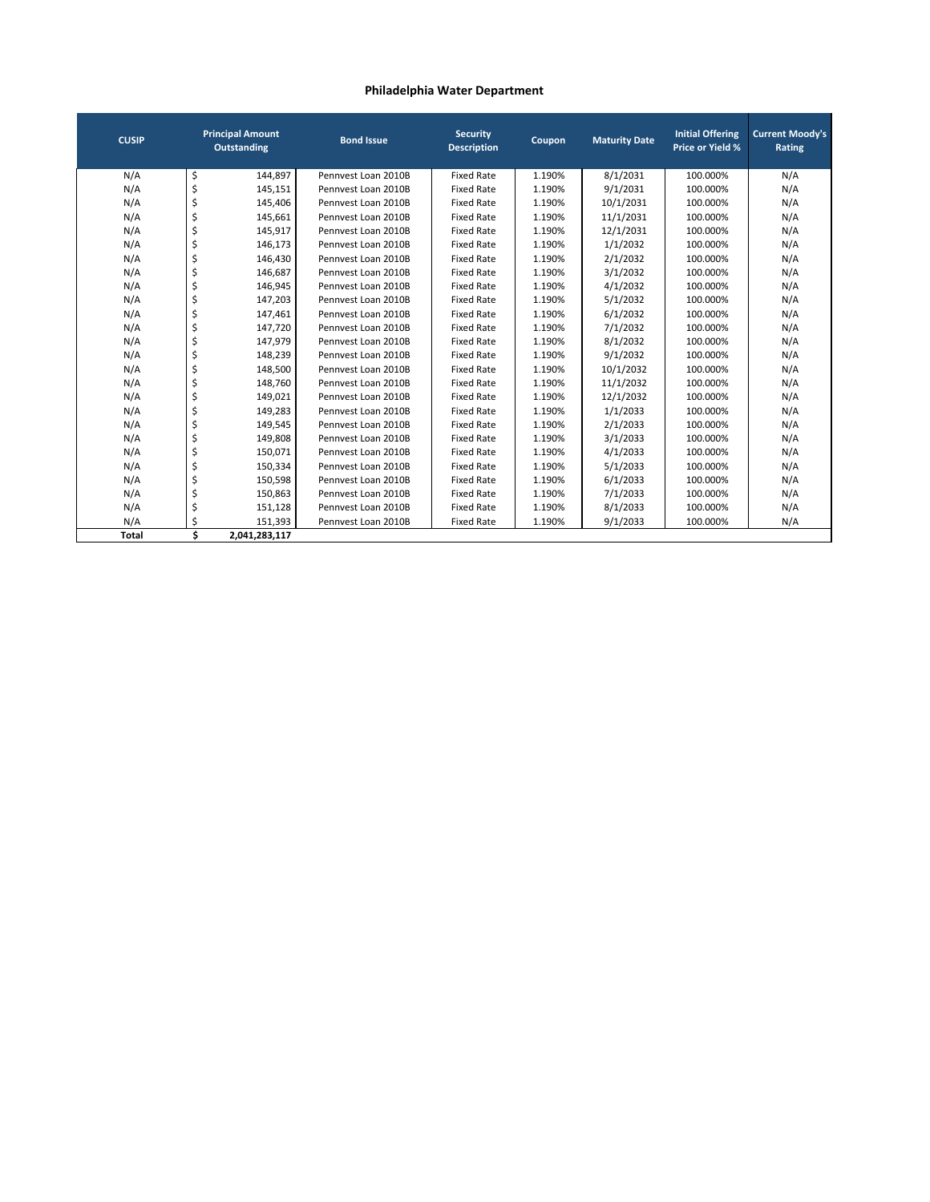| <b>CUSIP</b> |    | <b>Principal Amount</b><br><b>Outstanding</b> | <b>Bond Issue</b>   | <b>Security</b><br><b>Description</b> | Coupon | <b>Maturity Date</b> | <b>Initial Offering</b><br><b>Price or Yield %</b> | <b>Current Moody's</b><br>Rating |
|--------------|----|-----------------------------------------------|---------------------|---------------------------------------|--------|----------------------|----------------------------------------------------|----------------------------------|
| N/A          | \$ | 144,897                                       | Pennyest Loan 2010B | <b>Fixed Rate</b>                     | 1.190% | 8/1/2031             | 100.000%                                           | N/A                              |
| N/A          | \$ | 145,151                                       | Pennyest Loan 2010B | <b>Fixed Rate</b>                     | 1.190% | 9/1/2031             | 100.000%                                           | N/A                              |
| N/A          | \$ | 145,406                                       | Pennyest Loan 2010B | <b>Fixed Rate</b>                     | 1.190% | 10/1/2031            | 100.000%                                           | N/A                              |
| N/A          | \$ | 145,661                                       | Pennyest Loan 2010B | <b>Fixed Rate</b>                     | 1.190% | 11/1/2031            | 100.000%                                           | N/A                              |
| N/A          | \$ | 145,917                                       | Pennyest Loan 2010B | <b>Fixed Rate</b>                     | 1.190% | 12/1/2031            | 100.000%                                           | N/A                              |
| N/A          | \$ | 146,173                                       | Pennyest Loan 2010B | <b>Fixed Rate</b>                     | 1.190% | 1/1/2032             | 100.000%                                           | N/A                              |
| N/A          | \$ | 146,430                                       | Pennyest Loan 2010B | <b>Fixed Rate</b>                     | 1.190% | 2/1/2032             | 100.000%                                           | N/A                              |
| N/A          | \$ | 146,687                                       | Pennyest Loan 2010B | <b>Fixed Rate</b>                     | 1.190% | 3/1/2032             | 100.000%                                           | N/A                              |
| N/A          | \$ | 146,945                                       | Pennyest Loan 2010B | <b>Fixed Rate</b>                     | 1.190% | 4/1/2032             | 100.000%                                           | N/A                              |
| N/A          | \$ | 147,203                                       | Pennyest Loan 2010B | <b>Fixed Rate</b>                     | 1.190% | 5/1/2032             | 100.000%                                           | N/A                              |
| N/A          | \$ | 147,461                                       | Pennyest Loan 2010B | <b>Fixed Rate</b>                     | 1.190% | 6/1/2032             | 100.000%                                           | N/A                              |
| N/A          | \$ | 147,720                                       | Pennyest Loan 2010B | <b>Fixed Rate</b>                     | 1.190% | 7/1/2032             | 100.000%                                           | N/A                              |
| N/A          | \$ | 147,979                                       | Pennyest Loan 2010B | <b>Fixed Rate</b>                     | 1.190% | 8/1/2032             | 100.000%                                           | N/A                              |
| N/A          | \$ | 148,239                                       | Pennyest Loan 2010B | <b>Fixed Rate</b>                     | 1.190% | 9/1/2032             | 100.000%                                           | N/A                              |
| N/A          | \$ | 148,500                                       | Pennyest Loan 2010B | <b>Fixed Rate</b>                     | 1.190% | 10/1/2032            | 100.000%                                           | N/A                              |
| N/A          | \$ | 148,760                                       | Pennyest Loan 2010B | <b>Fixed Rate</b>                     | 1.190% | 11/1/2032            | 100.000%                                           | N/A                              |
| N/A          | \$ | 149,021                                       | Pennyest Loan 2010B | <b>Fixed Rate</b>                     | 1.190% | 12/1/2032            | 100.000%                                           | N/A                              |
| N/A          | \$ | 149,283                                       | Pennyest Loan 2010B | <b>Fixed Rate</b>                     | 1.190% | 1/1/2033             | 100.000%                                           | N/A                              |
| N/A          | \$ | 149,545                                       | Pennyest Loan 2010B | <b>Fixed Rate</b>                     | 1.190% | 2/1/2033             | 100.000%                                           | N/A                              |
| N/A          | \$ | 149,808                                       | Pennyest Loan 2010B | <b>Fixed Rate</b>                     | 1.190% | 3/1/2033             | 100.000%                                           | N/A                              |
| N/A          | \$ | 150,071                                       | Pennyest Loan 2010B | <b>Fixed Rate</b>                     | 1.190% | 4/1/2033             | 100.000%                                           | N/A                              |
| N/A          | \$ | 150,334                                       | Pennyest Loan 2010B | <b>Fixed Rate</b>                     | 1.190% | 5/1/2033             | 100.000%                                           | N/A                              |
| N/A          | \$ | 150,598                                       | Pennyest Loan 2010B | <b>Fixed Rate</b>                     | 1.190% | 6/1/2033             | 100.000%                                           | N/A                              |
| N/A          | \$ | 150,863                                       | Pennyest Loan 2010B | <b>Fixed Rate</b>                     | 1.190% | 7/1/2033             | 100.000%                                           | N/A                              |
| N/A          | \$ | 151,128                                       | Pennyest Loan 2010B | <b>Fixed Rate</b>                     | 1.190% | 8/1/2033             | 100.000%                                           | N/A                              |
| N/A          | \$ | 151,393                                       | Pennyest Loan 2010B | <b>Fixed Rate</b>                     | 1.190% | 9/1/2033             | 100.000%                                           | N/A                              |
| <b>Total</b> | Ś  | 2,041,283,117                                 |                     |                                       |        |                      |                                                    |                                  |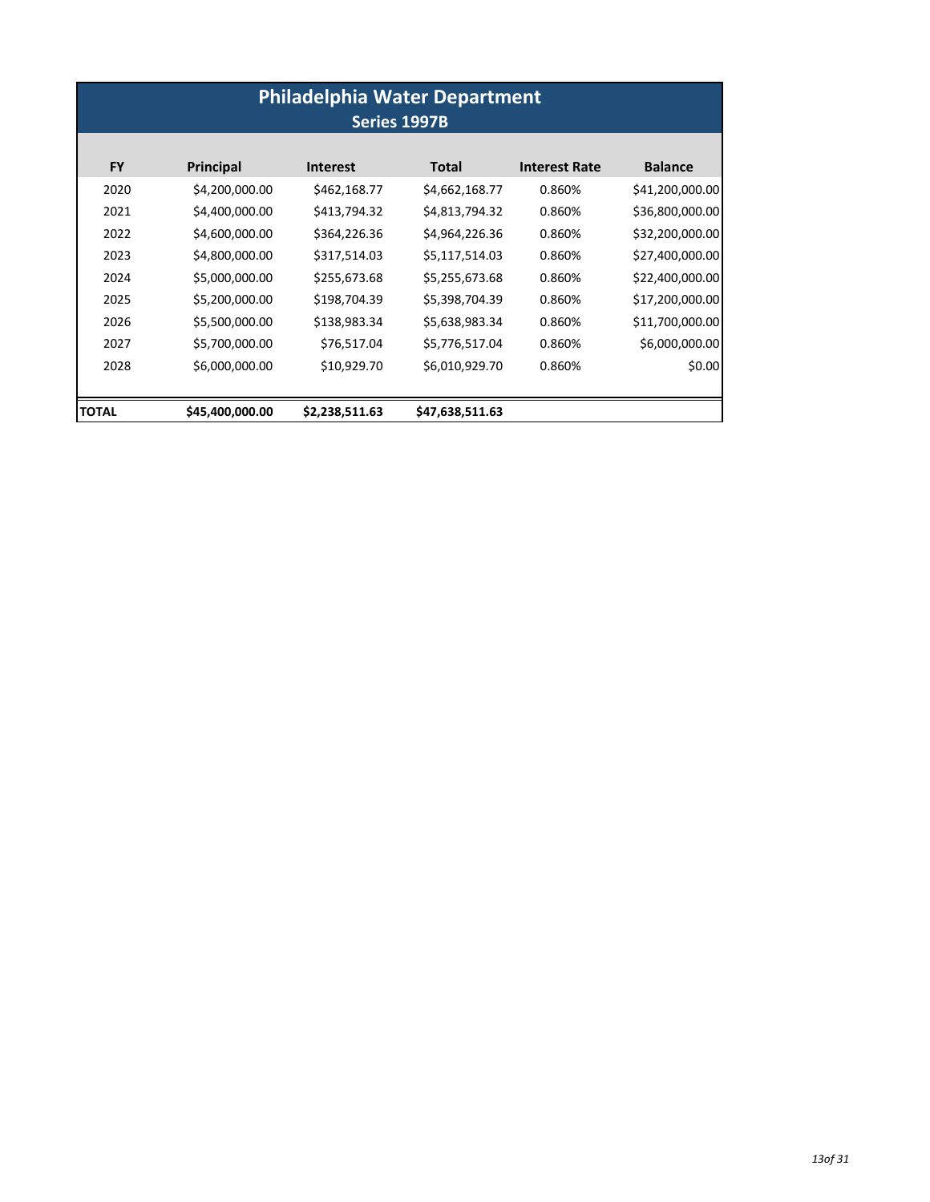| <b>Philadelphia Water Department</b><br>Series 1997B |                 |                 |                 |                      |                 |  |  |  |
|------------------------------------------------------|-----------------|-----------------|-----------------|----------------------|-----------------|--|--|--|
| <b>FY</b>                                            | Principal       | <b>Interest</b> | Total           | <b>Interest Rate</b> | <b>Balance</b>  |  |  |  |
| 2020                                                 | \$4,200,000.00  | \$462,168.77    | \$4,662,168.77  | 0.860%               | \$41,200,000.00 |  |  |  |
| 2021                                                 | \$4,400,000.00  | \$413,794.32    | \$4,813,794.32  | 0.860%               | \$36,800,000.00 |  |  |  |
| 2022                                                 | \$4,600,000.00  | \$364,226.36    | \$4,964,226.36  | 0.860%               | \$32,200,000.00 |  |  |  |
| 2023                                                 | \$4,800,000.00  | \$317,514.03    | \$5,117,514.03  | 0.860%               | \$27,400,000.00 |  |  |  |
| 2024                                                 | \$5,000,000.00  | \$255,673.68    | \$5,255,673.68  | 0.860%               | \$22,400,000.00 |  |  |  |
| 2025                                                 | \$5,200,000.00  | \$198,704.39    | \$5,398,704.39  | 0.860%               | \$17,200,000.00 |  |  |  |
| 2026                                                 | \$5,500,000.00  | \$138,983.34    | \$5,638,983.34  | 0.860%               | \$11,700,000.00 |  |  |  |
| 2027                                                 | \$5,700,000.00  | \$76,517.04     | \$5,776,517.04  | 0.860%               | \$6,000,000.00  |  |  |  |
| 2028                                                 | \$6,000,000.00  | \$10,929.70     | \$6,010,929.70  | 0.860%               | \$0.00          |  |  |  |
| <b>TOTAL</b>                                         | \$45,400,000.00 | \$2,238,511.63  | \$47,638,511.63 |                      |                 |  |  |  |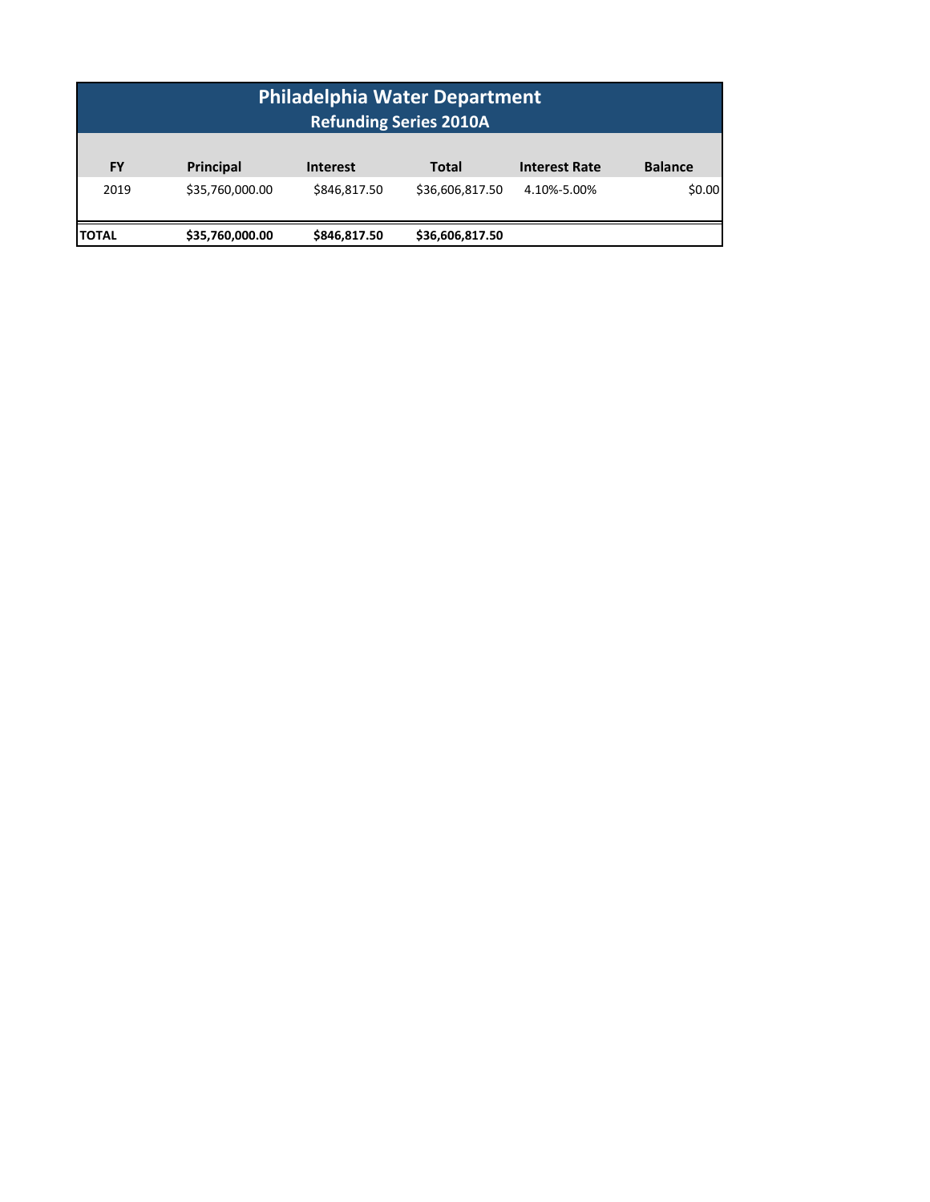| <b>Philadelphia Water Department</b><br><b>Refunding Series 2010A</b> |                 |                 |                 |                      |                |  |  |  |
|-----------------------------------------------------------------------|-----------------|-----------------|-----------------|----------------------|----------------|--|--|--|
| <b>FY</b>                                                             | Principal       | <b>Interest</b> | <b>Total</b>    | <b>Interest Rate</b> | <b>Balance</b> |  |  |  |
| 2019                                                                  | \$35,760,000.00 | \$846,817.50    | \$36,606,817.50 | 4.10%-5.00%          | \$0.00         |  |  |  |
| \$35,760,000.00<br>\$846,817.50<br>\$36,606,817.50<br><b>TOTAL</b>    |                 |                 |                 |                      |                |  |  |  |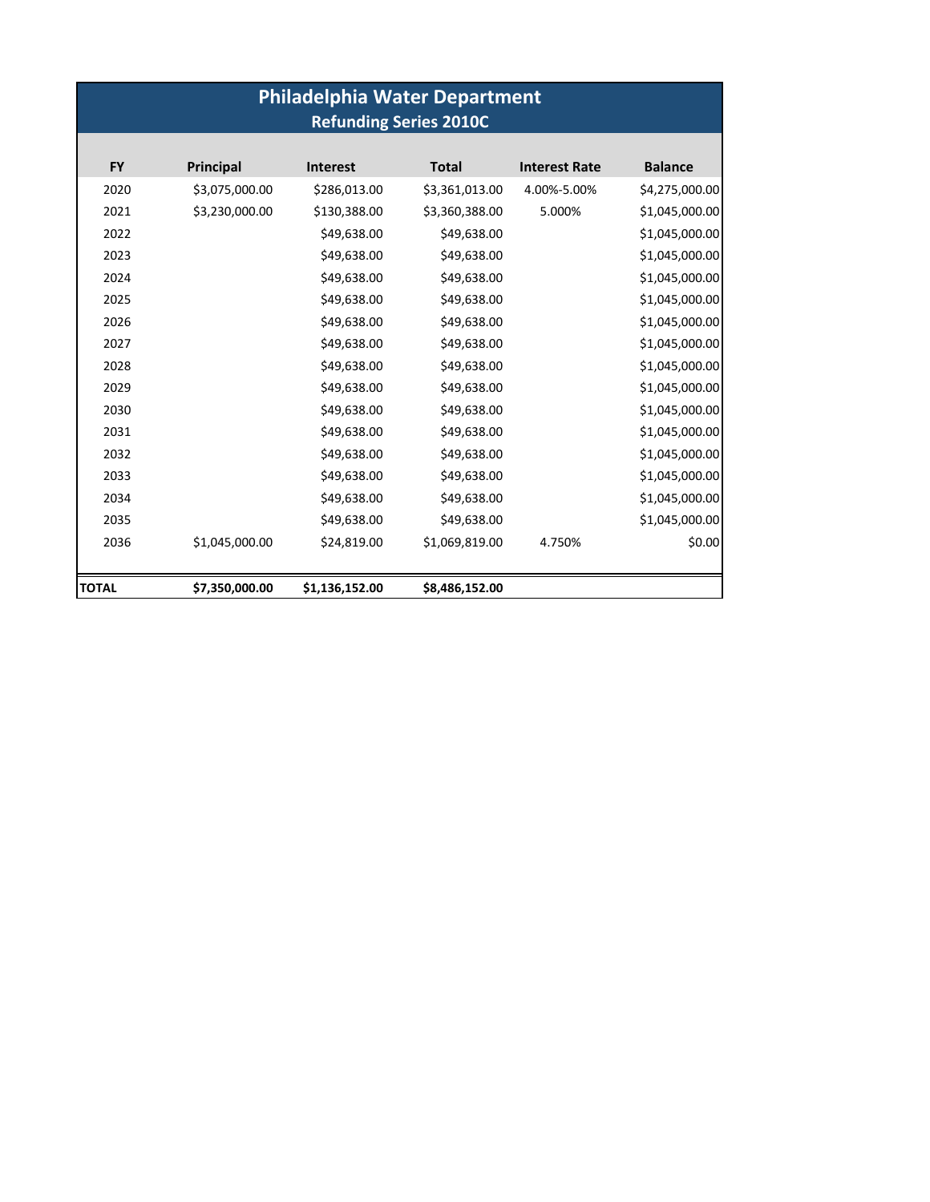| <b>Philadelphia Water Department</b><br><b>Refunding Series 2010C</b> |                |                 |                |                      |                |  |  |  |  |
|-----------------------------------------------------------------------|----------------|-----------------|----------------|----------------------|----------------|--|--|--|--|
|                                                                       |                |                 |                |                      |                |  |  |  |  |
| <b>FY</b>                                                             | Principal      | <b>Interest</b> | <b>Total</b>   | <b>Interest Rate</b> | <b>Balance</b> |  |  |  |  |
| 2020                                                                  | \$3,075,000.00 | \$286,013.00    | \$3,361,013.00 | 4.00%-5.00%          | \$4,275,000.00 |  |  |  |  |
| 2021                                                                  | \$3,230,000.00 | \$130,388.00    | \$3,360,388.00 | 5.000%               | \$1,045,000.00 |  |  |  |  |
| 2022                                                                  |                | \$49,638.00     | \$49,638.00    |                      | \$1,045,000.00 |  |  |  |  |
| 2023                                                                  |                | \$49,638.00     | \$49,638.00    |                      | \$1,045,000.00 |  |  |  |  |
| 2024                                                                  |                | \$49,638.00     | \$49,638.00    |                      | \$1,045,000.00 |  |  |  |  |
| 2025                                                                  |                | \$49,638.00     | \$49,638.00    |                      | \$1,045,000.00 |  |  |  |  |
| 2026                                                                  |                | \$49,638.00     | \$49,638.00    |                      | \$1,045,000.00 |  |  |  |  |
| 2027                                                                  |                | \$49,638.00     | \$49,638.00    |                      | \$1,045,000.00 |  |  |  |  |
| 2028                                                                  |                | \$49,638.00     | \$49,638.00    |                      | \$1,045,000.00 |  |  |  |  |
| 2029                                                                  |                | \$49,638.00     | \$49,638.00    |                      | \$1,045,000.00 |  |  |  |  |
| 2030                                                                  |                | \$49,638.00     | \$49,638.00    |                      | \$1,045,000.00 |  |  |  |  |
| 2031                                                                  |                | \$49,638.00     | \$49,638.00    |                      | \$1,045,000.00 |  |  |  |  |
| 2032                                                                  |                | \$49,638.00     | \$49,638.00    |                      | \$1,045,000.00 |  |  |  |  |
| 2033                                                                  |                | \$49,638.00     | \$49,638.00    |                      | \$1,045,000.00 |  |  |  |  |
| 2034                                                                  |                | \$49,638.00     | \$49,638.00    |                      | \$1,045,000.00 |  |  |  |  |
| 2035                                                                  |                | \$49,638.00     | \$49,638.00    |                      | \$1,045,000.00 |  |  |  |  |
| 2036                                                                  | \$1,045,000.00 | \$24,819.00     | \$1,069,819.00 | 4.750%               | \$0.00         |  |  |  |  |
|                                                                       |                |                 |                |                      |                |  |  |  |  |
| <b>TOTAL</b>                                                          | \$7,350,000.00 | \$1,136,152.00  | \$8,486,152.00 |                      |                |  |  |  |  |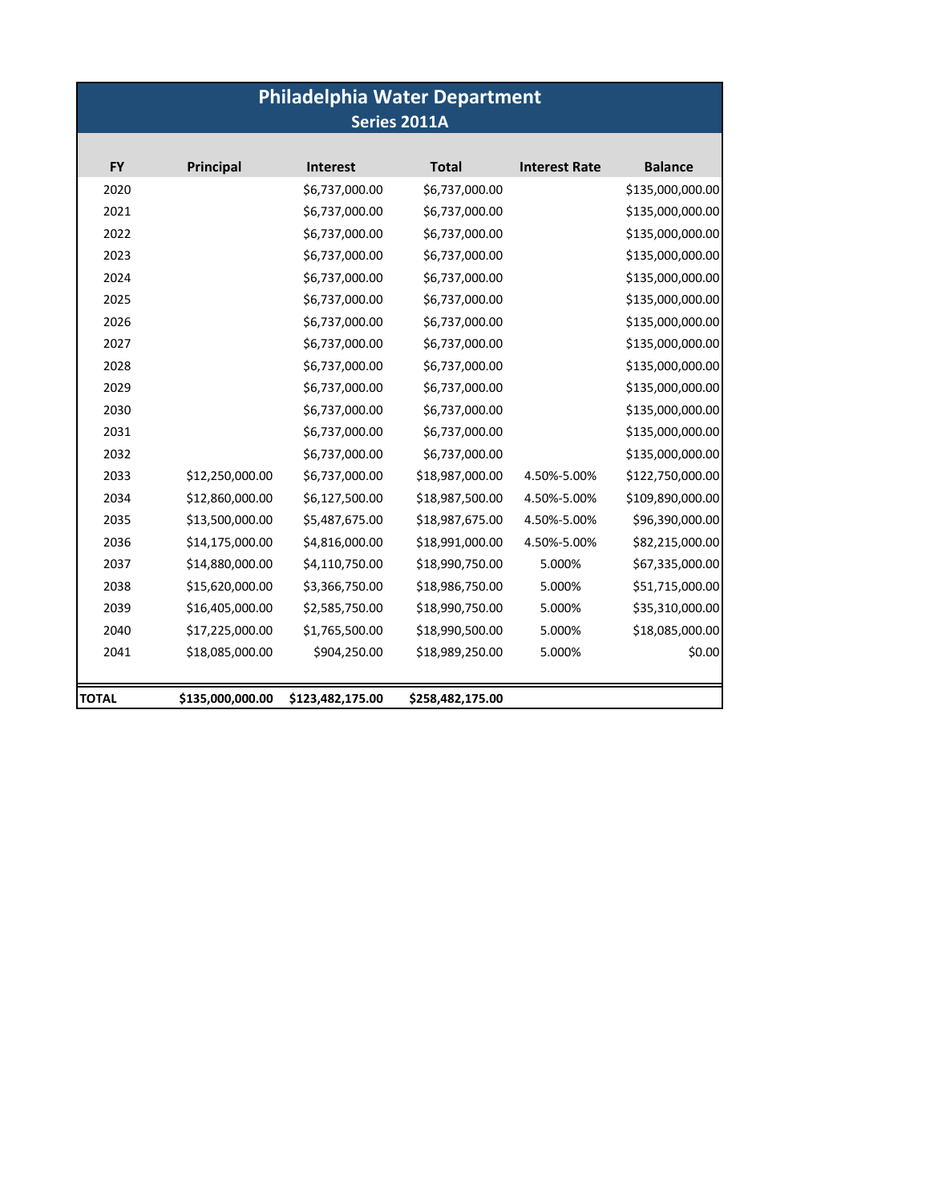| <b>Philadelphia Water Department</b><br>Series 2011A |                  |                  |                  |                      |                  |  |  |  |
|------------------------------------------------------|------------------|------------------|------------------|----------------------|------------------|--|--|--|
| <b>FY</b>                                            | Principal        | <b>Interest</b>  | <b>Total</b>     | <b>Interest Rate</b> | <b>Balance</b>   |  |  |  |
| 2020                                                 |                  | \$6,737,000.00   | \$6,737,000.00   |                      | \$135,000,000.00 |  |  |  |
| 2021                                                 |                  | \$6,737,000.00   | \$6,737,000.00   |                      | \$135,000,000.00 |  |  |  |
| 2022                                                 |                  | \$6,737,000.00   | \$6,737,000.00   |                      | \$135,000,000.00 |  |  |  |
| 2023                                                 |                  | \$6,737,000.00   | \$6,737,000.00   |                      | \$135,000,000.00 |  |  |  |
| 2024                                                 |                  | \$6,737,000.00   | \$6,737,000.00   |                      | \$135,000,000.00 |  |  |  |
| 2025                                                 |                  | \$6,737,000.00   | \$6,737,000.00   |                      | \$135,000,000.00 |  |  |  |
| 2026                                                 |                  | \$6,737,000.00   | \$6,737,000.00   |                      | \$135,000,000.00 |  |  |  |
| 2027                                                 |                  | \$6,737,000.00   | \$6,737,000.00   |                      | \$135,000,000.00 |  |  |  |
| 2028                                                 |                  | \$6,737,000.00   | \$6,737,000.00   |                      | \$135,000,000.00 |  |  |  |
| 2029                                                 |                  | \$6,737,000.00   | \$6,737,000.00   |                      | \$135,000,000.00 |  |  |  |
| 2030                                                 |                  | \$6,737,000.00   | \$6,737,000.00   |                      | \$135,000,000.00 |  |  |  |
| 2031                                                 |                  | \$6,737,000.00   | \$6,737,000.00   |                      | \$135,000,000.00 |  |  |  |
| 2032                                                 |                  | \$6,737,000.00   | \$6,737,000.00   |                      | \$135,000,000.00 |  |  |  |
| 2033                                                 | \$12,250,000.00  | \$6,737,000.00   | \$18,987,000.00  | 4.50%-5.00%          | \$122,750,000.00 |  |  |  |
| 2034                                                 | \$12,860,000.00  | \$6,127,500.00   | \$18,987,500.00  | 4.50%-5.00%          | \$109,890,000.00 |  |  |  |
| 2035                                                 | \$13,500,000.00  | \$5,487,675.00   | \$18,987,675.00  | 4.50%-5.00%          | \$96,390,000.00  |  |  |  |
| 2036                                                 | \$14,175,000.00  | \$4,816,000.00   | \$18,991,000.00  | 4.50%-5.00%          | \$82,215,000.00  |  |  |  |
| 2037                                                 | \$14,880,000.00  | \$4,110,750.00   | \$18,990,750.00  | 5.000%               | \$67,335,000.00  |  |  |  |
| 2038                                                 | \$15,620,000.00  | \$3,366,750.00   | \$18,986,750.00  | 5.000%               | \$51,715,000.00  |  |  |  |
| 2039                                                 | \$16,405,000.00  | \$2,585,750.00   | \$18,990,750.00  | 5.000%               | \$35,310,000.00  |  |  |  |
| 2040                                                 | \$17,225,000.00  | \$1,765,500.00   | \$18,990,500.00  | 5.000%               | \$18,085,000.00  |  |  |  |
| 2041                                                 | \$18,085,000.00  | \$904,250.00     | \$18,989,250.00  | 5.000%               | \$0.00           |  |  |  |
|                                                      |                  |                  |                  |                      |                  |  |  |  |
| TOTAL                                                | \$135,000,000.00 | \$123,482,175.00 | \$258,482,175.00 |                      |                  |  |  |  |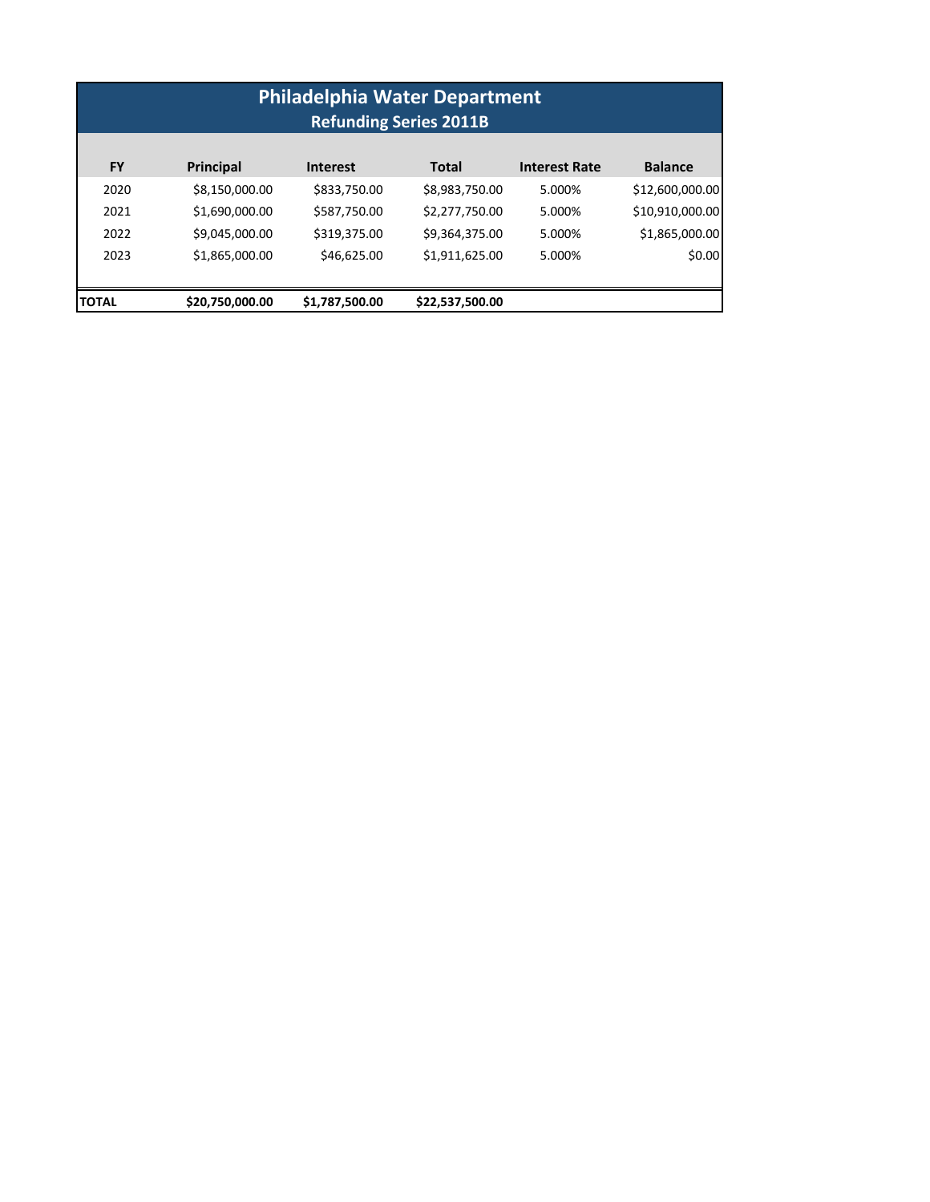| <b>Philadelphia Water Department</b><br><b>Refunding Series 2011B</b> |                 |                 |                 |                      |                 |  |  |  |
|-----------------------------------------------------------------------|-----------------|-----------------|-----------------|----------------------|-----------------|--|--|--|
| <b>FY</b>                                                             | Principal       | <b>Interest</b> | <b>Total</b>    | <b>Interest Rate</b> | <b>Balance</b>  |  |  |  |
| 2020                                                                  | \$8,150,000.00  | \$833,750.00    | \$8,983,750.00  | 5.000%               | \$12,600,000.00 |  |  |  |
| 2021                                                                  | \$1,690,000.00  | \$587,750.00    | \$2,277,750.00  | 5.000%               | \$10,910,000.00 |  |  |  |
| 2022                                                                  | \$9,045,000.00  | \$319,375.00    | \$9,364,375.00  | 5.000%               | \$1,865,000.00  |  |  |  |
| 2023                                                                  | \$1,865,000.00  | \$46,625.00     | \$1,911,625.00  | 5.000%               | \$0.00          |  |  |  |
| <b>ITOTAL</b>                                                         | \$20,750,000.00 | \$1,787,500.00  | \$22,537,500.00 |                      |                 |  |  |  |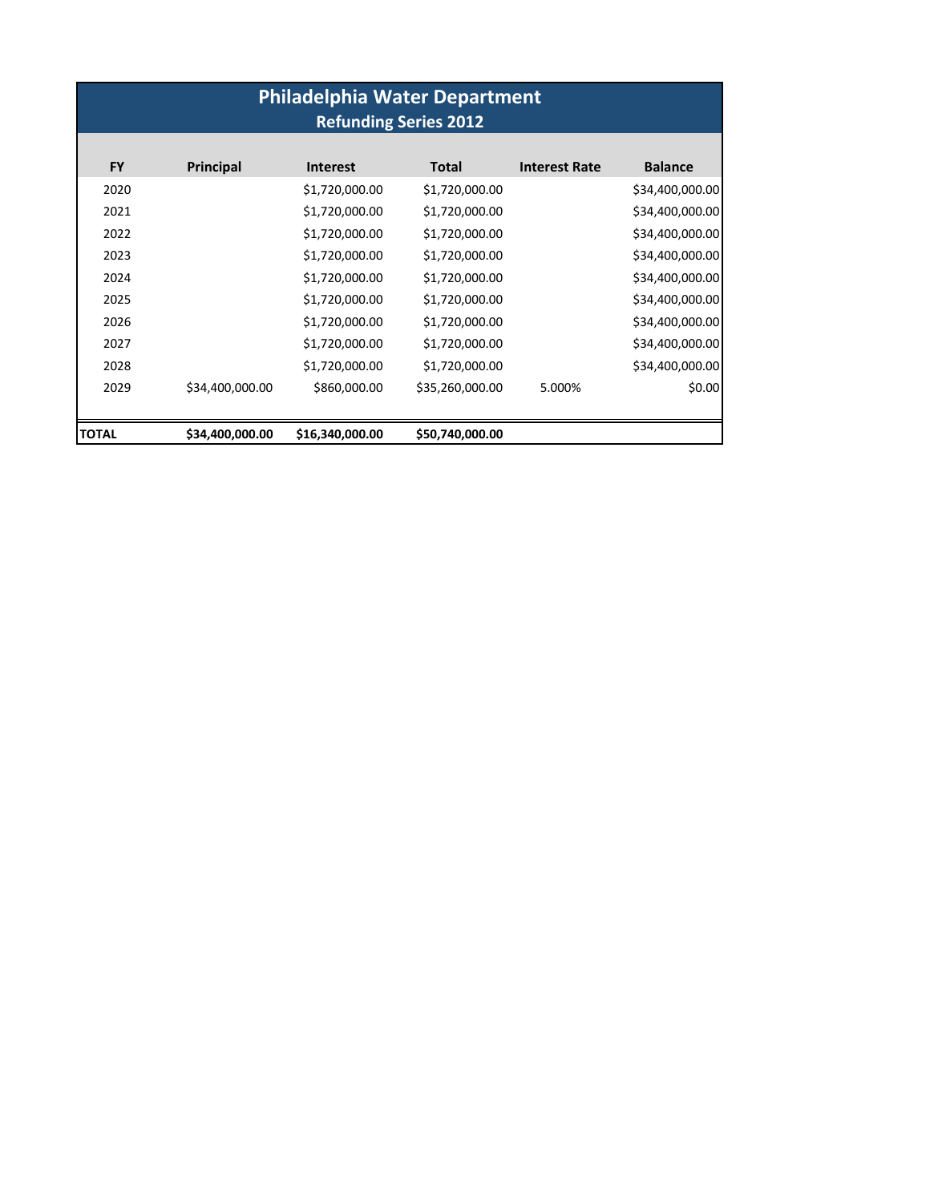| <b>Philadelphia Water Department</b><br><b>Refunding Series 2012</b> |                  |                 |                 |                      |                 |  |  |  |
|----------------------------------------------------------------------|------------------|-----------------|-----------------|----------------------|-----------------|--|--|--|
| <b>FY</b>                                                            | <b>Principal</b> | <b>Interest</b> | <b>Total</b>    | <b>Interest Rate</b> | <b>Balance</b>  |  |  |  |
| 2020                                                                 |                  | \$1,720,000.00  | \$1,720,000.00  |                      | \$34,400,000.00 |  |  |  |
| 2021                                                                 |                  | \$1,720,000.00  | \$1,720,000.00  |                      | \$34,400,000.00 |  |  |  |
| 2022                                                                 |                  | \$1,720,000.00  | \$1,720,000.00  |                      | \$34,400,000.00 |  |  |  |
| 2023                                                                 |                  | \$1,720,000.00  | \$1,720,000.00  |                      | \$34,400,000.00 |  |  |  |
| 2024                                                                 |                  | \$1,720,000.00  | \$1,720,000.00  |                      | \$34,400,000.00 |  |  |  |
| 2025                                                                 |                  | \$1,720,000.00  | \$1,720,000.00  |                      | \$34,400,000.00 |  |  |  |
| 2026                                                                 |                  | \$1,720,000.00  | \$1,720,000.00  |                      | \$34,400,000.00 |  |  |  |
| 2027                                                                 |                  | \$1,720,000.00  | \$1,720,000.00  |                      | \$34,400,000.00 |  |  |  |
| 2028                                                                 |                  | \$1,720,000.00  | \$1,720,000.00  |                      | \$34,400,000.00 |  |  |  |
| 2029                                                                 | \$34,400,000.00  | \$860,000.00    | \$35,260,000.00 | 5.000%               | \$0.00          |  |  |  |
| <b>TOTAL</b>                                                         | \$34,400,000.00  | \$16,340,000.00 | \$50,740,000.00 |                      |                 |  |  |  |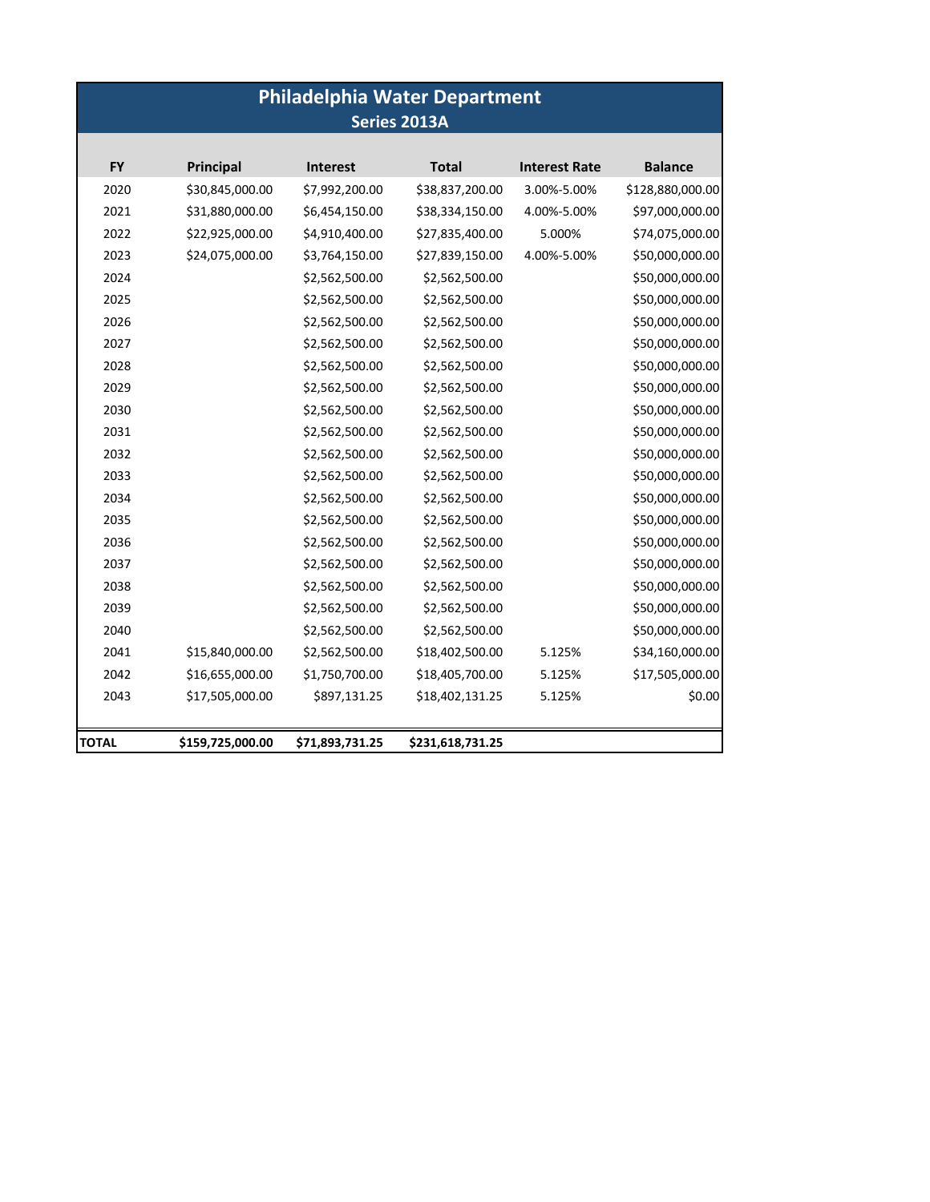# **Philadelphia Water Department Series 2013A**

| 2020<br>2021<br>2022<br>2023<br>2024<br>2025<br>2026<br>2027<br>2028<br>2029 |                  |                 | <b>Total</b>     | <b>Interest Rate</b> | <b>Balance</b>   |
|------------------------------------------------------------------------------|------------------|-----------------|------------------|----------------------|------------------|
|                                                                              | \$30,845,000.00  | \$7,992,200.00  | \$38,837,200.00  | 3.00%-5.00%          | \$128,880,000.00 |
|                                                                              | \$31,880,000.00  | \$6,454,150.00  | \$38,334,150.00  | 4.00%-5.00%          | \$97,000,000.00  |
|                                                                              | \$22,925,000.00  | \$4,910,400.00  | \$27,835,400.00  | 5.000%               | \$74,075,000.00  |
|                                                                              | \$24,075,000.00  | \$3,764,150.00  | \$27,839,150.00  | 4.00%-5.00%          | \$50,000,000.00  |
|                                                                              |                  | \$2,562,500.00  | \$2,562,500.00   |                      | \$50,000,000.00  |
|                                                                              |                  | \$2,562,500.00  | \$2,562,500.00   |                      | \$50,000,000.00  |
|                                                                              |                  | \$2,562,500.00  | \$2,562,500.00   |                      | \$50,000,000.00  |
|                                                                              |                  | \$2,562,500.00  | \$2,562,500.00   |                      | \$50,000,000.00  |
|                                                                              |                  | \$2,562,500.00  | \$2,562,500.00   |                      | \$50,000,000.00  |
|                                                                              |                  | \$2,562,500.00  | \$2,562,500.00   |                      | \$50,000,000.00  |
| 2030                                                                         |                  | \$2,562,500.00  | \$2,562,500.00   |                      | \$50,000,000.00  |
| 2031                                                                         |                  | \$2,562,500.00  | \$2,562,500.00   |                      | \$50,000,000.00  |
| 2032                                                                         |                  | \$2,562,500.00  | \$2,562,500.00   |                      | \$50,000,000.00  |
| 2033                                                                         |                  | \$2,562,500.00  | \$2,562,500.00   |                      | \$50,000,000.00  |
| 2034                                                                         |                  | \$2,562,500.00  | \$2,562,500.00   |                      | \$50,000,000.00  |
| 2035                                                                         |                  | \$2,562,500.00  | \$2,562,500.00   |                      | \$50,000,000.00  |
| 2036                                                                         |                  | \$2,562,500.00  | \$2,562,500.00   |                      | \$50,000,000.00  |
| 2037                                                                         |                  | \$2,562,500.00  | \$2,562,500.00   |                      | \$50,000,000.00  |
| 2038                                                                         |                  | \$2,562,500.00  | \$2,562,500.00   |                      | \$50,000,000.00  |
| 2039                                                                         |                  | \$2,562,500.00  | \$2,562,500.00   |                      | \$50,000,000.00  |
| 2040                                                                         |                  | \$2,562,500.00  | \$2,562,500.00   |                      | \$50,000,000.00  |
| 2041                                                                         | \$15,840,000.00  | \$2,562,500.00  | \$18,402,500.00  | 5.125%               | \$34,160,000.00  |
| 2042                                                                         | \$16,655,000.00  | \$1,750,700.00  | \$18,405,700.00  | 5.125%               | \$17,505,000.00  |
| 2043                                                                         | \$17,505,000.00  | \$897,131.25    | \$18,402,131.25  | 5.125%               | \$0.00           |
| TOTAL                                                                        | \$159,725,000.00 | \$71,893,731.25 | \$231,618,731.25 |                      |                  |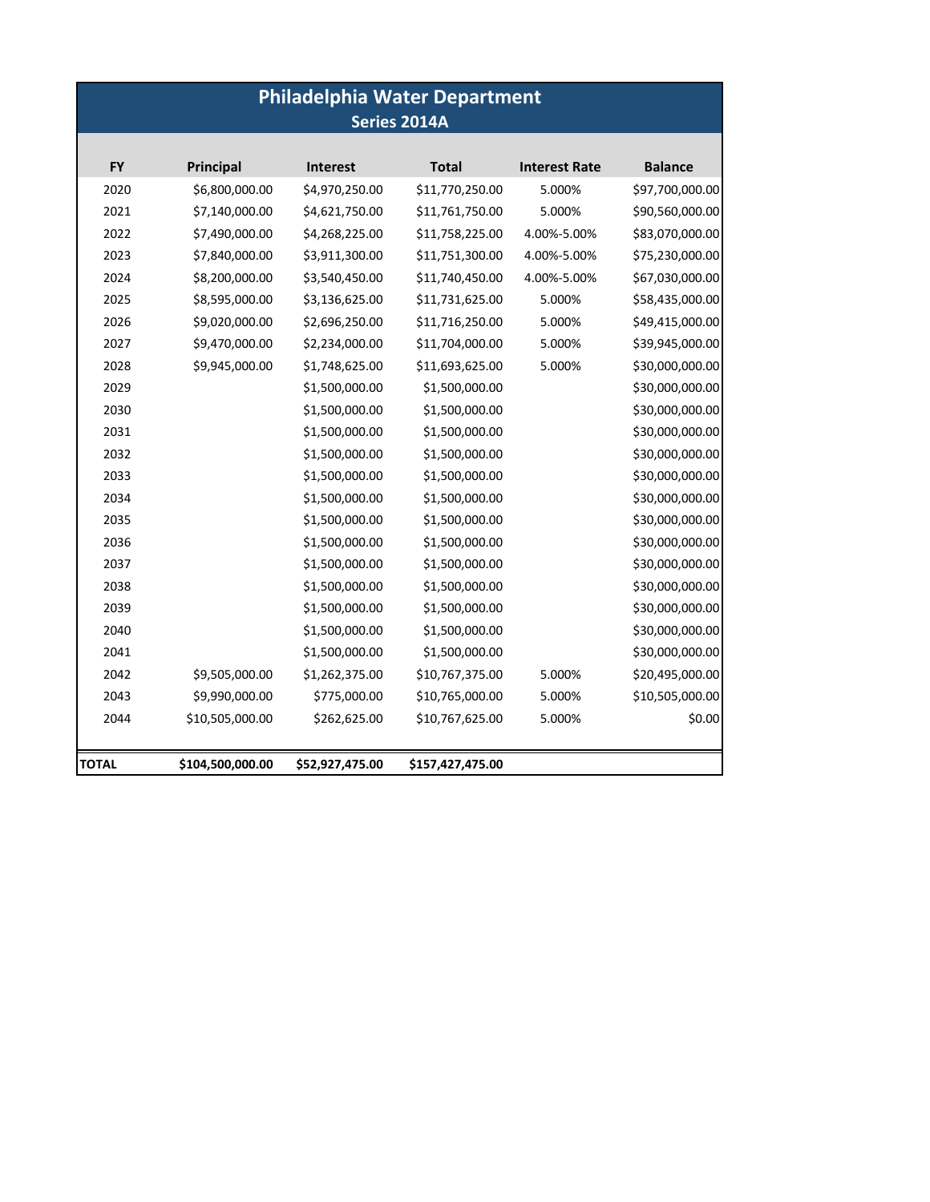| <b>Philadelphia Water Department</b><br>Series 2014A |                  |                 |                  |                      |                 |  |  |
|------------------------------------------------------|------------------|-----------------|------------------|----------------------|-----------------|--|--|
|                                                      |                  |                 |                  |                      |                 |  |  |
| <b>FY</b>                                            | <b>Principal</b> | <b>Interest</b> | <b>Total</b>     | <b>Interest Rate</b> | <b>Balance</b>  |  |  |
| 2020                                                 | \$6,800,000.00   | \$4,970,250.00  | \$11,770,250.00  | 5.000%               | \$97,700,000.00 |  |  |
| 2021                                                 | \$7,140,000.00   | \$4,621,750.00  | \$11,761,750.00  | 5.000%               | \$90,560,000.00 |  |  |
| 2022                                                 | \$7,490,000.00   | \$4,268,225.00  | \$11,758,225.00  | 4.00%-5.00%          | \$83,070,000.00 |  |  |
| 2023                                                 | \$7,840,000.00   | \$3,911,300.00  | \$11,751,300.00  | 4.00%-5.00%          | \$75,230,000.00 |  |  |
| 2024                                                 | \$8,200,000.00   | \$3,540,450.00  | \$11,740,450.00  | 4.00%-5.00%          | \$67,030,000.00 |  |  |
| 2025                                                 | \$8,595,000.00   | \$3,136,625.00  | \$11,731,625.00  | 5.000%               | \$58,435,000.00 |  |  |
| 2026                                                 | \$9,020,000.00   | \$2,696,250.00  | \$11,716,250.00  | 5.000%               | \$49,415,000.00 |  |  |
| 2027                                                 | \$9,470,000.00   | \$2,234,000.00  | \$11,704,000.00  | 5.000%               | \$39,945,000.00 |  |  |
| 2028                                                 | \$9,945,000.00   | \$1,748,625.00  | \$11,693,625.00  | 5.000%               | \$30,000,000.00 |  |  |
| 2029                                                 |                  | \$1,500,000.00  | \$1,500,000.00   |                      | \$30,000,000.00 |  |  |
| 2030                                                 |                  | \$1,500,000.00  | \$1,500,000.00   |                      | \$30,000,000.00 |  |  |
| 2031                                                 |                  | \$1,500,000.00  | \$1,500,000.00   |                      | \$30,000,000.00 |  |  |
| 2032                                                 |                  | \$1,500,000.00  | \$1,500,000.00   |                      | \$30,000,000.00 |  |  |
| 2033                                                 |                  | \$1,500,000.00  | \$1,500,000.00   |                      | \$30,000,000.00 |  |  |
| 2034                                                 |                  | \$1,500,000.00  | \$1,500,000.00   |                      | \$30,000,000.00 |  |  |
| 2035                                                 |                  | \$1,500,000.00  | \$1,500,000.00   |                      | \$30,000,000.00 |  |  |
| 2036                                                 |                  | \$1,500,000.00  | \$1,500,000.00   |                      | \$30,000,000.00 |  |  |
| 2037                                                 |                  | \$1,500,000.00  | \$1,500,000.00   |                      | \$30,000,000.00 |  |  |
| 2038                                                 |                  | \$1,500,000.00  | \$1,500,000.00   |                      | \$30,000,000.00 |  |  |
| 2039                                                 |                  | \$1,500,000.00  | \$1,500,000.00   |                      | \$30,000,000.00 |  |  |
| 2040                                                 |                  | \$1,500,000.00  | \$1,500,000.00   |                      | \$30,000,000.00 |  |  |
| 2041                                                 |                  | \$1,500,000.00  | \$1,500,000.00   |                      | \$30,000,000.00 |  |  |
| 2042                                                 | \$9,505,000.00   | \$1,262,375.00  | \$10,767,375.00  | 5.000%               | \$20,495,000.00 |  |  |
| 2043                                                 | \$9,990,000.00   | \$775,000.00    | \$10,765,000.00  | 5.000%               | \$10,505,000.00 |  |  |
| 2044                                                 | \$10,505,000.00  | \$262,625.00    | \$10,767,625.00  | 5.000%               | \$0.00          |  |  |
| TOTAL                                                | \$104,500,000.00 | \$52,927,475.00 | \$157,427,475.00 |                      |                 |  |  |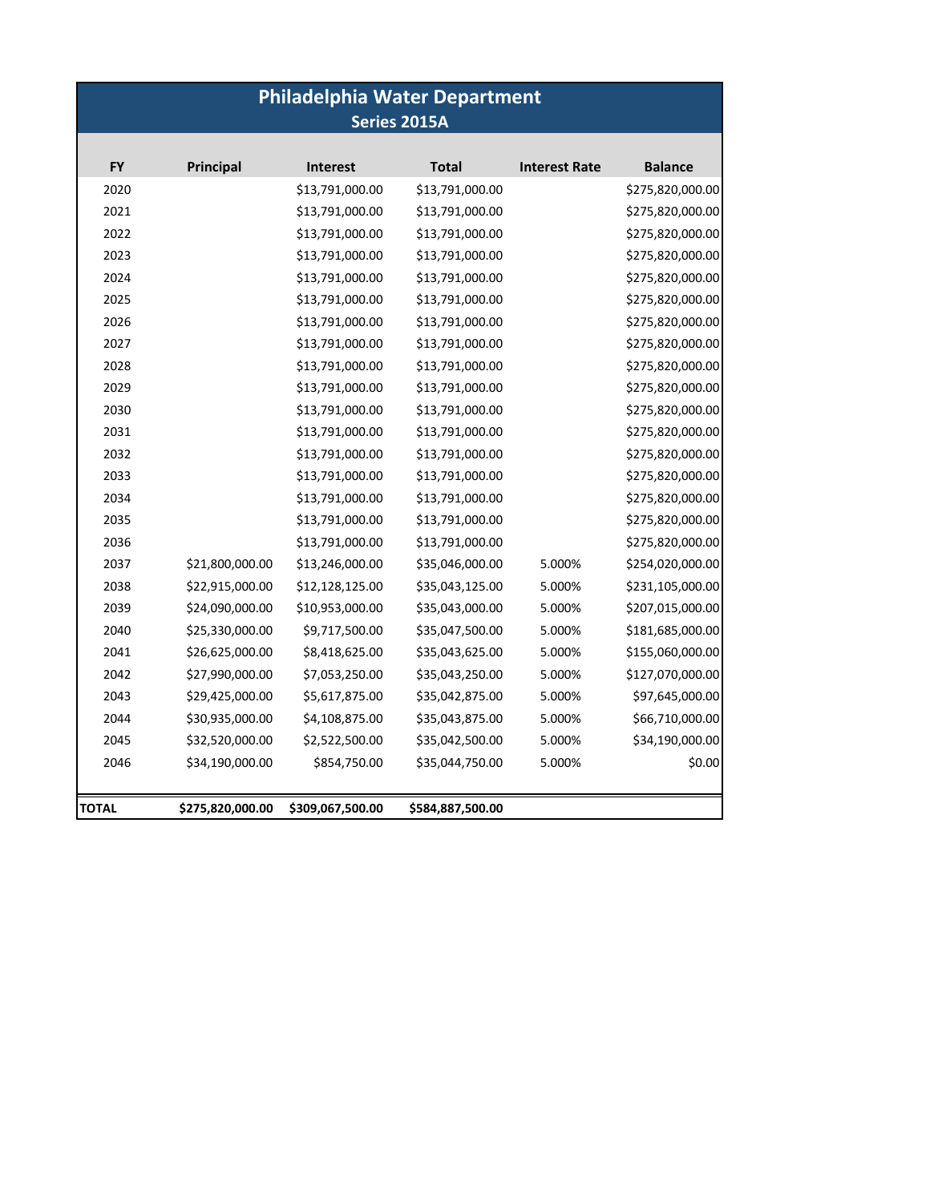# **Philadelphia Water Department Series 2015A**

| <b>FY</b> | Principal        | <b>Interest</b>  | <b>Total</b>     | <b>Interest Rate</b> | <b>Balance</b>   |
|-----------|------------------|------------------|------------------|----------------------|------------------|
| 2020      |                  | \$13,791,000.00  | \$13,791,000.00  |                      | \$275,820,000.00 |
| 2021      |                  | \$13,791,000.00  | \$13,791,000.00  |                      | \$275,820,000.00 |
| 2022      |                  | \$13,791,000.00  | \$13,791,000.00  |                      | \$275,820,000.00 |
| 2023      |                  | \$13,791,000.00  | \$13,791,000.00  |                      | \$275,820,000.00 |
| 2024      |                  | \$13,791,000.00  | \$13,791,000.00  |                      | \$275,820,000.00 |
| 2025      |                  | \$13,791,000.00  | \$13,791,000.00  |                      | \$275,820,000.00 |
| 2026      |                  | \$13,791,000.00  | \$13,791,000.00  |                      | \$275,820,000.00 |
| 2027      |                  | \$13,791,000.00  | \$13,791,000.00  |                      | \$275,820,000.00 |
| 2028      |                  | \$13,791,000.00  | \$13,791,000.00  |                      | \$275,820,000.00 |
| 2029      |                  | \$13,791,000.00  | \$13,791,000.00  |                      | \$275,820,000.00 |
| 2030      |                  | \$13,791,000.00  | \$13,791,000.00  |                      | \$275,820,000.00 |
| 2031      |                  | \$13,791,000.00  | \$13,791,000.00  |                      | \$275,820,000.00 |
| 2032      |                  | \$13,791,000.00  | \$13,791,000.00  |                      | \$275,820,000.00 |
| 2033      |                  | \$13,791,000.00  | \$13,791,000.00  |                      | \$275,820,000.00 |
| 2034      |                  | \$13,791,000.00  | \$13,791,000.00  |                      | \$275,820,000.00 |
| 2035      |                  | \$13,791,000.00  | \$13,791,000.00  |                      | \$275,820,000.00 |
| 2036      |                  | \$13,791,000.00  | \$13,791,000.00  |                      | \$275,820,000.00 |
| 2037      | \$21,800,000.00  | \$13,246,000.00  | \$35,046,000.00  | 5.000%               | \$254,020,000.00 |
| 2038      | \$22,915,000.00  | \$12,128,125.00  | \$35,043,125.00  | 5.000%               | \$231,105,000.00 |
| 2039      | \$24,090,000.00  | \$10,953,000.00  | \$35,043,000.00  | 5.000%               | \$207,015,000.00 |
| 2040      | \$25,330,000.00  | \$9,717,500.00   | \$35,047,500.00  | 5.000%               | \$181,685,000.00 |
| 2041      | \$26,625,000.00  | \$8,418,625.00   | \$35,043,625.00  | 5.000%               | \$155,060,000.00 |
| 2042      | \$27,990,000.00  | \$7,053,250.00   | \$35,043,250.00  | 5.000%               | \$127,070,000.00 |
| 2043      | \$29,425,000.00  | \$5,617,875.00   | \$35,042,875.00  | 5.000%               | \$97,645,000.00  |
| 2044      | \$30,935,000.00  | \$4,108,875.00   | \$35,043,875.00  | 5.000%               | \$66,710,000.00  |
| 2045      | \$32,520,000.00  | \$2,522,500.00   | \$35,042,500.00  | 5.000%               | \$34,190,000.00  |
| 2046      | \$34,190,000.00  | \$854,750.00     | \$35,044,750.00  | 5.000%               | \$0.00           |
|           |                  |                  |                  |                      |                  |
| TOTAL     | \$275,820,000.00 | \$309,067,500.00 | \$584,887,500.00 |                      |                  |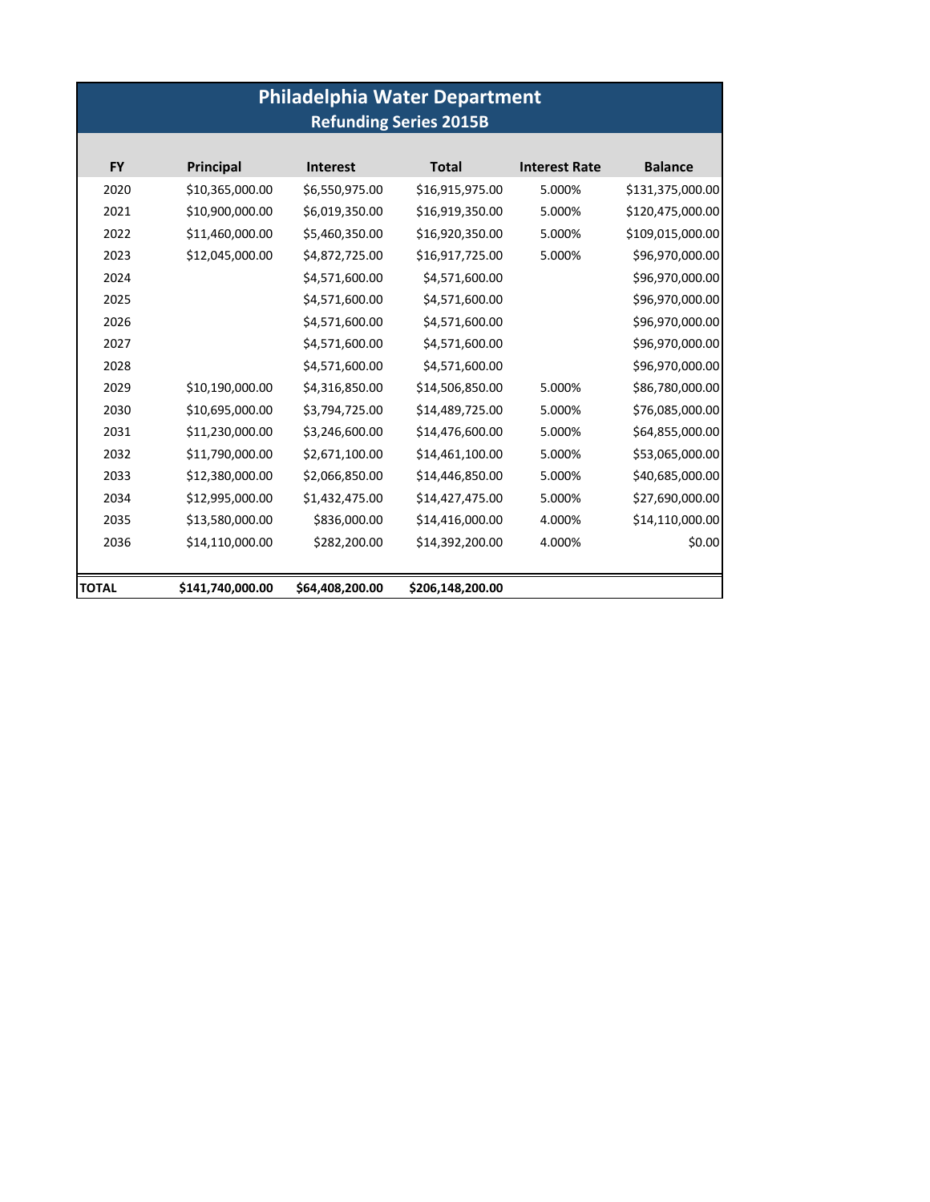|                               | <b>Philadelphia Water Department</b> |                 |                  |                      |                  |  |  |  |  |
|-------------------------------|--------------------------------------|-----------------|------------------|----------------------|------------------|--|--|--|--|
| <b>Refunding Series 2015B</b> |                                      |                 |                  |                      |                  |  |  |  |  |
|                               |                                      |                 |                  |                      |                  |  |  |  |  |
| <b>FY</b>                     | <b>Principal</b>                     | <b>Interest</b> | <b>Total</b>     | <b>Interest Rate</b> | <b>Balance</b>   |  |  |  |  |
| 2020                          | \$10,365,000.00                      | \$6,550,975.00  | \$16,915,975.00  | 5.000%               | \$131,375,000.00 |  |  |  |  |
| 2021                          | \$10,900,000.00                      | \$6,019,350.00  | \$16,919,350.00  | 5.000%               | \$120,475,000.00 |  |  |  |  |
| 2022                          | \$11,460,000.00                      | \$5,460,350.00  | \$16,920,350.00  | 5.000%               | \$109,015,000.00 |  |  |  |  |
| 2023                          | \$12,045,000.00                      | \$4,872,725.00  | \$16,917,725.00  | 5.000%               | \$96,970,000.00  |  |  |  |  |
| 2024                          |                                      | \$4,571,600.00  | \$4,571,600.00   |                      | \$96,970,000.00  |  |  |  |  |
| 2025                          |                                      | \$4,571,600.00  | \$4,571,600.00   |                      | \$96,970,000.00  |  |  |  |  |
| 2026                          |                                      | \$4,571,600.00  | \$4,571,600.00   |                      | \$96,970,000.00  |  |  |  |  |
| 2027                          |                                      | \$4,571,600.00  | \$4,571,600.00   |                      | \$96,970,000.00  |  |  |  |  |
| 2028                          |                                      | \$4,571,600.00  | \$4,571,600.00   |                      | \$96,970,000.00  |  |  |  |  |
| 2029                          | \$10,190,000.00                      | \$4,316,850.00  | \$14,506,850.00  | 5.000%               | \$86,780,000.00  |  |  |  |  |
| 2030                          | \$10,695,000.00                      | \$3,794,725.00  | \$14,489,725.00  | 5.000%               | \$76,085,000.00  |  |  |  |  |
| 2031                          | \$11,230,000.00                      | \$3,246,600.00  | \$14,476,600.00  | 5.000%               | \$64,855,000.00  |  |  |  |  |
| 2032                          | \$11,790,000.00                      | \$2,671,100.00  | \$14,461,100.00  | 5.000%               | \$53,065,000.00  |  |  |  |  |
| 2033                          | \$12,380,000.00                      | \$2,066,850.00  | \$14,446,850.00  | 5.000%               | \$40,685,000.00  |  |  |  |  |
| 2034                          | \$12,995,000.00                      | \$1,432,475.00  | \$14,427,475.00  | 5.000%               | \$27,690,000.00  |  |  |  |  |
| 2035                          | \$13,580,000.00                      | \$836,000.00    | \$14,416,000.00  | 4.000%               | \$14,110,000.00  |  |  |  |  |
| 2036                          | \$14,110,000.00                      | \$282,200.00    | \$14,392,200.00  | 4.000%               | \$0.00           |  |  |  |  |
| TOTAL                         | \$141,740,000.00                     | \$64,408,200.00 | \$206,148,200.00 |                      |                  |  |  |  |  |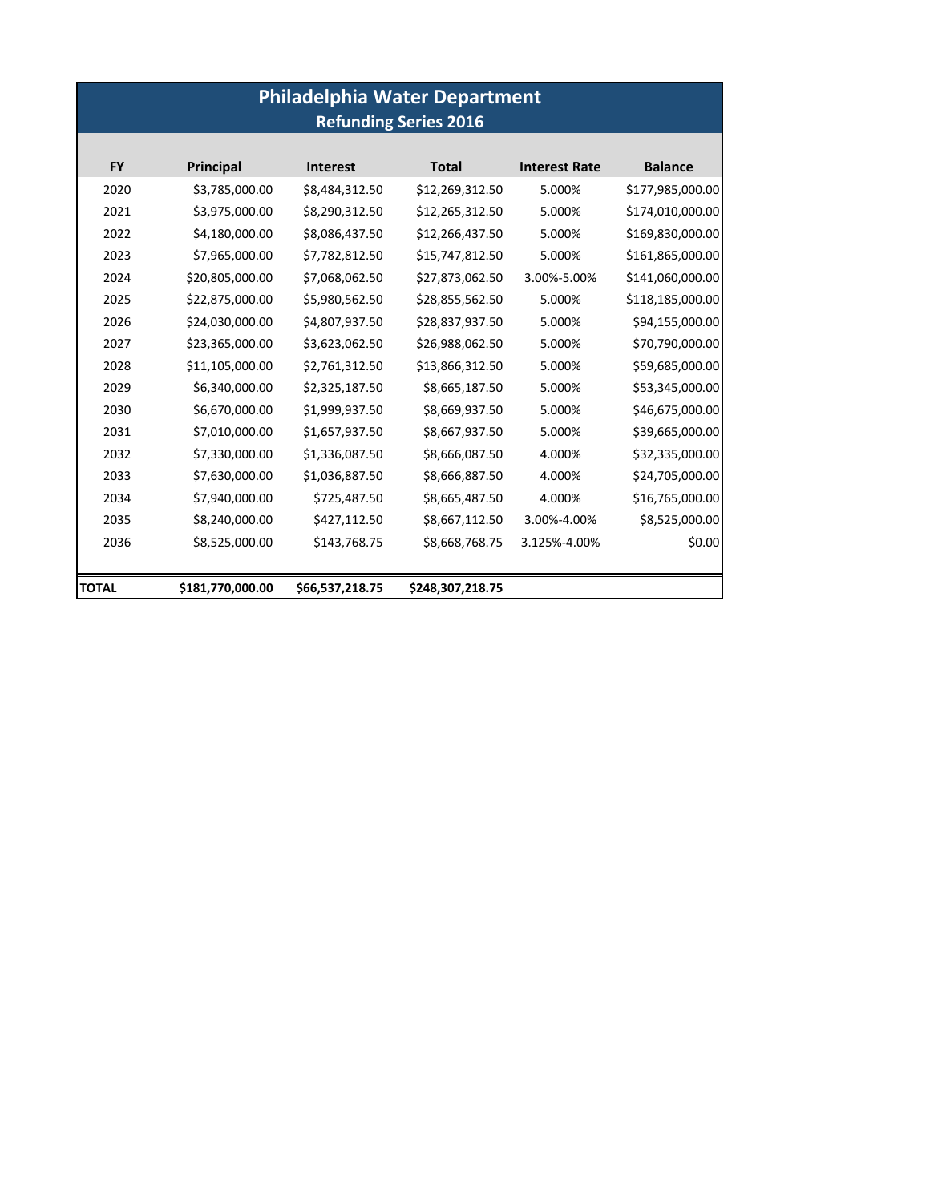|              | <b>Philadelphia Water Department</b><br><b>Refunding Series 2016</b> |                 |                  |                      |                  |  |  |  |
|--------------|----------------------------------------------------------------------|-----------------|------------------|----------------------|------------------|--|--|--|
| <b>FY</b>    | <b>Principal</b>                                                     | <b>Interest</b> | <b>Total</b>     | <b>Interest Rate</b> | <b>Balance</b>   |  |  |  |
| 2020         | \$3,785,000.00                                                       | \$8,484,312.50  | \$12,269,312.50  | 5.000%               | \$177,985,000.00 |  |  |  |
| 2021         | \$3,975,000.00                                                       | \$8,290,312.50  | \$12,265,312.50  | 5.000%               | \$174,010,000.00 |  |  |  |
| 2022         | \$4,180,000.00                                                       | \$8,086,437.50  | \$12,266,437.50  | 5.000%               | \$169,830,000.00 |  |  |  |
| 2023         | \$7,965,000.00                                                       | \$7,782,812.50  | \$15,747,812.50  | 5.000%               | \$161,865,000.00 |  |  |  |
| 2024         | \$20,805,000.00                                                      | \$7,068,062.50  | \$27,873,062.50  | 3.00%-5.00%          | \$141,060,000.00 |  |  |  |
| 2025         | \$22,875,000.00                                                      | \$5,980,562.50  | \$28,855,562.50  | 5.000%               | \$118,185,000.00 |  |  |  |
| 2026         | \$24,030,000.00                                                      | \$4,807,937.50  | \$28,837,937.50  | 5.000%               | \$94,155,000.00  |  |  |  |
| 2027         | \$23,365,000.00                                                      | \$3,623,062.50  | \$26,988,062.50  | 5.000%               | \$70,790,000.00  |  |  |  |
| 2028         | \$11,105,000.00                                                      | \$2,761,312.50  | \$13,866,312.50  | 5.000%               | \$59,685,000.00  |  |  |  |
| 2029         | \$6,340,000.00                                                       | \$2,325,187.50  | \$8,665,187.50   | 5.000%               | \$53,345,000.00  |  |  |  |
| 2030         | \$6,670,000.00                                                       | \$1,999,937.50  | \$8,669,937.50   | 5.000%               | \$46,675,000.00  |  |  |  |
| 2031         | \$7,010,000.00                                                       | \$1,657,937.50  | \$8,667,937.50   | 5.000%               | \$39,665,000.00  |  |  |  |
| 2032         | \$7,330,000.00                                                       | \$1,336,087.50  | \$8,666,087.50   | 4.000%               | \$32,335,000.00  |  |  |  |
| 2033         | \$7,630,000.00                                                       | \$1,036,887.50  | \$8,666,887.50   | 4.000%               | \$24,705,000.00  |  |  |  |
| 2034         | \$7,940,000.00                                                       | \$725,487.50    | \$8,665,487.50   | 4.000%               | \$16,765,000.00  |  |  |  |
| 2035         | \$8,240,000.00                                                       | \$427,112.50    | \$8,667,112.50   | 3.00%-4.00%          | \$8,525,000.00   |  |  |  |
| 2036         | \$8,525,000.00                                                       | \$143,768.75    | \$8,668,768.75   | 3.125%-4.00%         | \$0.00           |  |  |  |
|              |                                                                      |                 |                  |                      |                  |  |  |  |
| <b>TOTAL</b> | \$181,770,000.00                                                     | \$66,537,218.75 | \$248,307,218.75 |                      |                  |  |  |  |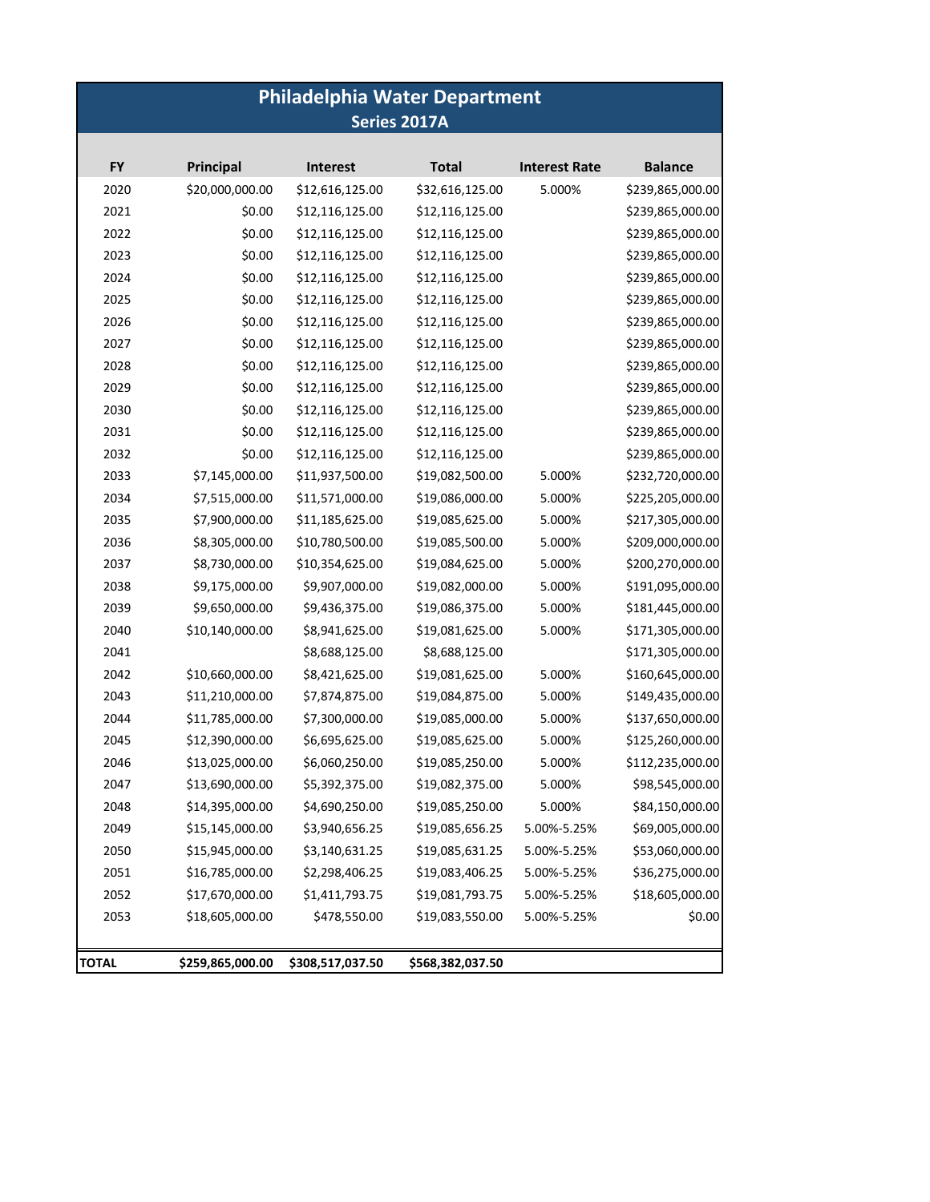# **Philadelphia Water Department Series 2017A**

| <b>FY</b> | <b>Principal</b> | <b>Interest</b>  | <b>Total</b>     | <b>Interest Rate</b> | <b>Balance</b>   |
|-----------|------------------|------------------|------------------|----------------------|------------------|
| 2020      | \$20,000,000.00  | \$12,616,125.00  | \$32,616,125.00  | 5.000%               | \$239,865,000.00 |
| 2021      | \$0.00           | \$12,116,125.00  | \$12,116,125.00  |                      | \$239,865,000.00 |
| 2022      | \$0.00           | \$12,116,125.00  | \$12,116,125.00  |                      | \$239,865,000.00 |
| 2023      | \$0.00           | \$12,116,125.00  | \$12,116,125.00  |                      | \$239,865,000.00 |
| 2024      | \$0.00           | \$12,116,125.00  | \$12,116,125.00  |                      | \$239,865,000.00 |
| 2025      | \$0.00           | \$12,116,125.00  | \$12,116,125.00  |                      | \$239,865,000.00 |
| 2026      | \$0.00           | \$12,116,125.00  | \$12,116,125.00  |                      | \$239,865,000.00 |
| 2027      | \$0.00           | \$12,116,125.00  | \$12,116,125.00  |                      | \$239,865,000.00 |
| 2028      | \$0.00           | \$12,116,125.00  | \$12,116,125.00  |                      | \$239,865,000.00 |
| 2029      | \$0.00           | \$12,116,125.00  | \$12,116,125.00  |                      | \$239,865,000.00 |
| 2030      | \$0.00           | \$12,116,125.00  | \$12,116,125.00  |                      | \$239,865,000.00 |
| 2031      | \$0.00           | \$12,116,125.00  | \$12,116,125.00  |                      | \$239,865,000.00 |
| 2032      | \$0.00           | \$12,116,125.00  | \$12,116,125.00  |                      | \$239,865,000.00 |
| 2033      | \$7,145,000.00   | \$11,937,500.00  | \$19,082,500.00  | 5.000%               | \$232,720,000.00 |
| 2034      | \$7,515,000.00   | \$11,571,000.00  | \$19,086,000.00  | 5.000%               | \$225,205,000.00 |
| 2035      | \$7,900,000.00   | \$11,185,625.00  | \$19,085,625.00  | 5.000%               | \$217,305,000.00 |
| 2036      | \$8,305,000.00   | \$10,780,500.00  | \$19,085,500.00  | 5.000%               | \$209,000,000.00 |
| 2037      | \$8,730,000.00   | \$10,354,625.00  | \$19,084,625.00  | 5.000%               | \$200,270,000.00 |
| 2038      | \$9,175,000.00   | \$9,907,000.00   | \$19,082,000.00  | 5.000%               | \$191,095,000.00 |
| 2039      | \$9,650,000.00   | \$9,436,375.00   | \$19,086,375.00  | 5.000%               | \$181,445,000.00 |
| 2040      | \$10,140,000.00  | \$8,941,625.00   | \$19,081,625.00  | 5.000%               | \$171,305,000.00 |
| 2041      |                  | \$8,688,125.00   | \$8,688,125.00   |                      | \$171,305,000.00 |
| 2042      | \$10,660,000.00  | \$8,421,625.00   | \$19,081,625.00  | 5.000%               | \$160,645,000.00 |
| 2043      | \$11,210,000.00  | \$7,874,875.00   | \$19,084,875.00  | 5.000%               | \$149,435,000.00 |
| 2044      | \$11,785,000.00  | \$7,300,000.00   | \$19,085,000.00  | 5.000%               | \$137,650,000.00 |
| 2045      | \$12,390,000.00  | \$6,695,625.00   | \$19,085,625.00  | 5.000%               | \$125,260,000.00 |
| 2046      | \$13,025,000.00  | \$6,060,250.00   | \$19,085,250.00  | 5.000%               | \$112,235,000.00 |
| 2047      | \$13,690,000.00  | \$5,392,375.00   | \$19,082,375.00  | 5.000%               | \$98,545,000.00  |
| 2048      | \$14,395,000.00  | \$4,690,250.00   | \$19,085,250.00  | 5.000%               | \$84,150,000.00  |
| 2049      | \$15,145,000.00  | \$3,940,656.25   | \$19,085,656.25  | 5.00%-5.25%          | \$69,005,000.00  |
| 2050      | \$15,945,000.00  | \$3,140,631.25   | \$19,085,631.25  | 5.00%-5.25%          | \$53,060,000.00  |
| 2051      | \$16,785,000.00  | \$2,298,406.25   | \$19,083,406.25  | 5.00%-5.25%          | \$36,275,000.00  |
| 2052      | \$17,670,000.00  | \$1,411,793.75   | \$19,081,793.75  | 5.00%-5.25%          | \$18,605,000.00  |
| 2053      | \$18,605,000.00  | \$478,550.00     | \$19,083,550.00  | 5.00%-5.25%          | \$0.00           |
| TOTAL     | \$259,865,000.00 | \$308,517,037.50 | \$568,382,037.50 |                      |                  |
|           |                  |                  |                  |                      |                  |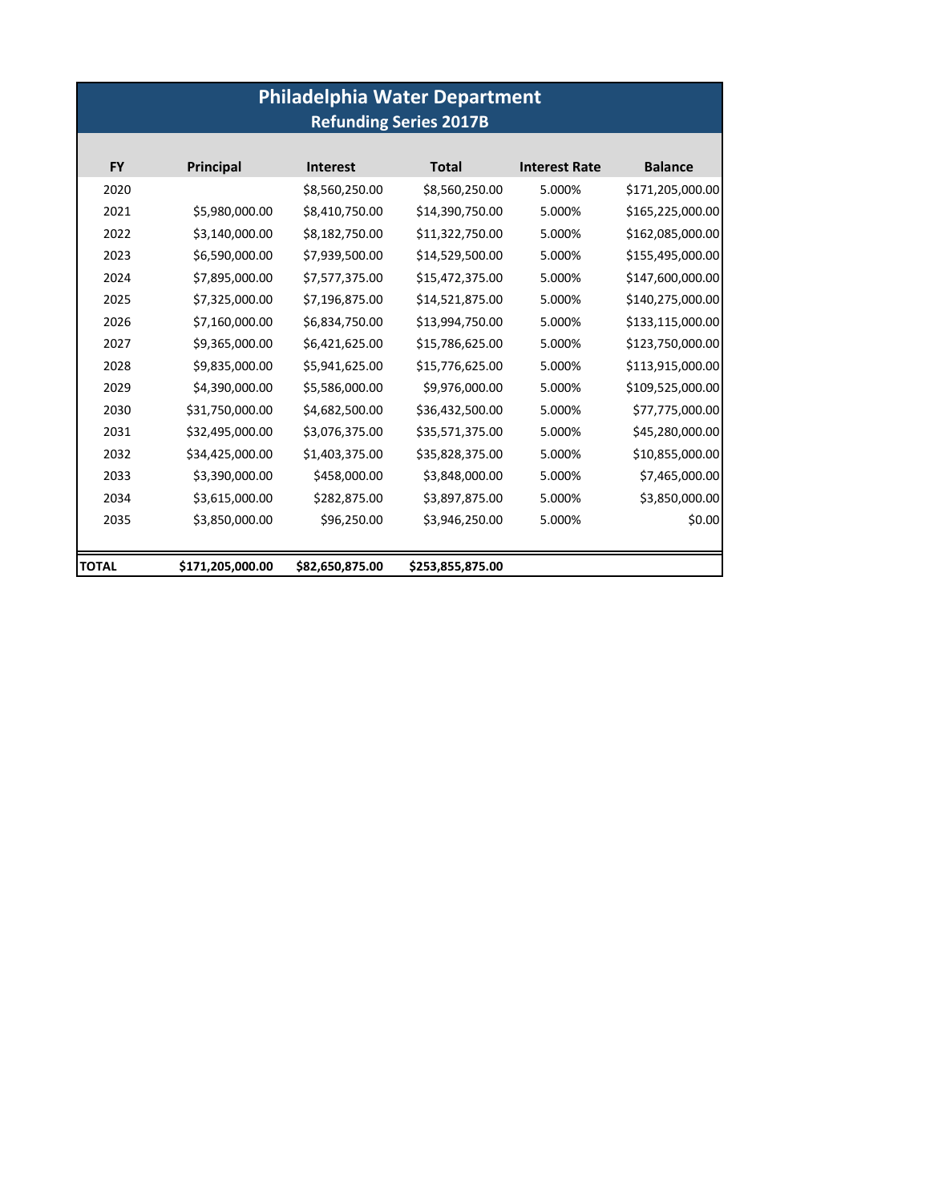| <b>Philadelphia Water Department</b><br><b>Refunding Series 2017B</b> |                  |                 |                  |                      |                  |  |
|-----------------------------------------------------------------------|------------------|-----------------|------------------|----------------------|------------------|--|
| <b>FY</b>                                                             | Principal        | <b>Interest</b> | <b>Total</b>     | <b>Interest Rate</b> | <b>Balance</b>   |  |
| 2020                                                                  |                  | \$8,560,250.00  | \$8,560,250.00   | 5.000%               | \$171,205,000.00 |  |
| 2021                                                                  | \$5,980,000.00   | \$8,410,750.00  | \$14,390,750.00  | 5.000%               | \$165,225,000.00 |  |
| 2022                                                                  | \$3,140,000.00   | \$8,182,750.00  | \$11,322,750.00  | 5.000%               | \$162,085,000.00 |  |
| 2023                                                                  | \$6,590,000.00   | \$7,939,500.00  | \$14,529,500.00  | 5.000%               | \$155,495,000.00 |  |
| 2024                                                                  | \$7,895,000.00   | \$7,577,375.00  | \$15,472,375.00  | 5.000%               | \$147,600,000.00 |  |
| 2025                                                                  | \$7,325,000.00   | \$7,196,875.00  | \$14,521,875.00  | 5.000%               | \$140,275,000.00 |  |
| 2026                                                                  | \$7,160,000.00   | \$6,834,750.00  | \$13,994,750.00  | 5.000%               | \$133,115,000.00 |  |
| 2027                                                                  | \$9,365,000.00   | \$6,421,625.00  | \$15,786,625.00  | 5.000%               | \$123,750,000.00 |  |
| 2028                                                                  | \$9,835,000.00   | \$5,941,625.00  | \$15,776,625.00  | 5.000%               | \$113,915,000.00 |  |
| 2029                                                                  | \$4,390,000.00   | \$5,586,000.00  | \$9,976,000.00   | 5.000%               | \$109,525,000.00 |  |
| 2030                                                                  | \$31,750,000.00  | \$4,682,500.00  | \$36,432,500.00  | 5.000%               | \$77,775,000.00  |  |
| 2031                                                                  | \$32,495,000.00  | \$3,076,375.00  | \$35,571,375.00  | 5.000%               | \$45,280,000.00  |  |
| 2032                                                                  | \$34,425,000.00  | \$1,403,375.00  | \$35,828,375.00  | 5.000%               | \$10,855,000.00  |  |
| 2033                                                                  | \$3,390,000.00   | \$458,000.00    | \$3,848,000.00   | 5.000%               | \$7,465,000.00   |  |
| 2034                                                                  | \$3,615,000.00   | \$282,875.00    | \$3,897,875.00   | 5.000%               | \$3,850,000.00   |  |
| 2035                                                                  | \$3,850,000.00   | \$96,250.00     | \$3,946,250.00   | 5.000%               | \$0.00           |  |
| TOTAL                                                                 | \$171,205,000.00 | \$82,650,875.00 | \$253,855,875.00 |                      |                  |  |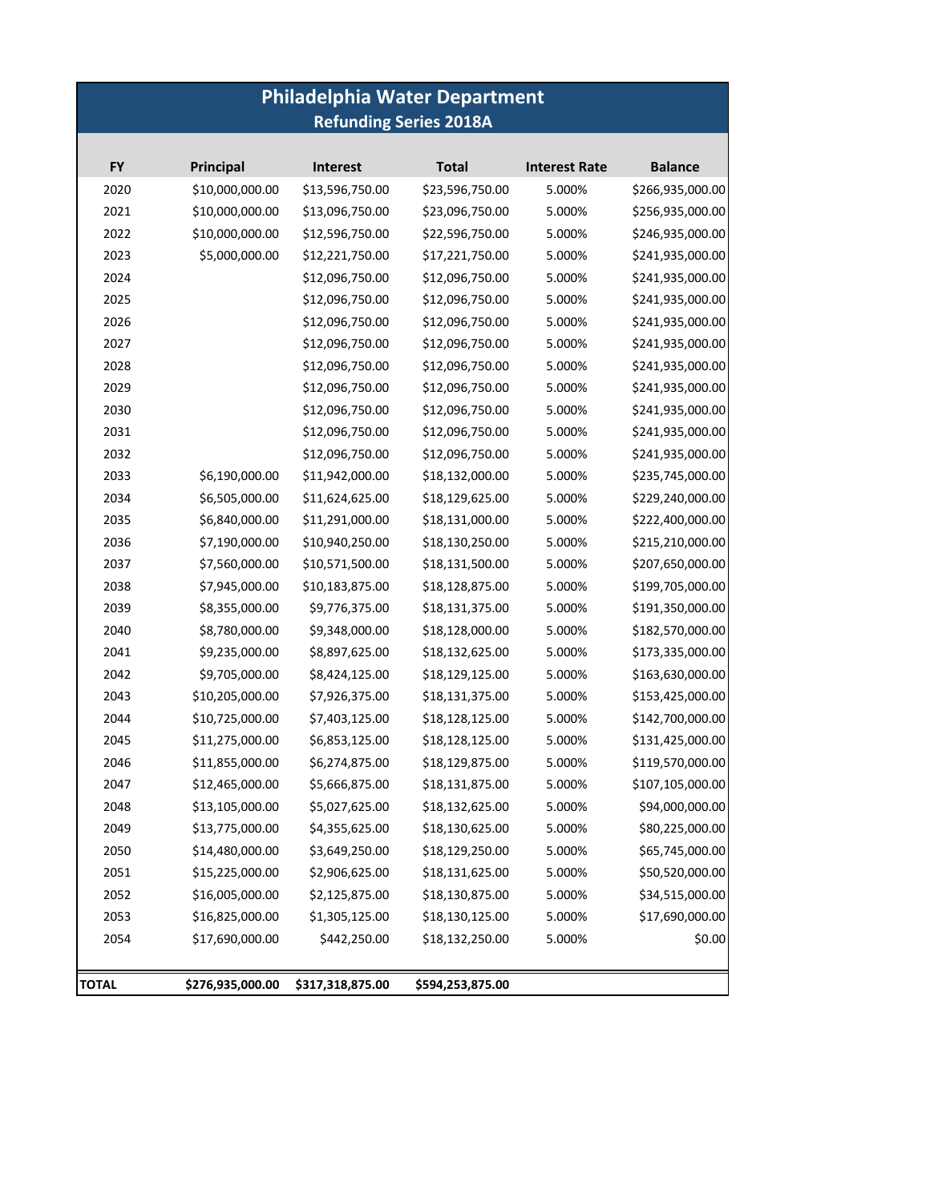# **Philadelphia Water Department Refunding Series 2018A**

| <b>FY</b> | Principal       | <b>Interest</b> | <b>Total</b>    | <b>Interest Rate</b> | <b>Balance</b>   |
|-----------|-----------------|-----------------|-----------------|----------------------|------------------|
| 2020      | \$10,000,000.00 | \$13,596,750.00 | \$23,596,750.00 | 5.000%               | \$266,935,000.00 |
| 2021      | \$10,000,000.00 | \$13,096,750.00 | \$23,096,750.00 | 5.000%               | \$256,935,000.00 |
| 2022      | \$10,000,000.00 | \$12,596,750.00 | \$22,596,750.00 | 5.000%               | \$246,935,000.00 |
| 2023      | \$5,000,000.00  | \$12,221,750.00 | \$17,221,750.00 | 5.000%               | \$241,935,000.00 |
| 2024      |                 | \$12,096,750.00 | \$12,096,750.00 | 5.000%               | \$241,935,000.00 |
| 2025      |                 | \$12,096,750.00 | \$12,096,750.00 | 5.000%               | \$241,935,000.00 |
| 2026      |                 | \$12,096,750.00 | \$12,096,750.00 | 5.000%               | \$241,935,000.00 |
| 2027      |                 | \$12,096,750.00 | \$12,096,750.00 | 5.000%               | \$241,935,000.00 |
| 2028      |                 | \$12,096,750.00 | \$12,096,750.00 | 5.000%               | \$241,935,000.00 |
| 2029      |                 | \$12,096,750.00 | \$12,096,750.00 | 5.000%               | \$241,935,000.00 |
| 2030      |                 | \$12,096,750.00 | \$12,096,750.00 | 5.000%               | \$241,935,000.00 |
| 2031      |                 | \$12,096,750.00 | \$12,096,750.00 | 5.000%               | \$241,935,000.00 |
| 2032      |                 | \$12,096,750.00 | \$12,096,750.00 | 5.000%               | \$241,935,000.00 |
| 2033      | \$6,190,000.00  | \$11,942,000.00 | \$18,132,000.00 | 5.000%               | \$235,745,000.00 |
| 2034      | \$6,505,000.00  | \$11,624,625.00 | \$18,129,625.00 | 5.000%               | \$229,240,000.00 |
| 2035      | \$6,840,000.00  | \$11,291,000.00 | \$18,131,000.00 | 5.000%               | \$222,400,000.00 |
| 2036      | \$7,190,000.00  | \$10,940,250.00 | \$18,130,250.00 | 5.000%               | \$215,210,000.00 |
| 2037      | \$7,560,000.00  | \$10,571,500.00 | \$18,131,500.00 | 5.000%               | \$207,650,000.00 |
| 2038      | \$7,945,000.00  | \$10,183,875.00 | \$18,128,875.00 | 5.000%               | \$199,705,000.00 |
| 2039      | \$8,355,000.00  | \$9,776,375.00  | \$18,131,375.00 | 5.000%               | \$191,350,000.00 |
| 2040      | \$8,780,000.00  | \$9,348,000.00  | \$18,128,000.00 | 5.000%               | \$182,570,000.00 |
| 2041      | \$9,235,000.00  | \$8,897,625.00  | \$18,132,625.00 | 5.000%               | \$173,335,000.00 |
| 2042      | \$9,705,000.00  | \$8,424,125.00  | \$18,129,125.00 | 5.000%               | \$163,630,000.00 |
| 2043      | \$10,205,000.00 | \$7,926,375.00  | \$18,131,375.00 | 5.000%               | \$153,425,000.00 |
| 2044      | \$10,725,000.00 | \$7,403,125.00  | \$18,128,125.00 | 5.000%               | \$142,700,000.00 |
| 2045      | \$11,275,000.00 | \$6,853,125.00  | \$18,128,125.00 | 5.000%               | \$131,425,000.00 |
| 2046      | \$11,855,000.00 | \$6,274,875.00  | \$18,129,875.00 | 5.000%               | \$119,570,000.00 |
| 2047      | \$12,465,000.00 | \$5,666,875.00  | \$18,131,875.00 | 5.000%               | \$107,105,000.00 |
| 2048      | \$13,105,000.00 | \$5,027,625.00  | \$18,132,625.00 | 5.000%               | \$94,000,000.00  |
| 2049      | \$13,775,000.00 | \$4,355,625.00  | \$18,130,625.00 | 5.000%               | \$80,225,000.00  |
| 2050      | \$14,480,000.00 | \$3,649,250.00  | \$18,129,250.00 | 5.000%               | \$65,745,000.00  |
| 2051      | \$15,225,000.00 | \$2,906,625.00  | \$18,131,625.00 | 5.000%               | \$50,520,000.00  |
| 2052      | \$16,005,000.00 | \$2,125,875.00  | \$18,130,875.00 | 5.000%               | \$34,515,000.00  |
| 2053      | \$16,825,000.00 | \$1,305,125.00  | \$18,130,125.00 | 5.000%               | \$17,690,000.00  |
| 2054      | \$17,690,000.00 | \$442,250.00    | \$18,132,250.00 | 5.000%               | \$0.00           |
| TOTAL     |                 |                 |                 |                      |                  |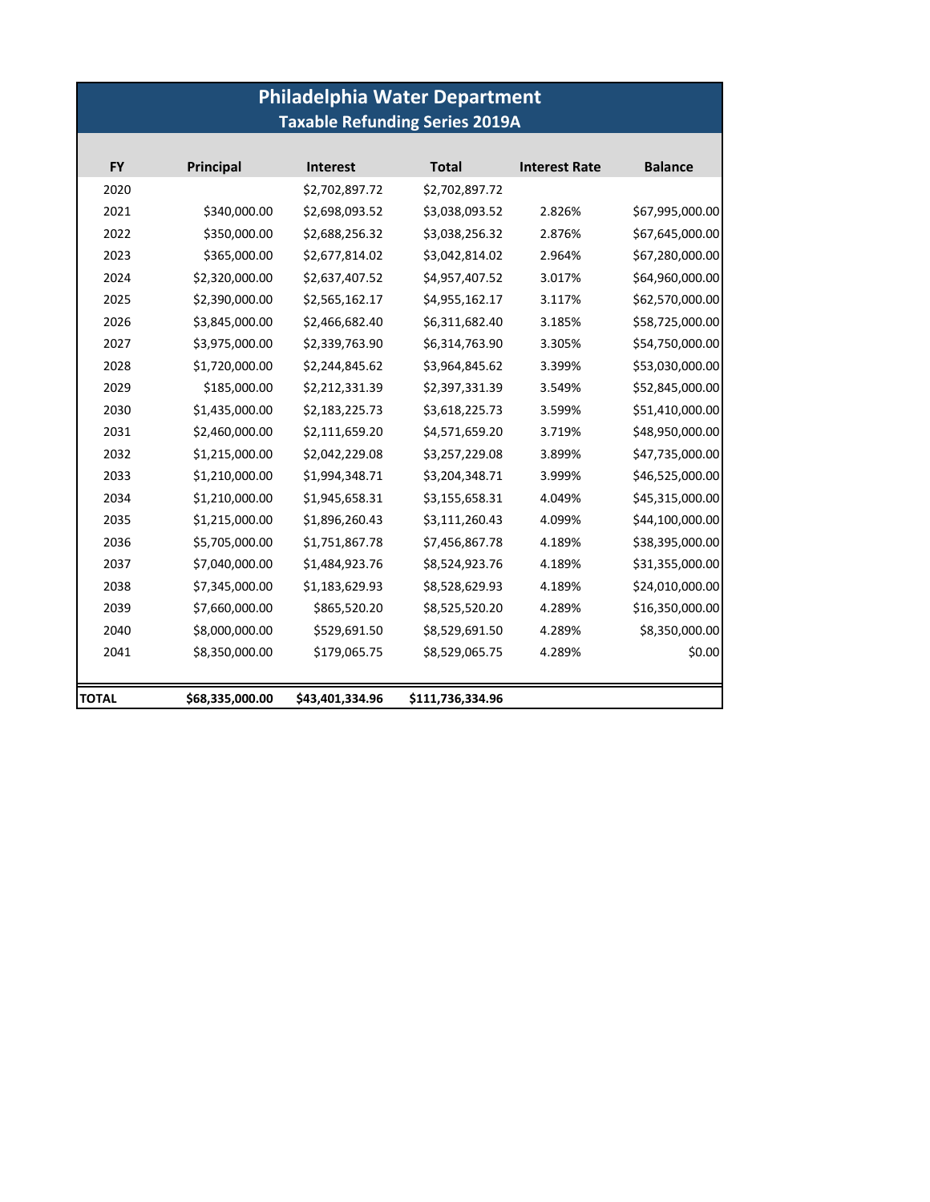# **Philadelphia Water Department Taxable Refunding Series 2019A**

| <b>FY</b> | Principal       | <b>Interest</b> | <b>Total</b>     | <b>Interest Rate</b> | <b>Balance</b>  |
|-----------|-----------------|-----------------|------------------|----------------------|-----------------|
| 2020      |                 | \$2,702,897.72  | \$2,702,897.72   |                      |                 |
| 2021      | \$340,000.00    | \$2,698,093.52  | \$3,038,093.52   | 2.826%               | \$67,995,000.00 |
| 2022      | \$350,000.00    | \$2,688,256.32  | \$3,038,256.32   | 2.876%               | \$67,645,000.00 |
| 2023      | \$365,000.00    | \$2,677,814.02  | \$3,042,814.02   | 2.964%               | \$67,280,000.00 |
| 2024      | \$2,320,000.00  | \$2,637,407.52  | \$4,957,407.52   | 3.017%               | \$64,960,000.00 |
| 2025      | \$2,390,000.00  | \$2,565,162.17  | \$4,955,162.17   | 3.117%               | \$62,570,000.00 |
| 2026      | \$3,845,000.00  | \$2,466,682.40  | \$6,311,682.40   | 3.185%               | \$58,725,000.00 |
| 2027      | \$3,975,000.00  | \$2,339,763.90  | \$6,314,763.90   | 3.305%               | \$54,750,000.00 |
| 2028      | \$1,720,000.00  | \$2,244,845.62  | \$3,964,845.62   | 3.399%               | \$53,030,000.00 |
| 2029      | \$185,000.00    | \$2,212,331.39  | \$2,397,331.39   | 3.549%               | \$52,845,000.00 |
| 2030      | \$1,435,000.00  | \$2,183,225.73  | \$3,618,225.73   | 3.599%               | \$51,410,000.00 |
| 2031      | \$2,460,000.00  | \$2,111,659.20  | \$4,571,659.20   | 3.719%               | \$48,950,000.00 |
| 2032      | \$1,215,000.00  | \$2,042,229.08  | \$3,257,229.08   | 3.899%               | \$47,735,000.00 |
| 2033      | \$1,210,000.00  | \$1,994,348.71  | \$3,204,348.71   | 3.999%               | \$46,525,000.00 |
| 2034      | \$1,210,000.00  | \$1,945,658.31  | \$3,155,658.31   | 4.049%               | \$45,315,000.00 |
| 2035      | \$1,215,000.00  | \$1,896,260.43  | \$3,111,260.43   | 4.099%               | \$44,100,000.00 |
| 2036      | \$5,705,000.00  | \$1,751,867.78  | \$7,456,867.78   | 4.189%               | \$38,395,000.00 |
| 2037      | \$7,040,000.00  | \$1,484,923.76  | \$8,524,923.76   | 4.189%               | \$31,355,000.00 |
| 2038      | \$7,345,000.00  | \$1,183,629.93  | \$8,528,629.93   | 4.189%               | \$24,010,000.00 |
| 2039      | \$7,660,000.00  | \$865,520.20    | \$8,525,520.20   | 4.289%               | \$16,350,000.00 |
| 2040      | \$8,000,000.00  | \$529,691.50    | \$8,529,691.50   | 4.289%               | \$8,350,000.00  |
| 2041      | \$8,350,000.00  | \$179,065.75    | \$8,529,065.75   | 4.289%               | \$0.00          |
|           |                 |                 |                  |                      |                 |
| TOTAL     | \$68,335,000.00 | \$43,401,334.96 | \$111,736,334.96 |                      |                 |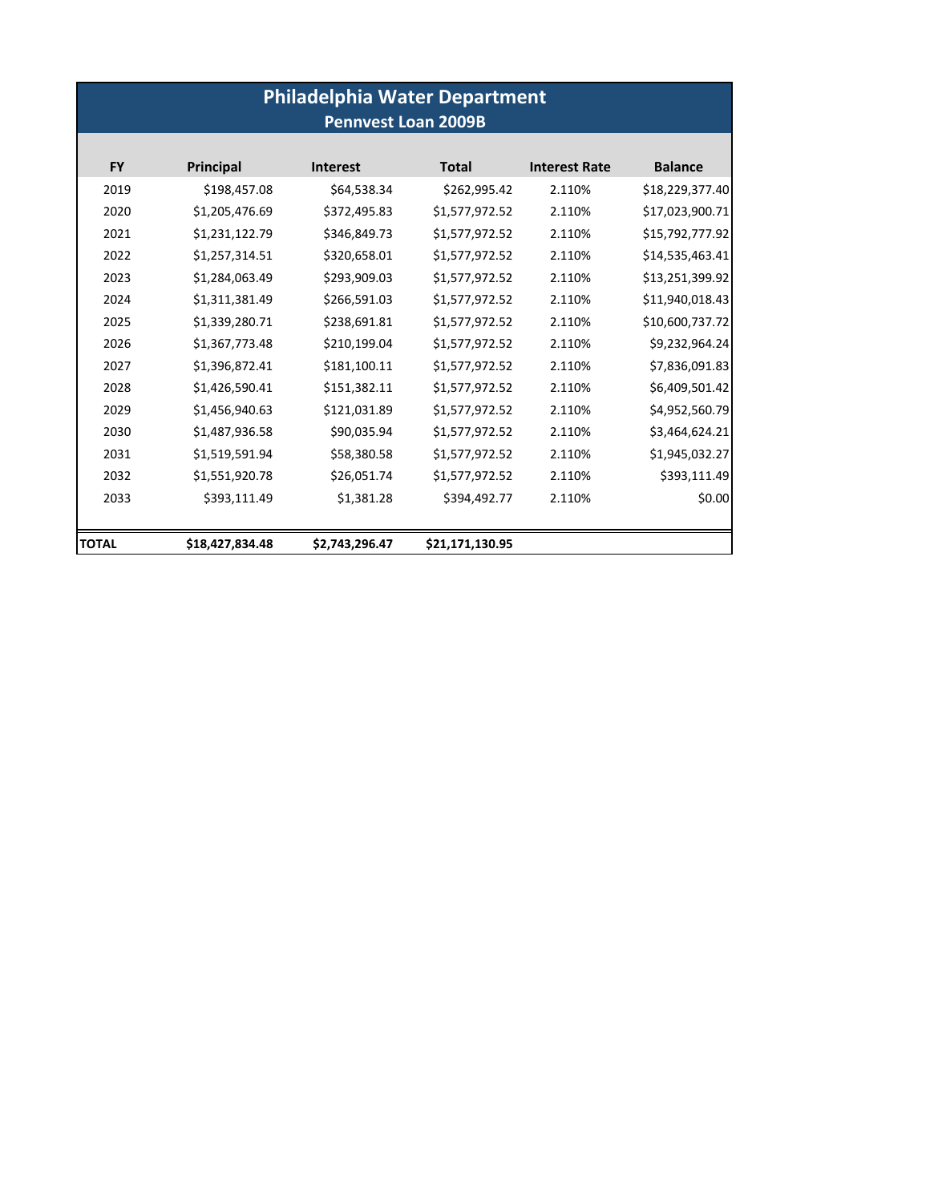| <b>Philadelphia Water Department</b> |                 |                 |                 |                      |                 |  |  |  |
|--------------------------------------|-----------------|-----------------|-----------------|----------------------|-----------------|--|--|--|
| <b>Pennvest Loan 2009B</b>           |                 |                 |                 |                      |                 |  |  |  |
| <b>FY</b>                            | Principal       | <b>Interest</b> | <b>Total</b>    | <b>Interest Rate</b> | <b>Balance</b>  |  |  |  |
| 2019                                 | \$198,457.08    | \$64,538.34     | \$262,995.42    | 2.110%               | \$18,229,377.40 |  |  |  |
| 2020                                 | \$1,205,476.69  | \$372,495.83    | \$1,577,972.52  | 2.110%               | \$17,023,900.71 |  |  |  |
| 2021                                 | \$1,231,122.79  | \$346,849.73    | \$1,577,972.52  | 2.110%               | \$15,792,777.92 |  |  |  |
| 2022                                 | \$1,257,314.51  | \$320,658.01    | \$1,577,972.52  | 2.110%               | \$14,535,463.41 |  |  |  |
| 2023                                 | \$1,284,063.49  | \$293,909.03    | \$1,577,972.52  | 2.110%               | \$13,251,399.92 |  |  |  |
| 2024                                 | \$1,311,381.49  | \$266,591.03    | \$1,577,972.52  | 2.110%               | \$11,940,018.43 |  |  |  |
| 2025                                 | \$1,339,280.71  | \$238,691.81    | \$1,577,972.52  | 2.110%               | \$10,600,737.72 |  |  |  |
| 2026                                 | \$1,367,773.48  | \$210,199.04    | \$1,577,972.52  | 2.110%               | \$9,232,964.24  |  |  |  |
| 2027                                 | \$1,396,872.41  | \$181,100.11    | \$1,577,972.52  | 2.110%               | \$7,836,091.83  |  |  |  |
| 2028                                 | \$1,426,590.41  | \$151,382.11    | \$1,577,972.52  | 2.110%               | \$6,409,501.42  |  |  |  |
| 2029                                 | \$1,456,940.63  | \$121,031.89    | \$1,577,972.52  | 2.110%               | \$4,952,560.79  |  |  |  |
| 2030                                 | \$1,487,936.58  | \$90,035.94     | \$1,577,972.52  | 2.110%               | \$3,464,624.21  |  |  |  |
| 2031                                 | \$1,519,591.94  | \$58,380.58     | \$1,577,972.52  | 2.110%               | \$1,945,032.27  |  |  |  |
| 2032                                 | \$1,551,920.78  | \$26,051.74     | \$1,577,972.52  | 2.110%               | \$393,111.49    |  |  |  |
| 2033                                 | \$393,111.49    | \$1,381.28      | \$394,492.77    | 2.110%               | \$0.00          |  |  |  |
|                                      |                 |                 |                 |                      |                 |  |  |  |
| <b>TOTAL</b>                         | \$18,427,834.48 | \$2,743,296.47  | \$21,171,130.95 |                      |                 |  |  |  |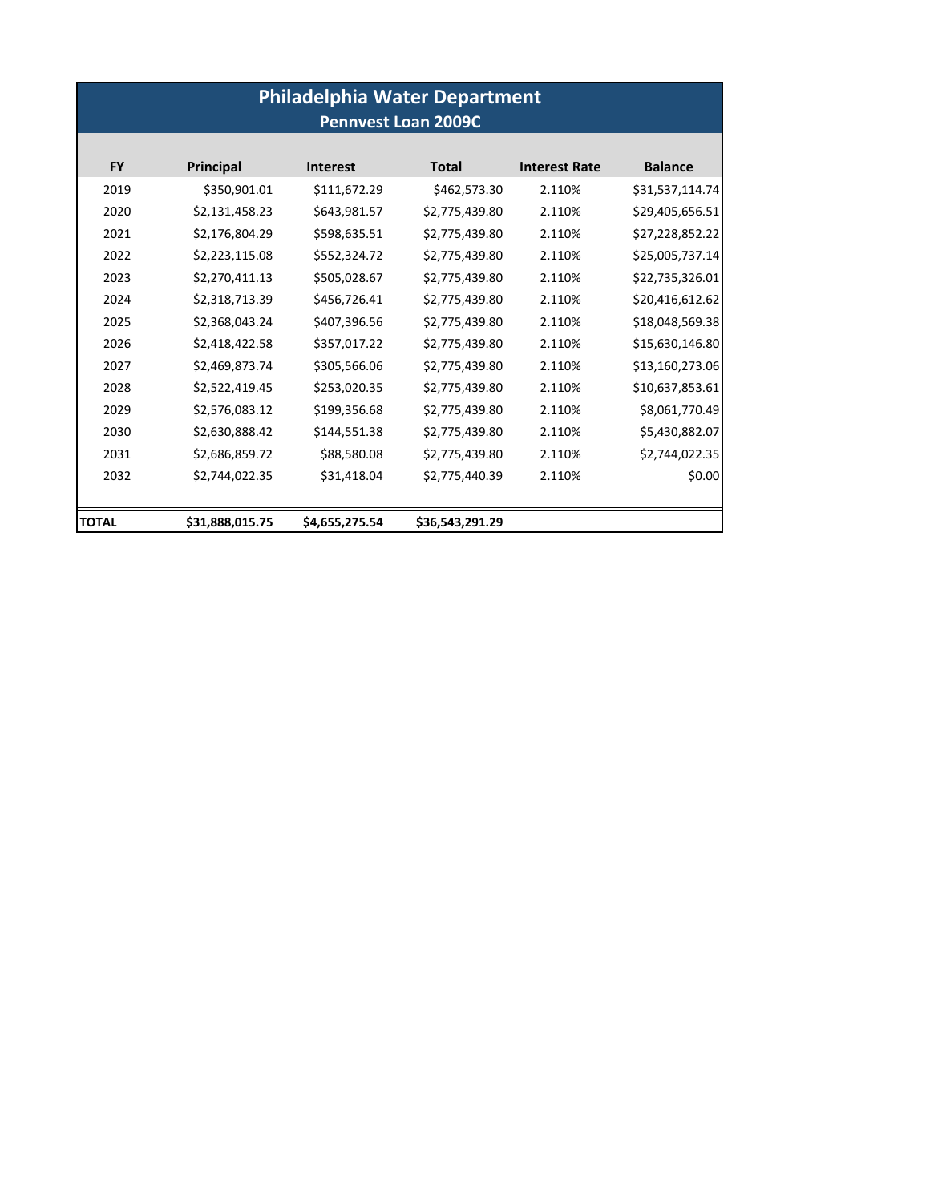| <b>Philadelphia Water Department</b><br><b>Pennvest Loan 2009C</b> |                 |                 |                 |                      |                 |  |
|--------------------------------------------------------------------|-----------------|-----------------|-----------------|----------------------|-----------------|--|
| <b>FY</b>                                                          | Principal       | <b>Interest</b> | <b>Total</b>    | <b>Interest Rate</b> | <b>Balance</b>  |  |
| 2019                                                               | \$350,901.01    | \$111,672.29    | \$462,573.30    | 2.110%               | \$31,537,114.74 |  |
| 2020                                                               | \$2,131,458.23  | \$643,981.57    | \$2,775,439.80  | 2.110%               | \$29,405,656.51 |  |
| 2021                                                               | \$2,176,804.29  | \$598,635.51    | \$2,775,439.80  | 2.110%               | \$27,228,852.22 |  |
| 2022                                                               | \$2,223,115.08  | \$552,324.72    | \$2,775,439.80  | 2.110%               | \$25,005,737.14 |  |
| 2023                                                               | \$2,270,411.13  | \$505,028.67    | \$2,775,439.80  | 2.110%               | \$22,735,326.01 |  |
| 2024                                                               | \$2,318,713.39  | \$456,726.41    | \$2,775,439.80  | 2.110%               | \$20,416,612.62 |  |
| 2025                                                               | \$2,368,043.24  | \$407,396.56    | \$2,775,439.80  | 2.110%               | \$18,048,569.38 |  |
| 2026                                                               | \$2,418,422.58  | \$357,017.22    | \$2,775,439.80  | 2.110%               | \$15,630,146.80 |  |
| 2027                                                               | \$2,469,873.74  | \$305,566.06    | \$2,775,439.80  | 2.110%               | \$13,160,273.06 |  |
| 2028                                                               | \$2,522,419.45  | \$253,020.35    | \$2,775,439.80  | 2.110%               | \$10,637,853.61 |  |
| 2029                                                               | \$2,576,083.12  | \$199,356.68    | \$2,775,439.80  | 2.110%               | \$8,061,770.49  |  |
| 2030                                                               | \$2,630,888.42  | \$144,551.38    | \$2,775,439.80  | 2.110%               | \$5,430,882.07  |  |
| 2031                                                               | \$2,686,859.72  | \$88,580.08     | \$2,775,439.80  | 2.110%               | \$2,744,022.35  |  |
| 2032                                                               | \$2,744,022.35  | \$31,418.04     | \$2,775,440.39  | 2.110%               | \$0.00          |  |
| <b>TOTAL</b>                                                       | \$31,888,015.75 | \$4,655,275.54  | \$36,543,291.29 |                      |                 |  |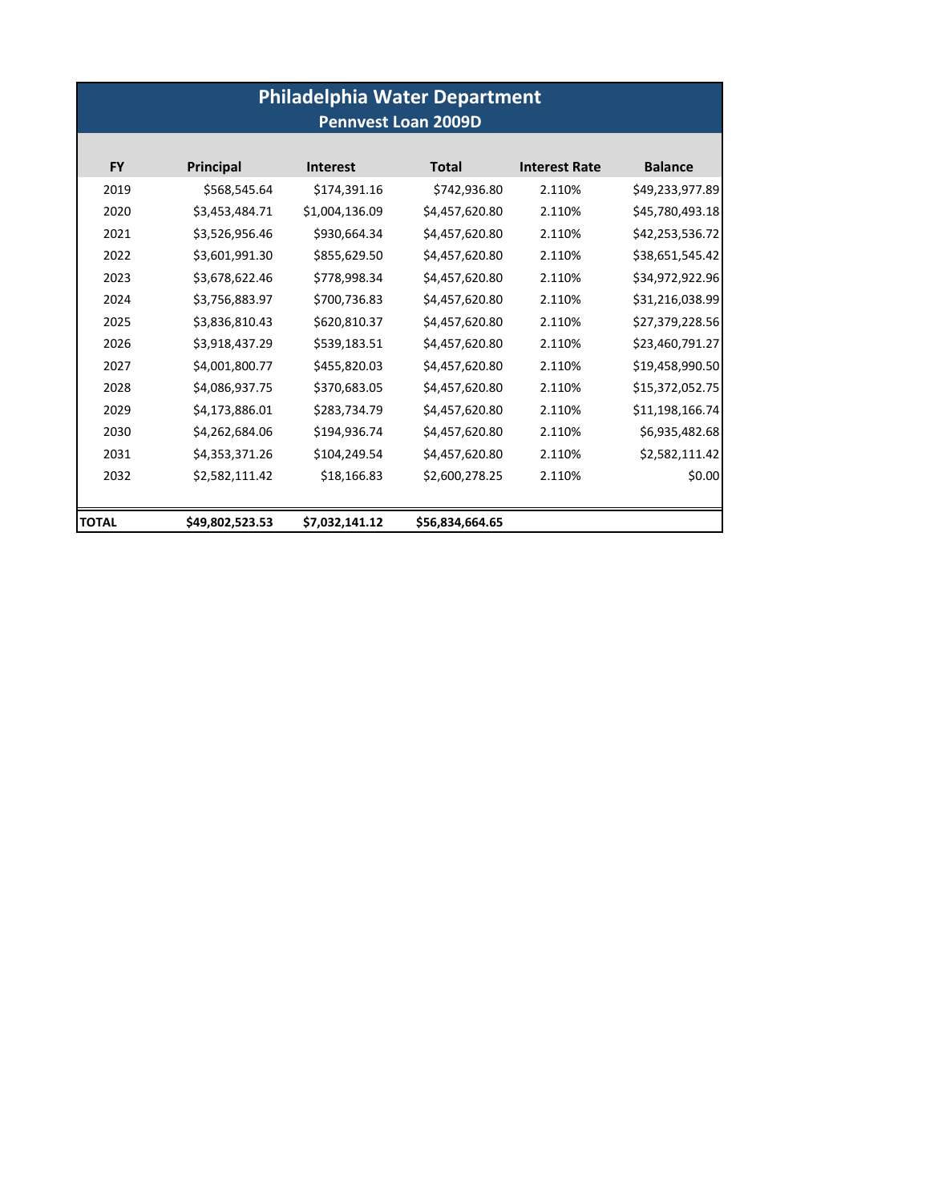| <b>Philadelphia Water Department</b><br><b>Pennvest Loan 2009D</b> |                 |                 |                 |                      |                 |  |  |
|--------------------------------------------------------------------|-----------------|-----------------|-----------------|----------------------|-----------------|--|--|
| <b>FY</b>                                                          | Principal       | <b>Interest</b> | <b>Total</b>    | <b>Interest Rate</b> | <b>Balance</b>  |  |  |
| 2019                                                               | \$568,545.64    | \$174,391.16    | \$742,936.80    | 2.110%               | \$49,233,977.89 |  |  |
| 2020                                                               | \$3,453,484.71  | \$1,004,136.09  | \$4,457,620.80  | 2.110%               | \$45,780,493.18 |  |  |
| 2021                                                               | \$3,526,956.46  | \$930,664.34    | \$4,457,620.80  | 2.110%               | \$42,253,536.72 |  |  |
| 2022                                                               | \$3,601,991.30  | \$855,629.50    | \$4,457,620.80  | 2.110%               | \$38,651,545.42 |  |  |
| 2023                                                               | \$3,678,622.46  | \$778,998.34    | \$4,457,620.80  | 2.110%               | \$34,972,922.96 |  |  |
| 2024                                                               | \$3,756,883.97  | \$700,736.83    | \$4,457,620.80  | 2.110%               | \$31,216,038.99 |  |  |
| 2025                                                               | \$3,836,810.43  | \$620,810.37    | \$4,457,620.80  | 2.110%               | \$27,379,228.56 |  |  |
| 2026                                                               | \$3,918,437.29  | \$539,183.51    | \$4,457,620.80  | 2.110%               | \$23,460,791.27 |  |  |
| 2027                                                               | \$4,001,800.77  | \$455,820.03    | \$4,457,620.80  | 2.110%               | \$19,458,990.50 |  |  |
| 2028                                                               | \$4,086,937.75  | \$370,683.05    | \$4,457,620.80  | 2.110%               | \$15,372,052.75 |  |  |
| 2029                                                               | \$4,173,886.01  | \$283,734.79    | \$4,457,620.80  | 2.110%               | \$11,198,166.74 |  |  |
| 2030                                                               | \$4,262,684.06  | \$194,936.74    | \$4,457,620.80  | 2.110%               | \$6,935,482.68  |  |  |
| 2031                                                               | \$4,353,371.26  | \$104,249.54    | \$4,457,620.80  | 2.110%               | \$2,582,111.42  |  |  |
| 2032                                                               | \$2,582,111.42  | \$18,166.83     | \$2,600,278.25  | 2.110%               | \$0.00          |  |  |
| <b>TOTAL</b>                                                       | \$49,802,523.53 | \$7,032,141.12  | \$56,834,664.65 |                      |                 |  |  |